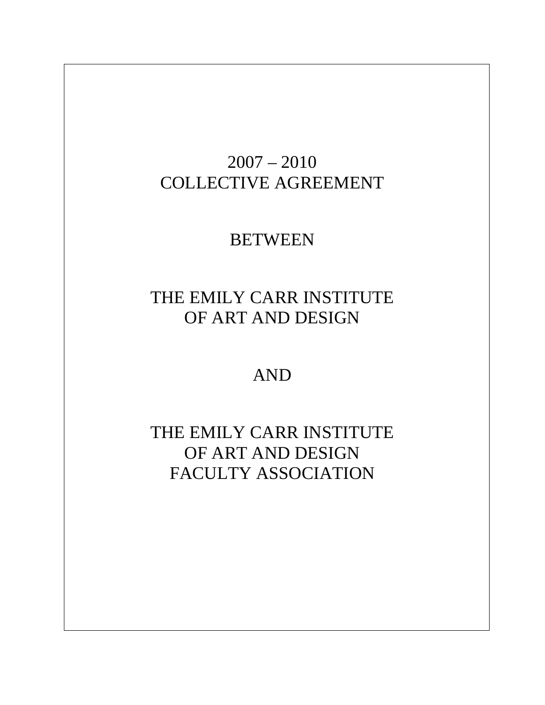# 2007 – 2010 COLLECTIVE AGREEMENT

# BETWEEN

# THE EMILY CARR INSTITUTE OF ART AND DESIGN

AND

THE EMILY CARR INSTITUTE OF ART AND DESIGN FACULTY ASSOCIATION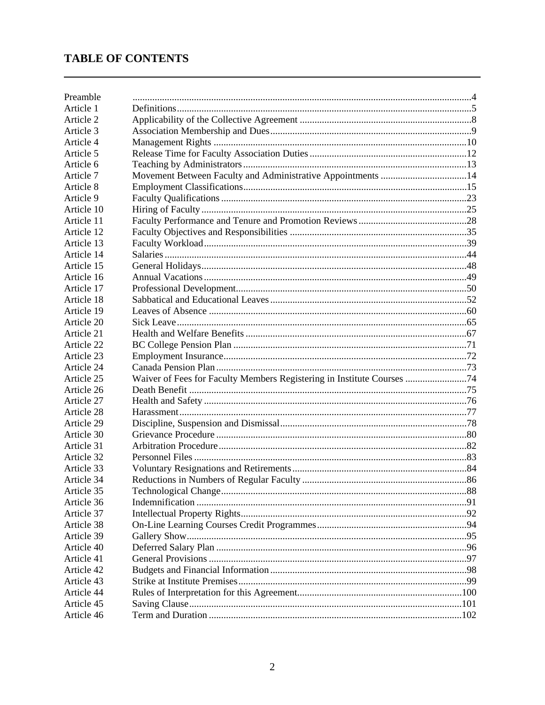## **TABLE OF CONTENTS**

| Preamble   |                                                                        |  |
|------------|------------------------------------------------------------------------|--|
| Article 1  |                                                                        |  |
| Article 2  |                                                                        |  |
| Article 3  |                                                                        |  |
| Article 4  |                                                                        |  |
| Article 5  |                                                                        |  |
| Article 6  |                                                                        |  |
| Article 7  | Movement Between Faculty and Administrative Appointments 14            |  |
| Article 8  |                                                                        |  |
| Article 9  |                                                                        |  |
| Article 10 |                                                                        |  |
| Article 11 |                                                                        |  |
| Article 12 |                                                                        |  |
| Article 13 |                                                                        |  |
| Article 14 |                                                                        |  |
| Article 15 |                                                                        |  |
| Article 16 |                                                                        |  |
| Article 17 |                                                                        |  |
| Article 18 |                                                                        |  |
| Article 19 |                                                                        |  |
| Article 20 |                                                                        |  |
| Article 21 |                                                                        |  |
| Article 22 |                                                                        |  |
| Article 23 |                                                                        |  |
| Article 24 |                                                                        |  |
| Article 25 | Waiver of Fees for Faculty Members Registering in Institute Courses 74 |  |
| Article 26 |                                                                        |  |
| Article 27 |                                                                        |  |
| Article 28 |                                                                        |  |
| Article 29 |                                                                        |  |
| Article 30 |                                                                        |  |
| Article 31 |                                                                        |  |
| Article 32 |                                                                        |  |
| Article 33 |                                                                        |  |
| Article 34 |                                                                        |  |
| Article 35 |                                                                        |  |
| Article 36 |                                                                        |  |
| Article 37 |                                                                        |  |
| Article 38 |                                                                        |  |
| Article 39 |                                                                        |  |
| Article 40 |                                                                        |  |
| Article 41 |                                                                        |  |
| Article 42 |                                                                        |  |
| Article 43 |                                                                        |  |
| Article 44 |                                                                        |  |
| Article 45 |                                                                        |  |
| Article 46 |                                                                        |  |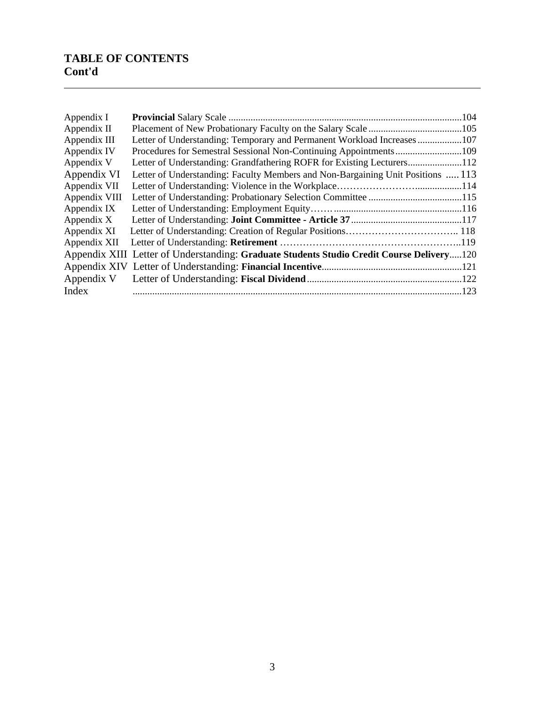## **TABLE OF CONTENTS Cont'd**

l

| Appendix I    |                                                                                           | .104 |
|---------------|-------------------------------------------------------------------------------------------|------|
| Appendix II   |                                                                                           |      |
| Appendix III  | Letter of Understanding: Temporary and Permanent Workload Increases107                    |      |
| Appendix IV   |                                                                                           |      |
| Appendix V    | Letter of Understanding: Grandfathering ROFR for Existing Lecturers112                    |      |
| Appendix VI   | Letter of Understanding: Faculty Members and Non-Bargaining Unit Positions  113           |      |
| Appendix VII  |                                                                                           |      |
| Appendix VIII |                                                                                           |      |
| Appendix IX   |                                                                                           |      |
| Appendix X    |                                                                                           |      |
| Appendix XI   |                                                                                           |      |
| Appendix XII  |                                                                                           |      |
|               | Appendix XIII Letter of Understanding: Graduate Students Studio Credit Course Delivery120 |      |
|               |                                                                                           |      |
| Appendix V    |                                                                                           |      |
| Index         |                                                                                           |      |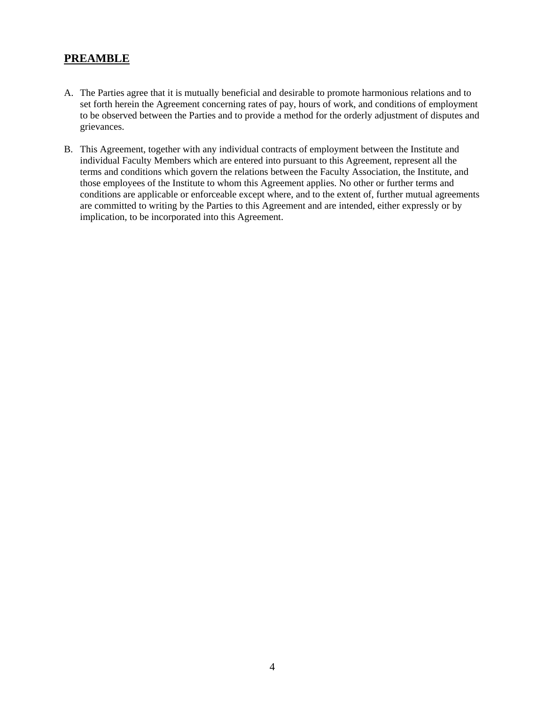## **PREAMBLE**

- A. The Parties agree that it is mutually beneficial and desirable to promote harmonious relations and to set forth herein the Agreement concerning rates of pay, hours of work, and conditions of employment to be observed between the Parties and to provide a method for the orderly adjustment of disputes and grievances.
- B. This Agreement, together with any individual contracts of employment between the Institute and individual Faculty Members which are entered into pursuant to this Agreement, represent all the terms and conditions which govern the relations between the Faculty Association, the Institute, and those employees of the Institute to whom this Agreement applies. No other or further terms and conditions are applicable or enforceable except where, and to the extent of, further mutual agreements are committed to writing by the Parties to this Agreement and are intended, either expressly or by implication, to be incorporated into this Agreement.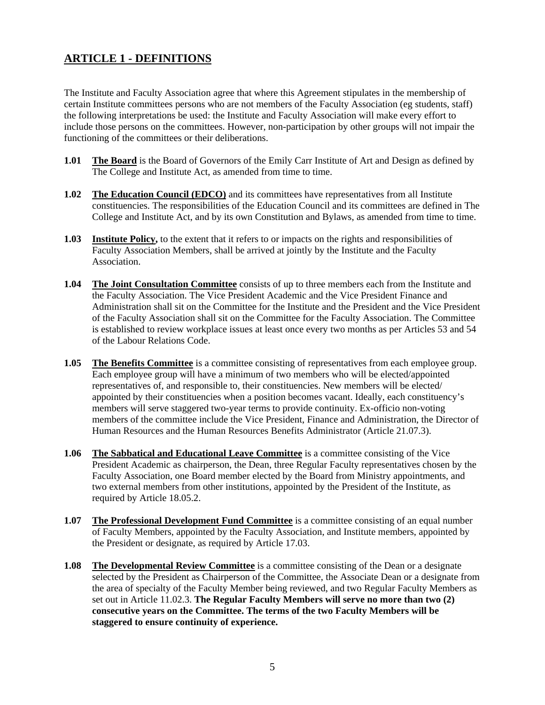## **ARTICLE 1 - DEFINITIONS**

The Institute and Faculty Association agree that where this Agreement stipulates in the membership of certain Institute committees persons who are not members of the Faculty Association (eg students, staff) the following interpretations be used: the Institute and Faculty Association will make every effort to include those persons on the committees. However, non-participation by other groups will not impair the functioning of the committees or their deliberations.

- **1.01 The Board** is the Board of Governors of the Emily Carr Institute of Art and Design as defined by The College and Institute Act, as amended from time to time.
- **1.02 The Education Council (EDCO)** and its committees have representatives from all Institute constituencies. The responsibilities of the Education Council and its committees are defined in The College and Institute Act, and by its own Constitution and Bylaws, as amended from time to time.
- **1.03 Institute Policy,** to the extent that it refers to or impacts on the rights and responsibilities of Faculty Association Members, shall be arrived at jointly by the Institute and the Faculty Association.
- **1.04 The Joint Consultation Committee** consists of up to three members each from the Institute and the Faculty Association. The Vice President Academic and the Vice President Finance and Administration shall sit on the Committee for the Institute and the President and the Vice President of the Faculty Association shall sit on the Committee for the Faculty Association. The Committee is established to review workplace issues at least once every two months as per Articles 53 and 54 of the Labour Relations Code.
- **1.05 The Benefits Committee** is a committee consisting of representatives from each employee group. Each employee group will have a minimum of two members who will be elected/appointed representatives of, and responsible to, their constituencies. New members will be elected/ appointed by their constituencies when a position becomes vacant. Ideally, each constituency's members will serve staggered two-year terms to provide continuity. Ex-officio non-voting members of the committee include the Vice President, Finance and Administration, the Director of Human Resources and the Human Resources Benefits Administrator (Article 21.07.3).
- **1.06 The Sabbatical and Educational Leave Committee** is a committee consisting of the Vice President Academic as chairperson, the Dean, three Regular Faculty representatives chosen by the Faculty Association, one Board member elected by the Board from Ministry appointments, and two external members from other institutions, appointed by the President of the Institute, as required by Article 18.05.2.
- **1.07 The Professional Development Fund Committee** is a committee consisting of an equal number of Faculty Members, appointed by the Faculty Association, and Institute members, appointed by the President or designate, as required by Article 17.03.
- **1.08 The Developmental Review Committee** is a committee consisting of the Dean or a designate selected by the President as Chairperson of the Committee, the Associate Dean or a designate from the area of specialty of the Faculty Member being reviewed, and two Regular Faculty Members as set out in Article 11.02.3. **The Regular Faculty Members will serve no more than two (2) consecutive years on the Committee. The terms of the two Faculty Members will be staggered to ensure continuity of experience.**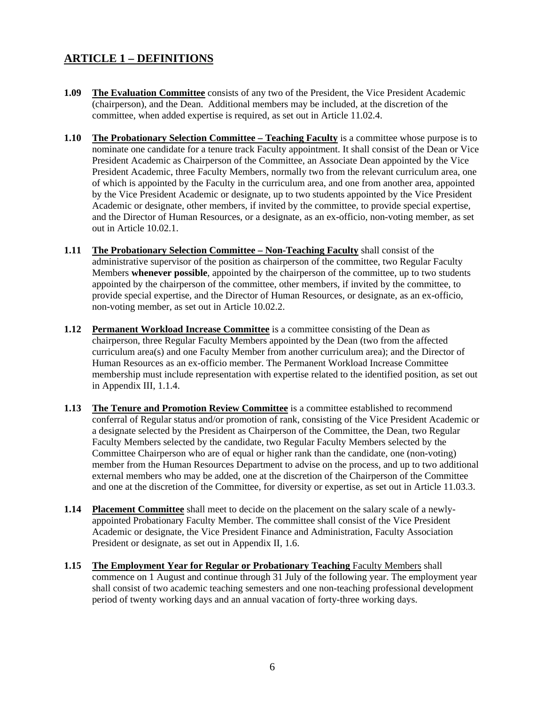## **ARTICLE 1 – DEFINITIONS**

- **1.09** The Evaluation Committee consists of any two of the President, the Vice President Academic (chairperson), and the Dean. Additional members may be included, at the discretion of the committee, when added expertise is required, as set out in Article 11.02.4.
- **1.10 The Probationary Selection Committee Teaching Faculty** is a committee whose purpose is to nominate one candidate for a tenure track Faculty appointment. It shall consist of the Dean or Vice President Academic as Chairperson of the Committee, an Associate Dean appointed by the Vice President Academic, three Faculty Members, normally two from the relevant curriculum area, one of which is appointed by the Faculty in the curriculum area, and one from another area, appointed by the Vice President Academic or designate, up to two students appointed by the Vice President Academic or designate, other members, if invited by the committee, to provide special expertise, and the Director of Human Resources, or a designate, as an ex-officio, non-voting member, as set out in Article 10.02.1.
- **1.11 The Probationary Selection Committee Non-Teaching Faculty** shall consist of the administrative supervisor of the position as chairperson of the committee, two Regular Faculty Members **whenever possible**, appointed by the chairperson of the committee, up to two students appointed by the chairperson of the committee, other members, if invited by the committee, to provide special expertise, and the Director of Human Resources, or designate, as an ex-officio, non-voting member, as set out in Article 10.02.2.
- **1.12 Permanent Workload Increase Committee** is a committee consisting of the Dean as chairperson, three Regular Faculty Members appointed by the Dean (two from the affected curriculum area(s) and one Faculty Member from another curriculum area); and the Director of Human Resources as an ex-officio member. The Permanent Workload Increase Committee membership must include representation with expertise related to the identified position, as set out in Appendix III, 1.1.4.
- **1.13 The Tenure and Promotion Review Committee** is a committee established to recommend conferral of Regular status and/or promotion of rank, consisting of the Vice President Academic or a designate selected by the President as Chairperson of the Committee, the Dean, two Regular Faculty Members selected by the candidate, two Regular Faculty Members selected by the Committee Chairperson who are of equal or higher rank than the candidate, one (non-voting) member from the Human Resources Department to advise on the process, and up to two additional external members who may be added, one at the discretion of the Chairperson of the Committee and one at the discretion of the Committee, for diversity or expertise, as set out in Article 11.03.3.
- **1.14 Placement Committee** shall meet to decide on the placement on the salary scale of a newlyappointed Probationary Faculty Member. The committee shall consist of the Vice President Academic or designate, the Vice President Finance and Administration, Faculty Association President or designate, as set out in Appendix II, 1.6.
- **1.15 The Employment Year for Regular or Probationary Teaching** Faculty Members shall commence on 1 August and continue through 31 July of the following year. The employment year shall consist of two academic teaching semesters and one non-teaching professional development period of twenty working days and an annual vacation of forty-three working days.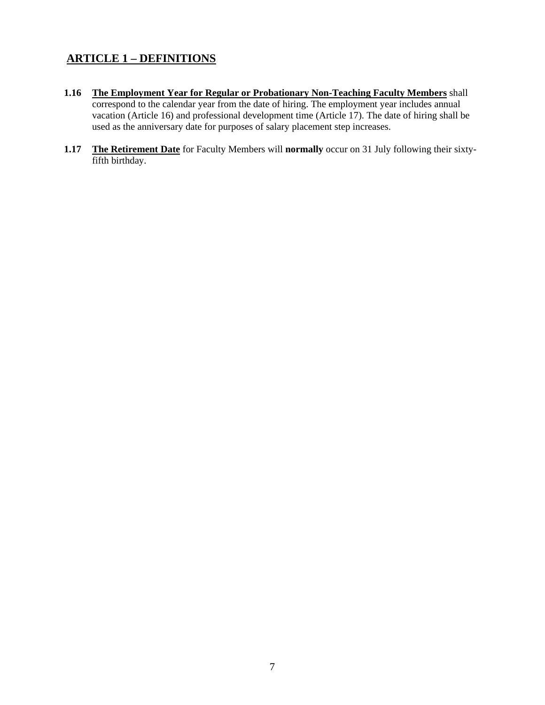## **ARTICLE 1 – DEFINITIONS**

- **1.16 The Employment Year for Regular or Probationary Non-Teaching Faculty Members** shall correspond to the calendar year from the date of hiring. The employment year includes annual vacation (Article 16) and professional development time (Article 17). The date of hiring shall be used as the anniversary date for purposes of salary placement step increases.
- **1.17 The Retirement Date** for Faculty Members will **normally** occur on 31 July following their sixtyfifth birthday.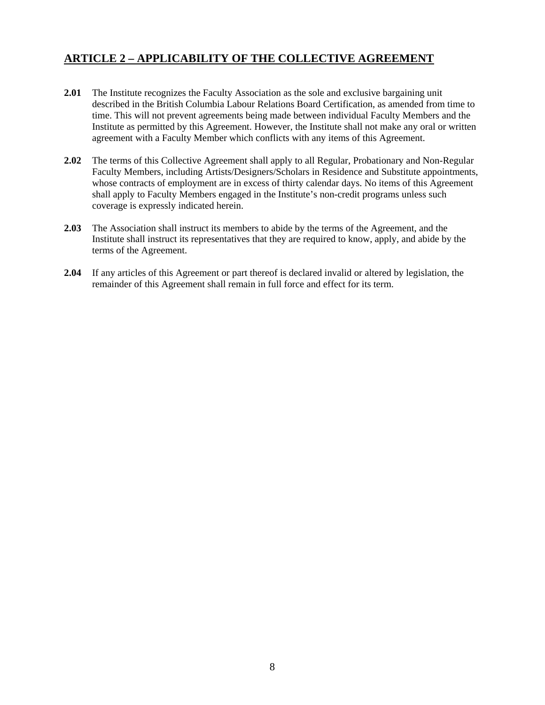## **ARTICLE 2 – APPLICABILITY OF THE COLLECTIVE AGREEMENT**

- **2.01** The Institute recognizes the Faculty Association as the sole and exclusive bargaining unit described in the British Columbia Labour Relations Board Certification, as amended from time to time. This will not prevent agreements being made between individual Faculty Members and the Institute as permitted by this Agreement. However, the Institute shall not make any oral or written agreement with a Faculty Member which conflicts with any items of this Agreement.
- **2.02** The terms of this Collective Agreement shall apply to all Regular, Probationary and Non-Regular Faculty Members, including Artists/Designers/Scholars in Residence and Substitute appointments, whose contracts of employment are in excess of thirty calendar days. No items of this Agreement shall apply to Faculty Members engaged in the Institute's non-credit programs unless such coverage is expressly indicated herein.
- **2.03** The Association shall instruct its members to abide by the terms of the Agreement, and the Institute shall instruct its representatives that they are required to know, apply, and abide by the terms of the Agreement.
- **2.04** If any articles of this Agreement or part thereof is declared invalid or altered by legislation, the remainder of this Agreement shall remain in full force and effect for its term.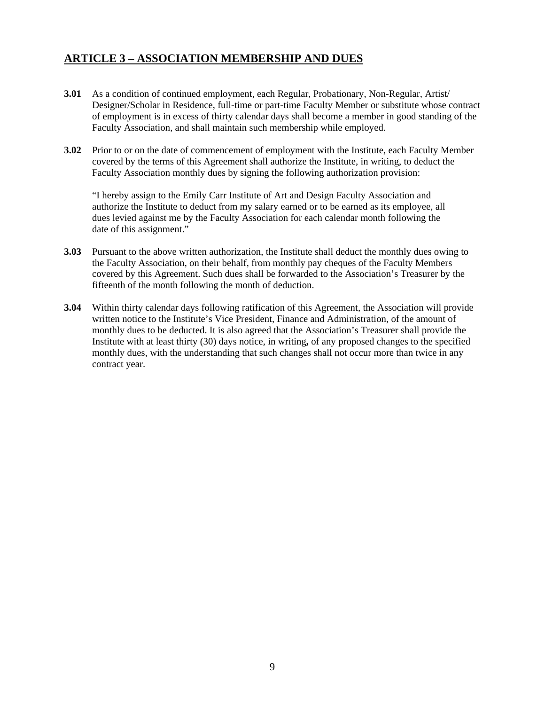## **ARTICLE 3 – ASSOCIATION MEMBERSHIP AND DUES**

- **3.01** As a condition of continued employment, each Regular, Probationary, Non-Regular, Artist/ Designer/Scholar in Residence, full-time or part-time Faculty Member or substitute whose contract of employment is in excess of thirty calendar days shall become a member in good standing of the Faculty Association, and shall maintain such membership while employed.
- **3.02** Prior to or on the date of commencement of employment with the Institute, each Faculty Member covered by the terms of this Agreement shall authorize the Institute, in writing, to deduct the Faculty Association monthly dues by signing the following authorization provision:

 "I hereby assign to the Emily Carr Institute of Art and Design Faculty Association and authorize the Institute to deduct from my salary earned or to be earned as its employee, all dues levied against me by the Faculty Association for each calendar month following the date of this assignment."

- **3.03** Pursuant to the above written authorization, the Institute shall deduct the monthly dues owing to the Faculty Association, on their behalf, from monthly pay cheques of the Faculty Members covered by this Agreement. Such dues shall be forwarded to the Association's Treasurer by the fifteenth of the month following the month of deduction.
- **3.04** Within thirty calendar days following ratification of this Agreement, the Association will provide written notice to the Institute's Vice President, Finance and Administration, of the amount of monthly dues to be deducted. It is also agreed that the Association's Treasurer shall provide the Institute with at least thirty (30) days notice, in writing**,** of any proposed changes to the specified monthly dues, with the understanding that such changes shall not occur more than twice in any contract year.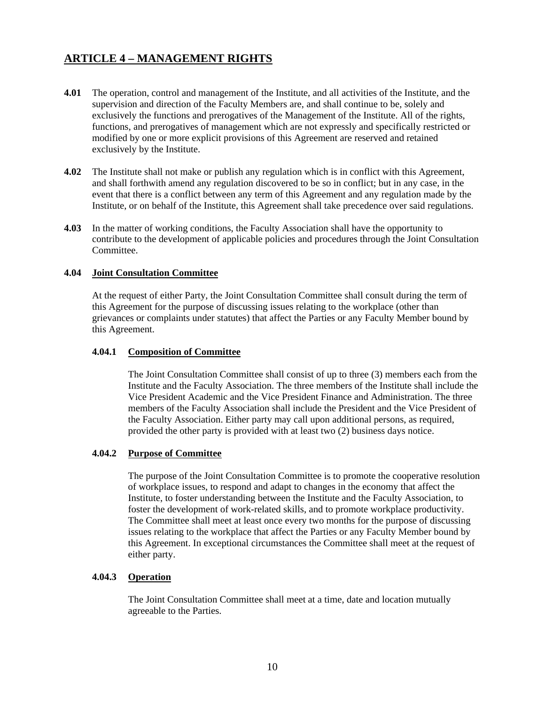## **ARTICLE 4 – MANAGEMENT RIGHTS**

- **4.01** The operation, control and management of the Institute, and all activities of the Institute, and the supervision and direction of the Faculty Members are, and shall continue to be, solely and exclusively the functions and prerogatives of the Management of the Institute. All of the rights, functions, and prerogatives of management which are not expressly and specifically restricted or modified by one or more explicit provisions of this Agreement are reserved and retained exclusively by the Institute.
- **4.02** The Institute shall not make or publish any regulation which is in conflict with this Agreement, and shall forthwith amend any regulation discovered to be so in conflict; but in any case, in the event that there is a conflict between any term of this Agreement and any regulation made by the Institute, or on behalf of the Institute, this Agreement shall take precedence over said regulations.
- **4.03** In the matter of working conditions, the Faculty Association shall have the opportunity to contribute to the development of applicable policies and procedures through the Joint Consultation Committee.

### **4.04 Joint Consultation Committee**

At the request of either Party, the Joint Consultation Committee shall consult during the term of this Agreement for the purpose of discussing issues relating to the workplace (other than grievances or complaints under statutes) that affect the Parties or any Faculty Member bound by this Agreement.

### **4.04.1 Composition of Committee**

The Joint Consultation Committee shall consist of up to three (3) members each from the Institute and the Faculty Association. The three members of the Institute shall include the Vice President Academic and the Vice President Finance and Administration. The three members of the Faculty Association shall include the President and the Vice President of the Faculty Association. Either party may call upon additional persons, as required, provided the other party is provided with at least two (2) business days notice.

### **4.04.2 Purpose of Committee**

The purpose of the Joint Consultation Committee is to promote the cooperative resolution of workplace issues, to respond and adapt to changes in the economy that affect the Institute, to foster understanding between the Institute and the Faculty Association, to foster the development of work-related skills, and to promote workplace productivity. The Committee shall meet at least once every two months for the purpose of discussing issues relating to the workplace that affect the Parties or any Faculty Member bound by this Agreement. In exceptional circumstances the Committee shall meet at the request of either party.

### **4.04.3 Operation**

The Joint Consultation Committee shall meet at a time, date and location mutually agreeable to the Parties.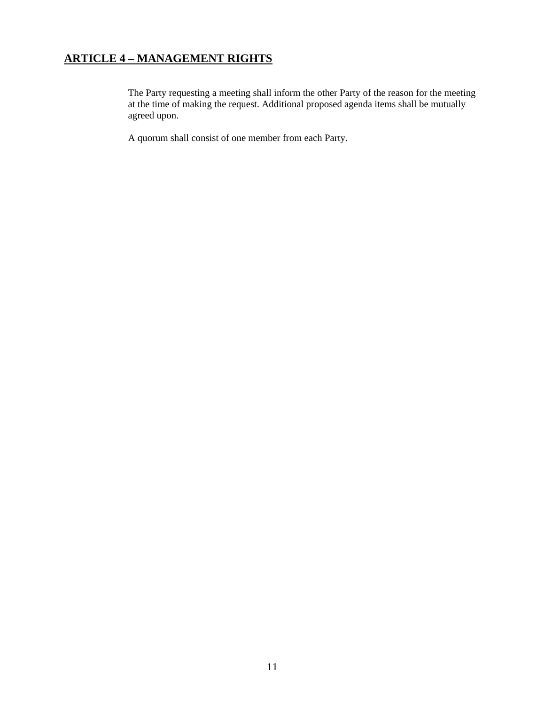## **ARTICLE 4 – MANAGEMENT RIGHTS**

The Party requesting a meeting shall inform the other Party of the reason for the meeting at the time of making the request. Additional proposed agenda items shall be mutually agreed upon.

A quorum shall consist of one member from each Party.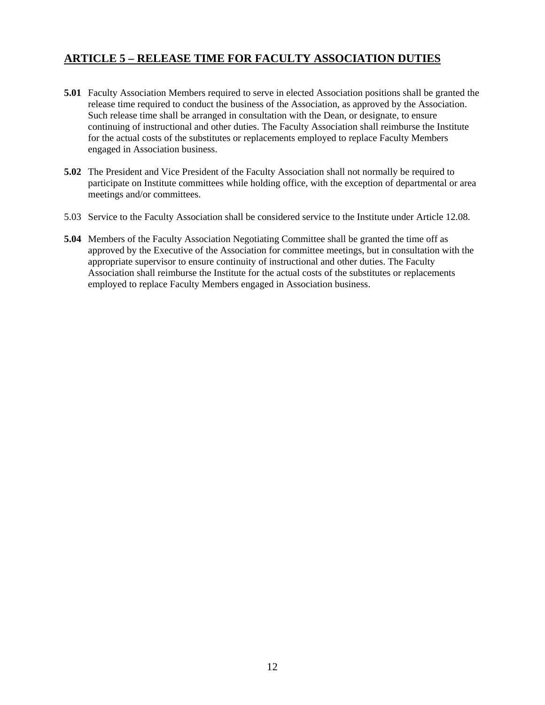## **ARTICLE 5 – RELEASE TIME FOR FACULTY ASSOCIATION DUTIES**

- **5.01** Faculty Association Members required to serve in elected Association positions shall be granted the release time required to conduct the business of the Association, as approved by the Association. Such release time shall be arranged in consultation with the Dean, or designate, to ensure continuing of instructional and other duties. The Faculty Association shall reimburse the Institute for the actual costs of the substitutes or replacements employed to replace Faculty Members engaged in Association business.
- **5.02** The President and Vice President of the Faculty Association shall not normally be required to participate on Institute committees while holding office, with the exception of departmental or area meetings and/or committees.
- 5.03 Service to the Faculty Association shall be considered service to the Institute under Article 12.08.
- **5.04** Members of the Faculty Association Negotiating Committee shall be granted the time off as approved by the Executive of the Association for committee meetings, but in consultation with the appropriate supervisor to ensure continuity of instructional and other duties. The Faculty Association shall reimburse the Institute for the actual costs of the substitutes or replacements employed to replace Faculty Members engaged in Association business.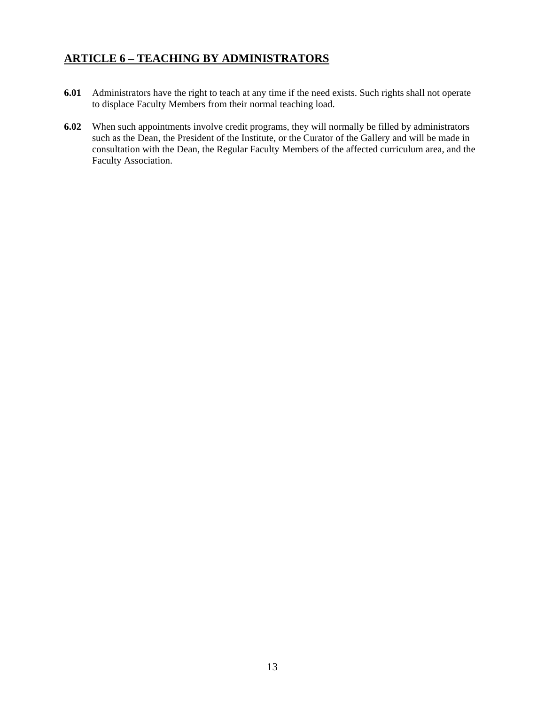## **ARTICLE 6 – TEACHING BY ADMINISTRATORS**

- **6.01** Administrators have the right to teach at any time if the need exists. Such rights shall not operate to displace Faculty Members from their normal teaching load.
- **6.02** When such appointments involve credit programs, they will normally be filled by administrators such as the Dean, the President of the Institute, or the Curator of the Gallery and will be made in consultation with the Dean, the Regular Faculty Members of the affected curriculum area, and the Faculty Association.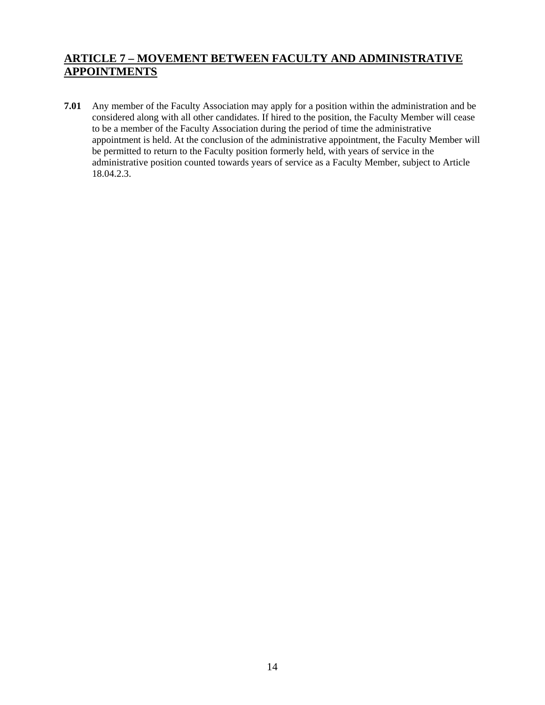## **ARTICLE 7 – MOVEMENT BETWEEN FACULTY AND ADMINISTRATIVE APPOINTMENTS**

**7.01** Any member of the Faculty Association may apply for a position within the administration and be considered along with all other candidates. If hired to the position, the Faculty Member will cease to be a member of the Faculty Association during the period of time the administrative appointment is held. At the conclusion of the administrative appointment, the Faculty Member will be permitted to return to the Faculty position formerly held, with years of service in the administrative position counted towards years of service as a Faculty Member, subject to Article 18.04.2.3.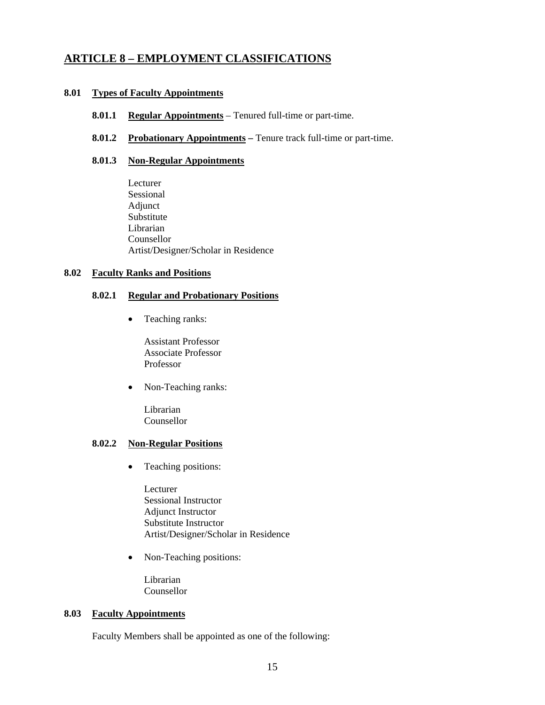### **8.01 Types of Faculty Appointments**

- **8.01.1 Regular Appointments** Tenured full-time or part-time.
- **8.01.2 Probationary Appointments** Tenure track full-time or part-time.

### **8.01.3 Non-Regular Appointments**

Lecturer Sessional Adjunct Substitute Librarian Counsellor Artist/Designer/Scholar in Residence

### **8.02 Faculty Ranks and Positions**

### **8.02.1 Regular and Probationary Positions**

• Teaching ranks:

Assistant Professor Associate Professor Professor

• Non-Teaching ranks:

Librarian Counsellor

### **8.02.2 Non-Regular Positions**

• Teaching positions:

Lecturer Sessional Instructor Adjunct Instructor Substitute Instructor Artist/Designer/Scholar in Residence

• Non-Teaching positions:

 Librarian Counsellor

#### **8.03 Faculty Appointments**

Faculty Members shall be appointed as one of the following: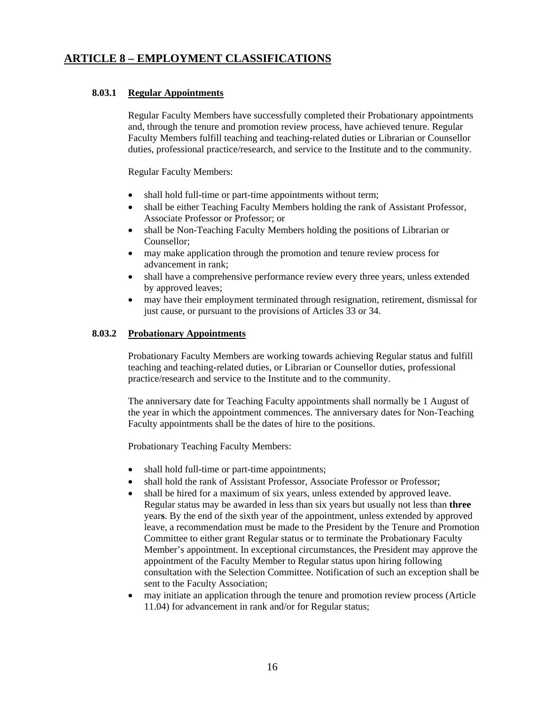### **8.03.1 Regular Appointments**

Regular Faculty Members have successfully completed their Probationary appointments and, through the tenure and promotion review process, have achieved tenure. Regular Faculty Members fulfill teaching and teaching-related duties or Librarian or Counsellor duties, professional practice/research, and service to the Institute and to the community.

Regular Faculty Members:

- shall hold full-time or part-time appointments without term;
- shall be either Teaching Faculty Members holding the rank of Assistant Professor, Associate Professor or Professor; or
- shall be Non-Teaching Faculty Members holding the positions of Librarian or Counsellor;
- may make application through the promotion and tenure review process for advancement in rank;
- shall have a comprehensive performance review every three years, unless extended by approved leaves;
- may have their employment terminated through resignation, retirement, dismissal for just cause, or pursuant to the provisions of Articles 33 or 34.

### **8.03.2 Probationary Appointments**

Probationary Faculty Members are working towards achieving Regular status and fulfill teaching and teaching-related duties, or Librarian or Counsellor duties, professional practice/research and service to the Institute and to the community.

The anniversary date for Teaching Faculty appointments shall normally be 1 August of the year in which the appointment commences. The anniversary dates for Non-Teaching Faculty appointments shall be the dates of hire to the positions.

Probationary Teaching Faculty Members:

- shall hold full-time or part-time appointments;
- shall hold the rank of Assistant Professor, Associate Professor or Professor;
- shall be hired for a maximum of six years, unless extended by approved leave. Regular status may be awarded in less than six years but usually not less than **three**  year**s**. By the end of the sixth year of the appointment, unless extended by approved leave, a recommendation must be made to the President by the Tenure and Promotion Committee to either grant Regular status or to terminate the Probationary Faculty Member's appointment. In exceptional circumstances, the President may approve the appointment of the Faculty Member to Regular status upon hiring following consultation with the Selection Committee. Notification of such an exception shall be sent to the Faculty Association;
- may initiate an application through the tenure and promotion review process (Article 11.04) for advancement in rank and/or for Regular status;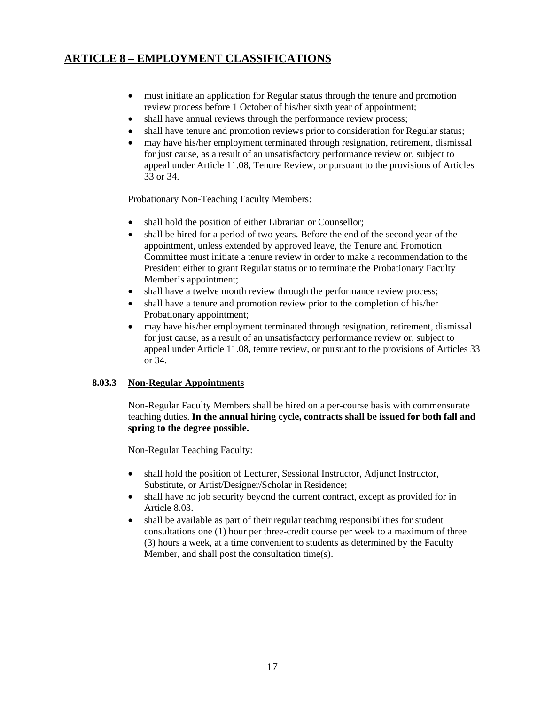- must initiate an application for Regular status through the tenure and promotion review process before 1 October of his/her sixth year of appointment;
- shall have annual reviews through the performance review process;
- shall have tenure and promotion reviews prior to consideration for Regular status;
- may have his/her employment terminated through resignation, retirement, dismissal for just cause, as a result of an unsatisfactory performance review or, subject to appeal under Article 11.08, Tenure Review, or pursuant to the provisions of Articles 33 or 34.

Probationary Non-Teaching Faculty Members:

- shall hold the position of either Librarian or Counsellor;
- shall be hired for a period of two years. Before the end of the second year of the appointment, unless extended by approved leave, the Tenure and Promotion Committee must initiate a tenure review in order to make a recommendation to the President either to grant Regular status or to terminate the Probationary Faculty Member's appointment;
- shall have a twelve month review through the performance review process;
- shall have a tenure and promotion review prior to the completion of his/her Probationary appointment;
- may have his/her employment terminated through resignation, retirement, dismissal for just cause, as a result of an unsatisfactory performance review or, subject to appeal under Article 11.08, tenure review, or pursuant to the provisions of Articles 33 or 34.

### **8.03.3 Non-Regular Appointments**

Non-Regular Faculty Members shall be hired on a per-course basis with commensurate teaching duties. **In the annual hiring cycle, contracts shall be issued for both fall and spring to the degree possible.** 

Non-Regular Teaching Faculty:

- shall hold the position of Lecturer, Sessional Instructor, Adjunct Instructor, Substitute, or Artist/Designer/Scholar in Residence;
- shall have no job security beyond the current contract, except as provided for in Article 8.03.
- shall be available as part of their regular teaching responsibilities for student consultations one (1) hour per three-credit course per week to a maximum of three (3) hours a week, at a time convenient to students as determined by the Faculty Member, and shall post the consultation time(s).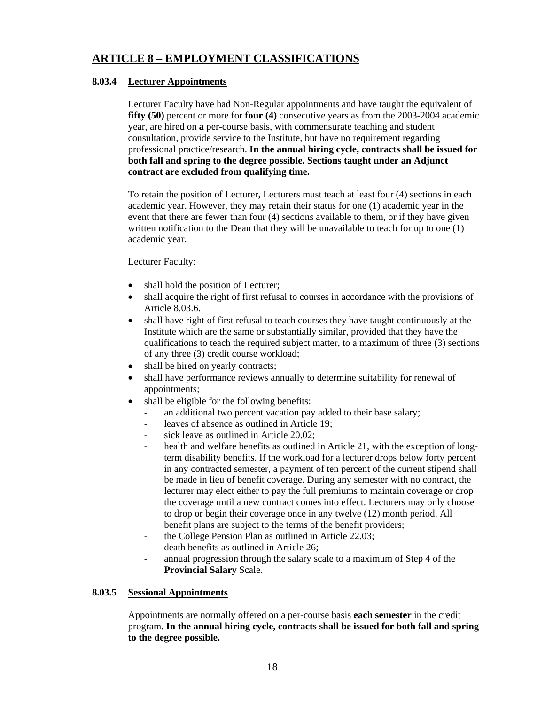### **8.03.4 Lecturer Appointments**

Lecturer Faculty have had Non-Regular appointments and have taught the equivalent of **fifty (50)** percent or more for **four (4)** consecutive years as from the 2003-2004 academic year, are hired on **a** per-course basis, with commensurate teaching and student consultation, provide service to the Institute, but have no requirement regarding professional practice/research. **In the annual hiring cycle, contracts shall be issued for both fall and spring to the degree possible. Sections taught under an Adjunct contract are excluded from qualifying time.** 

 To retain the position of Lecturer, Lecturers must teach at least four (4) sections in each academic year. However, they may retain their status for one (1) academic year in the event that there are fewer than four (4) sections available to them, or if they have given written notification to the Dean that they will be unavailable to teach for up to one (1) academic year.

Lecturer Faculty:

- shall hold the position of Lecturer;
- shall acquire the right of first refusal to courses in accordance with the provisions of Article 8.03.6.
- shall have right of first refusal to teach courses they have taught continuously at the Institute which are the same or substantially similar, provided that they have the qualifications to teach the required subject matter, to a maximum of three (3) sections of any three (3) credit course workload;
- shall be hired on yearly contracts;
- shall have performance reviews annually to determine suitability for renewal of appointments;
- shall be eligible for the following benefits:
	- an additional two percent vacation pay added to their base salary;
	- leaves of absence as outlined in Article 19:
	- sick leave as outlined in Article 20.02:
	- health and welfare benefits as outlined in Article 21, with the exception of longterm disability benefits. If the workload for a lecturer drops below forty percent in any contracted semester, a payment of ten percent of the current stipend shall be made in lieu of benefit coverage. During any semester with no contract, the lecturer may elect either to pay the full premiums to maintain coverage or drop the coverage until a new contract comes into effect. Lecturers may only choose to drop or begin their coverage once in any twelve (12) month period. All benefit plans are subject to the terms of the benefit providers;
	- the College Pension Plan as outlined in Article 22.03;
	- death benefits as outlined in Article 26:
	- annual progression through the salary scale to a maximum of Step 4 of the **Provincial Salary** Scale.

### **8.03.5 Sessional Appointments**

Appointments are normally offered on a per-course basis **each semester** in the credit program. **In the annual hiring cycle, contracts shall be issued for both fall and spring to the degree possible.**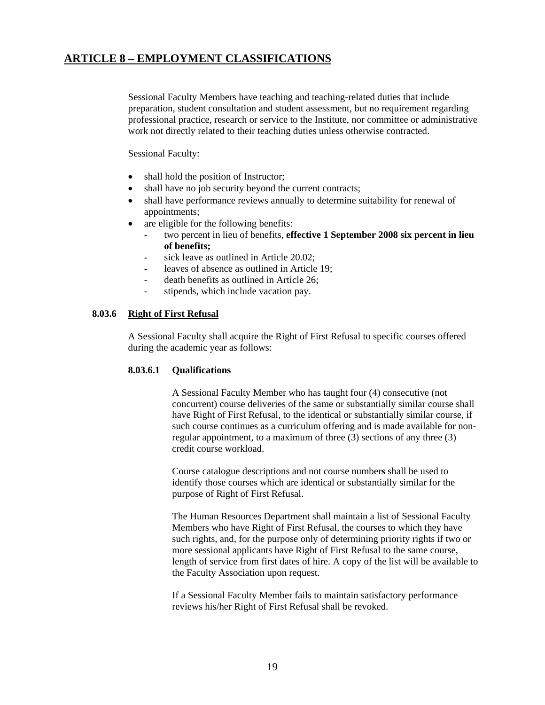Sessional Faculty Members have teaching and teaching-related duties that include preparation, student consultation and student assessment, but no requirement regarding professional practice, research or service to the Institute, nor committee or administrative work not directly related to their teaching duties unless otherwise contracted.

Sessional Faculty:

- shall hold the position of Instructor;
- shall have no job security beyond the current contracts;
- shall have performance reviews annually to determine suitability for renewal of appointments;
- are eligible for the following benefits:
	- two percent in lieu of benefits, effective 1 September 2008 six percent in lieu **of benefits;**
	- sick leave as outlined in Article 20.02;
	- leaves of absence as outlined in Article 19:
	- death benefits as outlined in Article 26;
	- stipends, which include vacation pay.

### **8.03.6 Right of First Refusal**

A Sessional Faculty shall acquire the Right of First Refusal to specific courses offered during the academic year as follows:

### **8.03.6.1 Qualifications**

A Sessional Faculty Member who has taught four (4) consecutive (not concurrent) course deliveries of the same or substantially similar course shall have Right of First Refusal, to the identical or substantially similar course, if such course continues as a curriculum offering and is made available for nonregular appointment, to a maximum of three (3) sections of any three (3) credit course workload.

 Course catalogue descriptions and not course number**s** shall be used to identify those courses which are identical or substantially similar for the purpose of Right of First Refusal.

 The Human Resources Department shall maintain a list of Sessional Faculty Members who have Right of First Refusal, the courses to which they have such rights, and, for the purpose only of determining priority rights if two or more sessional applicants have Right of First Refusal to the same course, length of service from first dates of hire. A copy of the list will be available to the Faculty Association upon request.

If a Sessional Faculty Member fails to maintain satisfactory performance reviews his/her Right of First Refusal shall be revoked.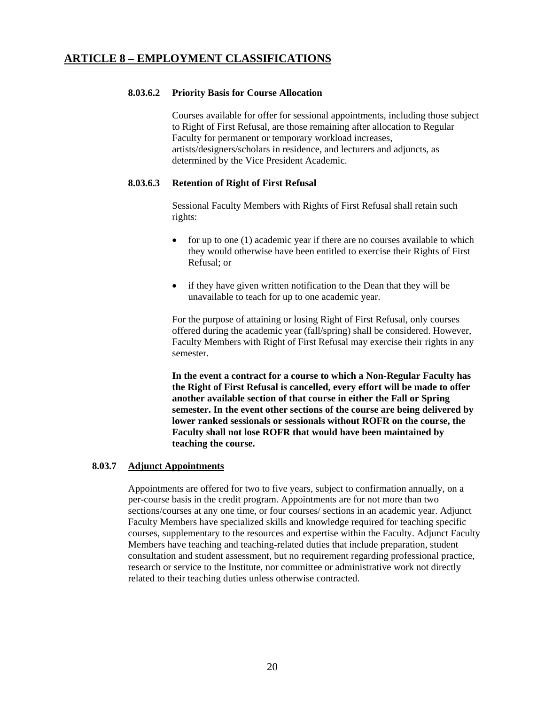### **8.03.6.2 Priority Basis for Course Allocation**

 Courses available for offer for sessional appointments, including those subject to Right of First Refusal, are those remaining after allocation to Regular Faculty for permanent or temporary workload increases, artists/designers/scholars in residence, and lecturers and adjuncts, as determined by the Vice President Academic.

### **8.03.6.3 Retention of Right of First Refusal**

Sessional Faculty Members with Rights of First Refusal shall retain such rights:

- for up to one (1) academic year if there are no courses available to which they would otherwise have been entitled to exercise their Rights of First Refusal; or
- if they have given written notification to the Dean that they will be unavailable to teach for up to one academic year.

For the purpose of attaining or losing Right of First Refusal, only courses offered during the academic year (fall/spring) shall be considered. However, Faculty Members with Right of First Refusal may exercise their rights in any semester.

**In the event a contract for a course to which a Non-Regular Faculty has the Right of First Refusal is cancelled, every effort will be made to offer another available section of that course in either the Fall or Spring semester. In the event other sections of the course are being delivered by lower ranked sessionals or sessionals without ROFR on the course, the Faculty shall not lose ROFR that would have been maintained by teaching the course.** 

### **8.03.7 Adjunct Appointments**

 Appointments are offered for two to five years, subject to confirmation annually, on a per-course basis in the credit program. Appointments are for not more than two sections/courses at any one time, or four courses/ sections in an academic year. Adjunct Faculty Members have specialized skills and knowledge required for teaching specific courses, supplementary to the resources and expertise within the Faculty. Adjunct Faculty Members have teaching and teaching-related duties that include preparation, student consultation and student assessment, but no requirement regarding professional practice, research or service to the Institute, nor committee or administrative work not directly related to their teaching duties unless otherwise contracted.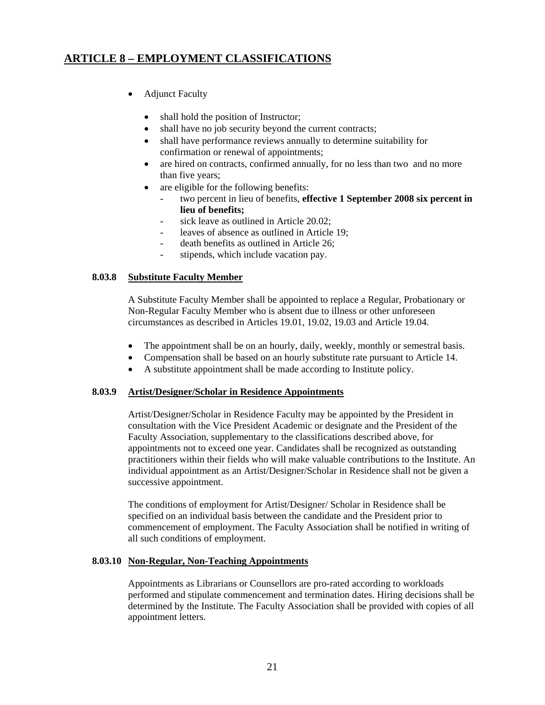- Adjunct Faculty
	- shall hold the position of Instructor;
	- shall have no job security beyond the current contracts;
	- shall have performance reviews annually to determine suitability for confirmation or renewal of appointments;
	- are hired on contracts, confirmed annually, for no less than two and no more than five years;
	- are eligible for the following benefits:
		- two percent in lieu of benefits, **effective 1 September 2008 six percent in lieu of benefits;**
		- sick leave as outlined in Article 20.02:
		- leaves of absence as outlined in Article 19;
		- death benefits as outlined in Article 26;
		- stipends, which include vacation pay.

### **8.03.8 Substitute Faculty Member**

A Substitute Faculty Member shall be appointed to replace a Regular, Probationary or Non-Regular Faculty Member who is absent due to illness or other unforeseen circumstances as described in Articles 19.01, 19.02, 19.03 and Article 19.04.

- The appointment shall be on an hourly, daily, weekly, monthly or semestral basis.
- Compensation shall be based on an hourly substitute rate pursuant to Article 14.
- A substitute appointment shall be made according to Institute policy.

### **8.03.9 Artist/Designer/Scholar in Residence Appointments**

Artist/Designer/Scholar in Residence Faculty may be appointed by the President in consultation with the Vice President Academic or designate and the President of the Faculty Association, supplementary to the classifications described above, for appointments not to exceed one year. Candidates shall be recognized as outstanding practitioners within their fields who will make valuable contributions to the Institute. An individual appointment as an Artist/Designer/Scholar in Residence shall not be given a successive appointment.

 The conditions of employment for Artist/Designer/ Scholar in Residence shall be specified on an individual basis between the candidate and the President prior to commencement of employment. The Faculty Association shall be notified in writing of all such conditions of employment.

### **8.03.10 Non-Regular, Non-Teaching Appointments**

Appointments as Librarians or Counsellors are pro-rated according to workloads performed and stipulate commencement and termination dates. Hiring decisions shall be determined by the Institute. The Faculty Association shall be provided with copies of all appointment letters.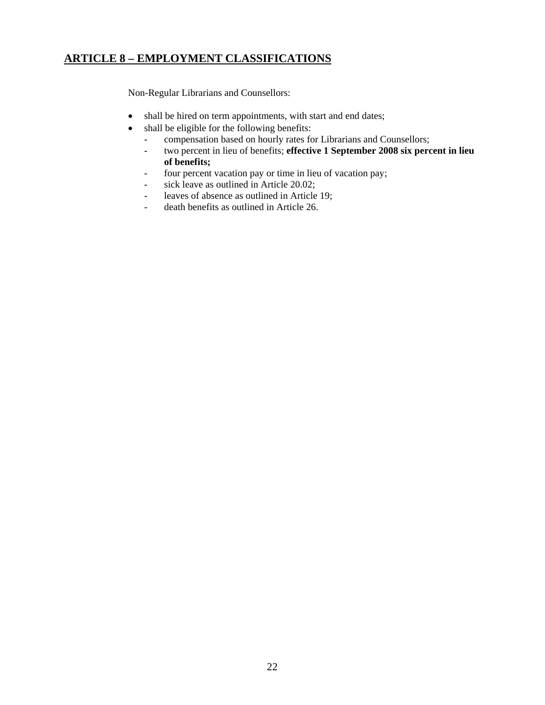Non-Regular Librarians and Counsellors:

- shall be hired on term appointments, with start and end dates;
- shall be eligible for the following benefits:
	- compensation based on hourly rates for Librarians and Counsellors;
	- two percent in lieu of benefits; **effective 1 September 2008 six percent in lieu of benefits;**
	- four percent vacation pay or time in lieu of vacation pay;
	- sick leave as outlined in Article 20.02;
	- leaves of absence as outlined in Article 19;
	- death benefits as outlined in Article 26.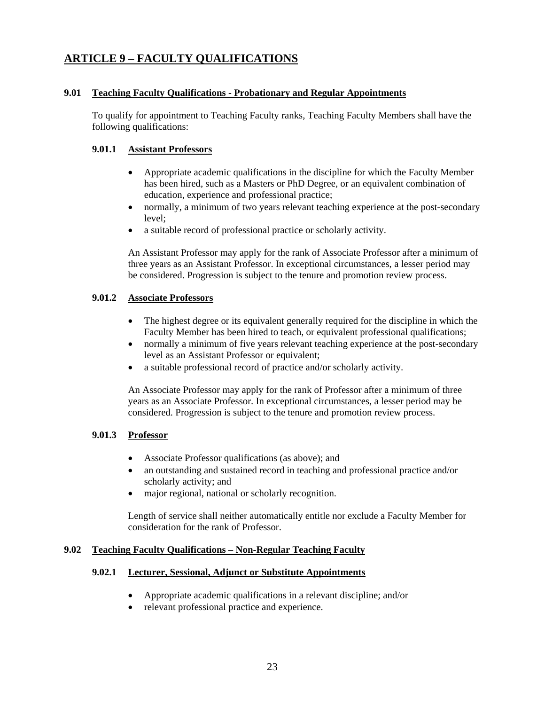## **ARTICLE 9 – FACULTY QUALIFICATIONS**

### **9.01 Teaching Faculty Qualifications - Probationary and Regular Appointments**

 To qualify for appointment to Teaching Faculty ranks, Teaching Faculty Members shall have the following qualifications:

### **9.01.1 Assistant Professors**

- Appropriate academic qualifications in the discipline for which the Faculty Member has been hired, such as a Masters or PhD Degree, or an equivalent combination of education, experience and professional practice;
- normally, a minimum of two years relevant teaching experience at the post-secondary level;
- a suitable record of professional practice or scholarly activity.

An Assistant Professor may apply for the rank of Associate Professor after a minimum of three years as an Assistant Professor. In exceptional circumstances, a lesser period may be considered. Progression is subject to the tenure and promotion review process.

### **9.01.2 Associate Professors**

- The highest degree or its equivalent generally required for the discipline in which the Faculty Member has been hired to teach, or equivalent professional qualifications;
- normally a minimum of five years relevant teaching experience at the post-secondary level as an Assistant Professor or equivalent;
- a suitable professional record of practice and/or scholarly activity.

An Associate Professor may apply for the rank of Professor after a minimum of three years as an Associate Professor. In exceptional circumstances, a lesser period may be considered. Progression is subject to the tenure and promotion review process.

### **9.01.3 Professor**

- Associate Professor qualifications (as above); and
- an outstanding and sustained record in teaching and professional practice and/or scholarly activity; and
- major regional, national or scholarly recognition.

Length of service shall neither automatically entitle nor exclude a Faculty Member for consideration for the rank of Professor.

### **9.02 Teaching Faculty Qualifications – Non-Regular Teaching Faculty**

### **9.02.1 Lecturer, Sessional, Adjunct or Substitute Appointments**

- Appropriate academic qualifications in a relevant discipline; and/or
- relevant professional practice and experience.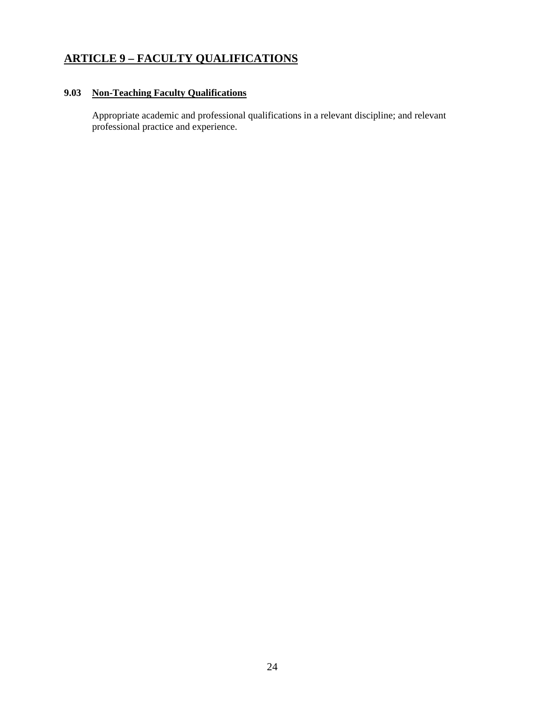## **ARTICLE 9 – FACULTY QUALIFICATIONS**

### **9.03 Non-Teaching Faculty Qualifications**

Appropriate academic and professional qualifications in a relevant discipline; and relevant professional practice and experience.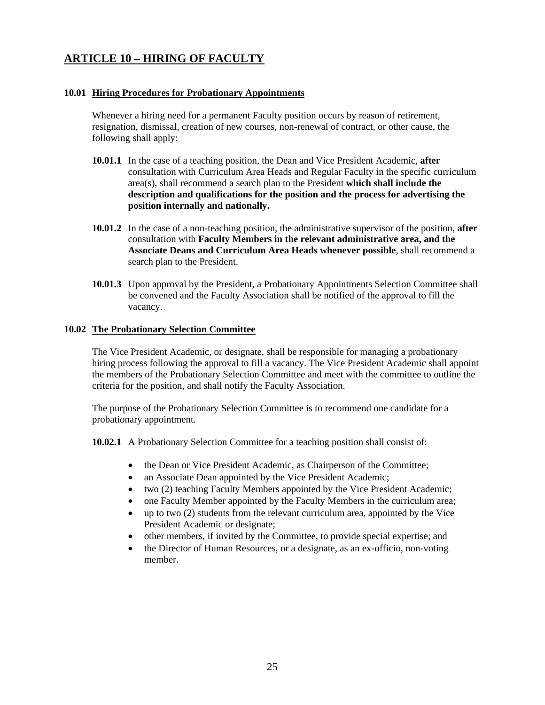## **ARTICLE 10 – HIRING OF FACULTY**

### **10.01 Hiring Procedures for Probationary Appointments**

Whenever a hiring need for a permanent Faculty position occurs by reason of retirement, resignation, dismissal, creation of new courses, non-renewal of contract, or other cause, the following shall apply:

- **10.01.1** In the case of a teaching position, the Dean and Vice President Academic, **after**  consultation with Curriculum Area Heads and Regular Faculty in the specific curriculum area(s), shall recommend a search plan to the President **which shall include the description and qualifications for the position and the process for advertising the position internally and nationally.**
- **10.01.2** In the case of a non-teaching position, the administrative supervisor of the position, **after**  consultation with **Faculty Members in the relevant administrative area, and the Associate Deans and Curriculum Area Heads whenever possible**, shall recommend a search plan to the President.
- **10.01.3** Upon approval by the President, a Probationary Appointments Selection Committee shall be convened and the Faculty Association shall be notified of the approval to fill the vacancy.

### **10.02 The Probationary Selection Committee**

 The Vice President Academic, or designate, shall be responsible for managing a probationary hiring process following the approval to fill a vacancy. The Vice President Academic shall appoint the members of the Probationary Selection Committee and meet with the committee to outline the criteria for the position, and shall notify the Faculty Association.

The purpose of the Probationary Selection Committee is to recommend one candidate for a probationary appointment.

**10.02.1** A Probationary Selection Committee for a teaching position shall consist of:

- the Dean or Vice President Academic, as Chairperson of the Committee;
- an Associate Dean appointed by the Vice President Academic;
- two (2) teaching Faculty Members appointed by the Vice President Academic;
- one Faculty Member appointed by the Faculty Members in the curriculum area;
- up to two (2) students from the relevant curriculum area, appointed by the Vice President Academic or designate;
- other members, if invited by the Committee, to provide special expertise; and
- the Director of Human Resources, or a designate, as an ex-officio, non-voting member.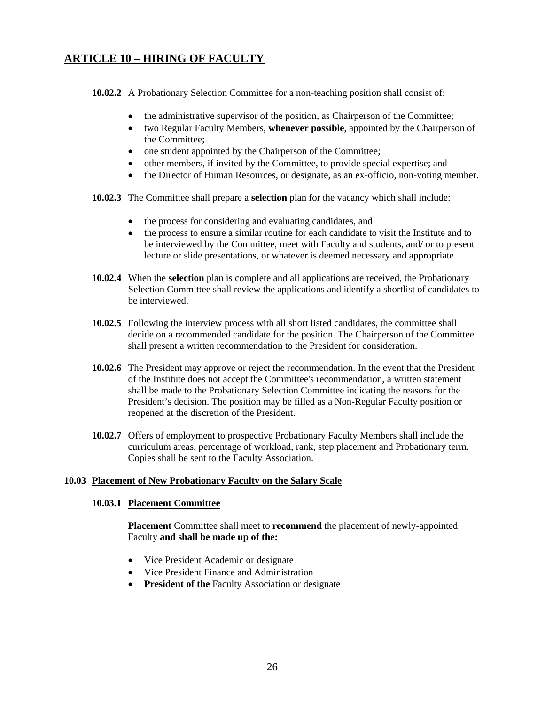## **ARTICLE 10 – HIRING OF FACULTY**

**10.02.2** A Probationary Selection Committee for a non-teaching position shall consist of:

- the administrative supervisor of the position, as Chairperson of the Committee;
- two Regular Faculty Members, **whenever possible**, appointed by the Chairperson of the Committee;
- one student appointed by the Chairperson of the Committee;
- other members, if invited by the Committee, to provide special expertise; and
- the Director of Human Resources, or designate, as an ex-officio, non-voting member.
- **10.02.3** The Committee shall prepare a **selection** plan for the vacancy which shall include:
	- the process for considering and evaluating candidates, and
	- the process to ensure a similar routine for each candidate to visit the Institute and to be interviewed by the Committee, meet with Faculty and students, and/ or to present lecture or slide presentations, or whatever is deemed necessary and appropriate.
- **10.02.4** When the **selection** plan is complete and all applications are received, the Probationary Selection Committee shall review the applications and identify a shortlist of candidates to be interviewed.
- **10.02.5** Following the interview process with all short listed candidates, the committee shall decide on a recommended candidate for the position. The Chairperson of the Committee shall present a written recommendation to the President for consideration.
- **10.02.6** The President may approve or reject the recommendation. In the event that the President of the Institute does not accept the Committee's recommendation, a written statement shall be made to the Probationary Selection Committee indicating the reasons for the President's decision. The position may be filled as a Non-Regular Faculty position or reopened at the discretion of the President.
- **10.02.7** Offers of employment to prospective Probationary Faculty Members shall include the curriculum areas, percentage of workload, rank, step placement and Probationary term. Copies shall be sent to the Faculty Association.

### **10.03 Placement of New Probationary Faculty on the Salary Scale**

### **10.03.1 Placement Committee**

**Placement** Committee shall meet to **recommend** the placement of newly-appointed Faculty **and shall be made up of the:** 

- Vice President Academic or designate
- Vice President Finance and Administration
- **President of the Faculty Association or designate**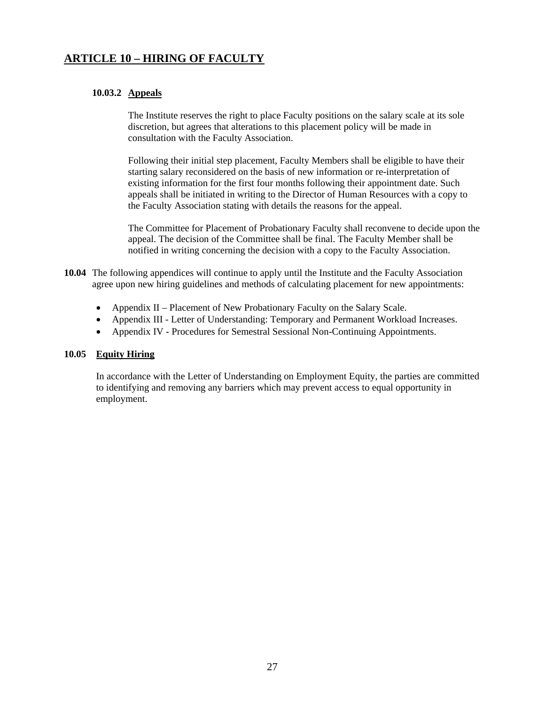## **ARTICLE 10 – HIRING OF FACULTY**

### **10.03.2 Appeals**

The Institute reserves the right to place Faculty positions on the salary scale at its sole discretion, but agrees that alterations to this placement policy will be made in consultation with the Faculty Association.

 Following their initial step placement, Faculty Members shall be eligible to have their starting salary reconsidered on the basis of new information or re-interpretation of existing information for the first four months following their appointment date. Such appeals shall be initiated in writing to the Director of Human Resources with a copy to the Faculty Association stating with details the reasons for the appeal.

 The Committee for Placement of Probationary Faculty shall reconvene to decide upon the appeal. The decision of the Committee shall be final. The Faculty Member shall be notified in writing concerning the decision with a copy to the Faculty Association.

- **10.04** The following appendices will continue to apply until the Institute and the Faculty Association agree upon new hiring guidelines and methods of calculating placement for new appointments:
	- Appendix II Placement of New Probationary Faculty on the Salary Scale.
	- Appendix III Letter of Understanding: Temporary and Permanent Workload Increases.
	- Appendix IV Procedures for Semestral Sessional Non-Continuing Appointments.

### **10.05 Equity Hiring**

In accordance with the Letter of Understanding on Employment Equity, the parties are committed to identifying and removing any barriers which may prevent access to equal opportunity in employment.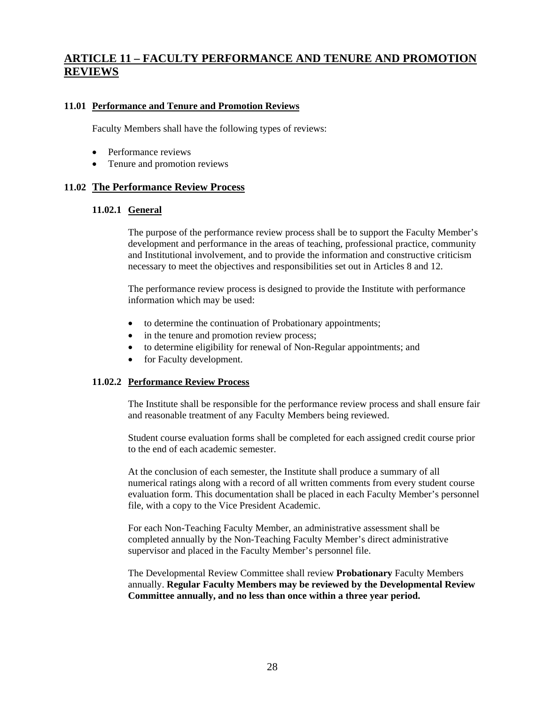### **11.01 Performance and Tenure and Promotion Reviews**

Faculty Members shall have the following types of reviews:

- Performance reviews
- Tenure and promotion reviews

### **11.02 The Performance Review Process**

### **11.02.1 General**

 The purpose of the performance review process shall be to support the Faculty Member's development and performance in the areas of teaching, professional practice, community and Institutional involvement, and to provide the information and constructive criticism necessary to meet the objectives and responsibilities set out in Articles 8 and 12.

 The performance review process is designed to provide the Institute with performance information which may be used:

- to determine the continuation of Probationary appointments;
- in the tenure and promotion review process;
- to determine eligibility for renewal of Non-Regular appointments; and
- for Faculty development.

### **11.02.2 Performance Review Process**

The Institute shall be responsible for the performance review process and shall ensure fair and reasonable treatment of any Faculty Members being reviewed.

Student course evaluation forms shall be completed for each assigned credit course prior to the end of each academic semester.

At the conclusion of each semester, the Institute shall produce a summary of all numerical ratings along with a record of all written comments from every student course evaluation form. This documentation shall be placed in each Faculty Member's personnel file, with a copy to the Vice President Academic.

For each Non-Teaching Faculty Member, an administrative assessment shall be completed annually by the Non-Teaching Faculty Member's direct administrative supervisor and placed in the Faculty Member's personnel file.

The Developmental Review Committee shall review **Probationary** Faculty Members annually. **Regular Faculty Members may be reviewed by the Developmental Review Committee annually, and no less than once within a three year period.**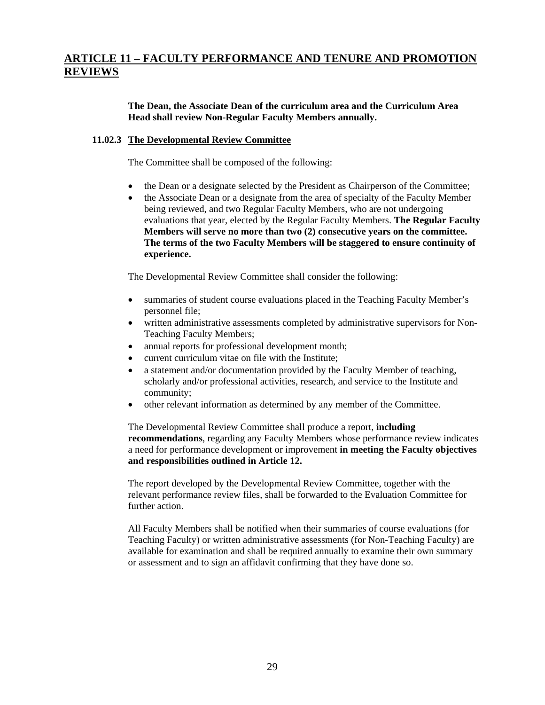### **The Dean, the Associate Dean of the curriculum area and the Curriculum Area Head shall review Non-Regular Faculty Members annually.**

### **11.02.3 The Developmental Review Committee**

The Committee shall be composed of the following:

- the Dean or a designate selected by the President as Chairperson of the Committee;
- the Associate Dean or a designate from the area of specialty of the Faculty Member being reviewed, and two Regular Faculty Members, who are not undergoing evaluations that year, elected by the Regular Faculty Members. **The Regular Faculty Members will serve no more than two (2) consecutive years on the committee. The terms of the two Faculty Members will be staggered to ensure continuity of experience.**

The Developmental Review Committee shall consider the following:

- summaries of student course evaluations placed in the Teaching Faculty Member's personnel file;
- written administrative assessments completed by administrative supervisors for Non-Teaching Faculty Members;
- annual reports for professional development month;
- current curriculum vitae on file with the Institute;
- a statement and/or documentation provided by the Faculty Member of teaching, scholarly and/or professional activities, research, and service to the Institute and community;
- other relevant information as determined by any member of the Committee.

The Developmental Review Committee shall produce a report, **including recommendations**, regarding any Faculty Members whose performance review indicates a need for performance development or improvement **in meeting the Faculty objectives and responsibilities outlined in Article 12.** 

The report developed by the Developmental Review Committee, together with the relevant performance review files, shall be forwarded to the Evaluation Committee for further action.

All Faculty Members shall be notified when their summaries of course evaluations (for Teaching Faculty) or written administrative assessments (for Non-Teaching Faculty) are available for examination and shall be required annually to examine their own summary or assessment and to sign an affidavit confirming that they have done so.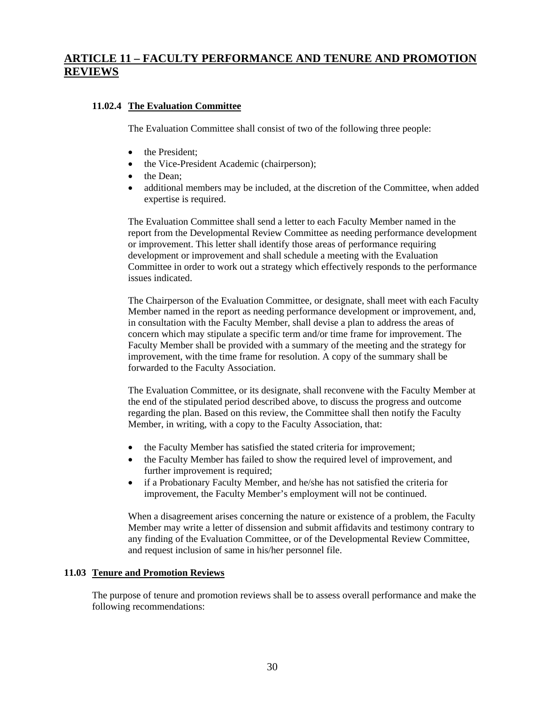### **11.02.4 The Evaluation Committee**

The Evaluation Committee shall consist of two of the following three people:

- the President:
- the Vice-President Academic (chairperson);
- the Dean:
- additional members may be included, at the discretion of the Committee, when added expertise is required.

The Evaluation Committee shall send a letter to each Faculty Member named in the report from the Developmental Review Committee as needing performance development or improvement. This letter shall identify those areas of performance requiring development or improvement and shall schedule a meeting with the Evaluation Committee in order to work out a strategy which effectively responds to the performance issues indicated.

The Chairperson of the Evaluation Committee, or designate, shall meet with each Faculty Member named in the report as needing performance development or improvement, and, in consultation with the Faculty Member, shall devise a plan to address the areas of concern which may stipulate a specific term and/or time frame for improvement. The Faculty Member shall be provided with a summary of the meeting and the strategy for improvement, with the time frame for resolution. A copy of the summary shall be forwarded to the Faculty Association.

The Evaluation Committee, or its designate, shall reconvene with the Faculty Member at the end of the stipulated period described above, to discuss the progress and outcome regarding the plan. Based on this review, the Committee shall then notify the Faculty Member, in writing, with a copy to the Faculty Association, that:

- the Faculty Member has satisfied the stated criteria for improvement;
- the Faculty Member has failed to show the required level of improvement, and further improvement is required;
- if a Probationary Faculty Member, and he/she has not satisfied the criteria for improvement, the Faculty Member's employment will not be continued.

When a disagreement arises concerning the nature or existence of a problem, the Faculty Member may write a letter of dissension and submit affidavits and testimony contrary to any finding of the Evaluation Committee, or of the Developmental Review Committee, and request inclusion of same in his/her personnel file.

### **11.03 Tenure and Promotion Reviews**

The purpose of tenure and promotion reviews shall be to assess overall performance and make the following recommendations: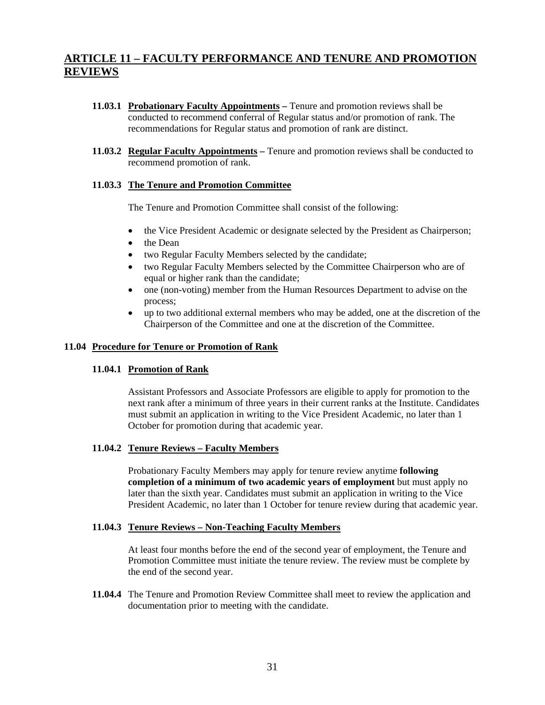- **11.03.1 Probationary Faculty Appointments –** Tenure and promotion reviews shall be conducted to recommend conferral of Regular status and/or promotion of rank. The recommendations for Regular status and promotion of rank are distinct.
- **11.03.2 Regular Faculty Appointments** Tenure and promotion reviews shall be conducted to recommend promotion of rank.

### **11.03.3 The Tenure and Promotion Committee**

The Tenure and Promotion Committee shall consist of the following:

- the Vice President Academic or designate selected by the President as Chairperson;
- the Dean
- two Regular Faculty Members selected by the candidate;
- two Regular Faculty Members selected by the Committee Chairperson who are of equal or higher rank than the candidate;
- one (non-voting) member from the Human Resources Department to advise on the process;
- up to two additional external members who may be added, one at the discretion of the Chairperson of the Committee and one at the discretion of the Committee.

### **11.04 Procedure for Tenure or Promotion of Rank**

### **11.04.1 Promotion of Rank**

Assistant Professors and Associate Professors are eligible to apply for promotion to the next rank after a minimum of three years in their current ranks at the Institute. Candidates must submit an application in writing to the Vice President Academic, no later than 1 October for promotion during that academic year.

### **11.04.2 Tenure Reviews – Faculty Members**

Probationary Faculty Members may apply for tenure review anytime **following completion of a minimum of two academic years of employment** but must apply no later than the sixth year. Candidates must submit an application in writing to the Vice President Academic, no later than 1 October for tenure review during that academic year.

### **11.04.3 Tenure Reviews – Non-Teaching Faculty Members**

At least four months before the end of the second year of employment, the Tenure and Promotion Committee must initiate the tenure review. The review must be complete by the end of the second year.

**11.04.4** The Tenure and Promotion Review Committee shall meet to review the application and documentation prior to meeting with the candidate.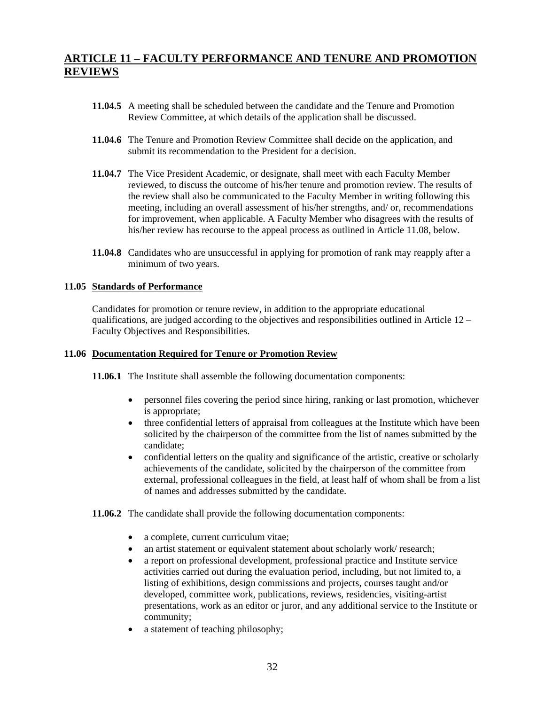- **11.04.5** A meeting shall be scheduled between the candidate and the Tenure and Promotion Review Committee, at which details of the application shall be discussed.
- **11.04.6** The Tenure and Promotion Review Committee shall decide on the application, and submit its recommendation to the President for a decision.
- **11.04.7** The Vice President Academic, or designate, shall meet with each Faculty Member reviewed, to discuss the outcome of his/her tenure and promotion review. The results of the review shall also be communicated to the Faculty Member in writing following this meeting, including an overall assessment of his/her strengths, and/ or, recommendations for improvement, when applicable. A Faculty Member who disagrees with the results of his/her review has recourse to the appeal process as outlined in Article 11.08, below.
- **11.04.8** Candidates who are unsuccessful in applying for promotion of rank may reapply after a minimum of two years.

### **11.05 Standards of Performance**

Candidates for promotion or tenure review, in addition to the appropriate educational qualifications, are judged according to the objectives and responsibilities outlined in Article  $12 -$ Faculty Objectives and Responsibilities.

### **11.06 Documentation Required for Tenure or Promotion Review**

**11.06.1** The Institute shall assemble the following documentation components:

- personnel files covering the period since hiring, ranking or last promotion, whichever is appropriate;
- three confidential letters of appraisal from colleagues at the Institute which have been solicited by the chairperson of the committee from the list of names submitted by the candidate;
- confidential letters on the quality and significance of the artistic, creative or scholarly achievements of the candidate, solicited by the chairperson of the committee from external, professional colleagues in the field, at least half of whom shall be from a list of names and addresses submitted by the candidate.
- **11.06.2** The candidate shall provide the following documentation components:
	- a complete, current curriculum vitae;
	- an artist statement or equivalent statement about scholarly work/ research;
	- a report on professional development, professional practice and Institute service activities carried out during the evaluation period, including, but not limited to, a listing of exhibitions, design commissions and projects, courses taught and/or developed, committee work, publications, reviews, residencies, visiting-artist presentations, work as an editor or juror, and any additional service to the Institute or community;
	- a statement of teaching philosophy;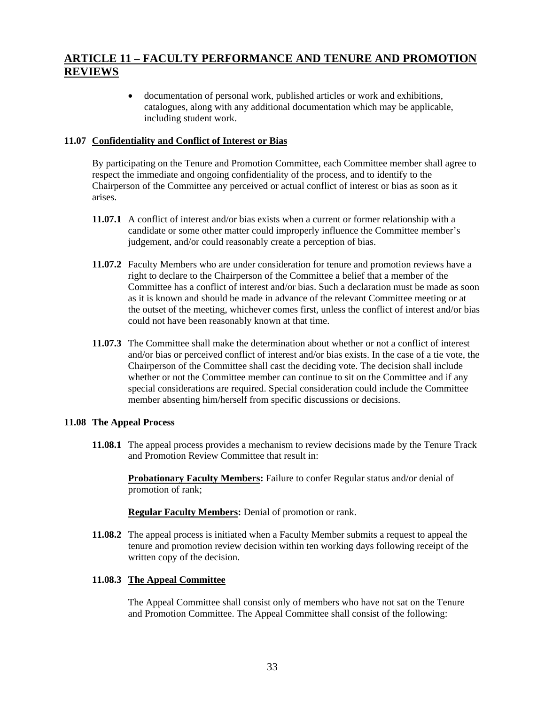• documentation of personal work, published articles or work and exhibitions, catalogues, along with any additional documentation which may be applicable, including student work.

### **11.07 Confidentiality and Conflict of Interest or Bias**

 By participating on the Tenure and Promotion Committee, each Committee member shall agree to respect the immediate and ongoing confidentiality of the process, and to identify to the Chairperson of the Committee any perceived or actual conflict of interest or bias as soon as it arises.

- **11.07.1** A conflict of interest and/or bias exists when a current or former relationship with a candidate or some other matter could improperly influence the Committee member's judgement, and/or could reasonably create a perception of bias.
- **11.07.2** Faculty Members who are under consideration for tenure and promotion reviews have a right to declare to the Chairperson of the Committee a belief that a member of the Committee has a conflict of interest and/or bias. Such a declaration must be made as soon as it is known and should be made in advance of the relevant Committee meeting or at the outset of the meeting, whichever comes first, unless the conflict of interest and/or bias could not have been reasonably known at that time.
- **11.07.3** The Committee shall make the determination about whether or not a conflict of interest and/or bias or perceived conflict of interest and/or bias exists. In the case of a tie vote, the Chairperson of the Committee shall cast the deciding vote. The decision shall include whether or not the Committee member can continue to sit on the Committee and if any special considerations are required. Special consideration could include the Committee member absenting him/herself from specific discussions or decisions.

### **11.08 The Appeal Process**

**11.08.1** The appeal process provides a mechanism to review decisions made by the Tenure Track and Promotion Review Committee that result in:

**Probationary Faculty Members:** Failure to confer Regular status and/or denial of promotion of rank;

**Regular Faculty Members:** Denial of promotion or rank.

**11.08.2** The appeal process is initiated when a Faculty Member submits a request to appeal the tenure and promotion review decision within ten working days following receipt of the written copy of the decision.

### **11.08.3 The Appeal Committee**

The Appeal Committee shall consist only of members who have not sat on the Tenure and Promotion Committee. The Appeal Committee shall consist of the following: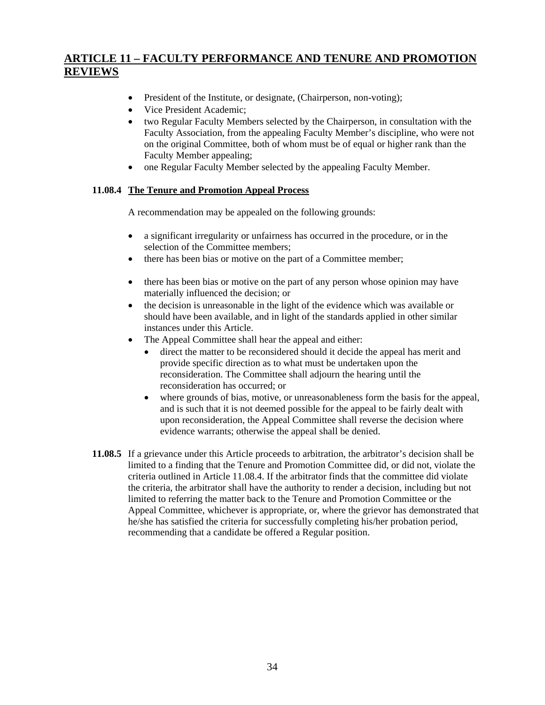- President of the Institute, or designate, (Chairperson, non-voting);
- Vice President Academic:
- two Regular Faculty Members selected by the Chairperson, in consultation with the Faculty Association, from the appealing Faculty Member's discipline, who were not on the original Committee, both of whom must be of equal or higher rank than the Faculty Member appealing;
- one Regular Faculty Member selected by the appealing Faculty Member.

### **11.08.4 The Tenure and Promotion Appeal Process**

A recommendation may be appealed on the following grounds:

- a significant irregularity or unfairness has occurred in the procedure, or in the selection of the Committee members;
- there has been bias or motive on the part of a Committee member;
- there has been bias or motive on the part of any person whose opinion may have materially influenced the decision; or
- the decision is unreasonable in the light of the evidence which was available or should have been available, and in light of the standards applied in other similar instances under this Article.
- The Appeal Committee shall hear the appeal and either:
	- direct the matter to be reconsidered should it decide the appeal has merit and provide specific direction as to what must be undertaken upon the reconsideration. The Committee shall adjourn the hearing until the reconsideration has occurred; or
	- where grounds of bias, motive, or unreasonableness form the basis for the appeal, and is such that it is not deemed possible for the appeal to be fairly dealt with upon reconsideration, the Appeal Committee shall reverse the decision where evidence warrants; otherwise the appeal shall be denied.
- **11.08.5** If a grievance under this Article proceeds to arbitration, the arbitrator's decision shall be limited to a finding that the Tenure and Promotion Committee did, or did not, violate the criteria outlined in Article 11.08.4. If the arbitrator finds that the committee did violate the criteria, the arbitrator shall have the authority to render a decision, including but not limited to referring the matter back to the Tenure and Promotion Committee or the Appeal Committee, whichever is appropriate, or, where the grievor has demonstrated that he/she has satisfied the criteria for successfully completing his/her probation period, recommending that a candidate be offered a Regular position.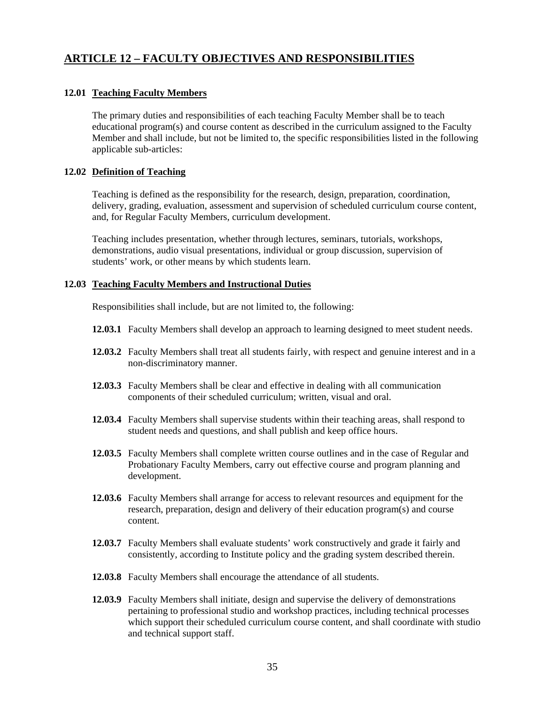## **ARTICLE 12 – FACULTY OBJECTIVES AND RESPONSIBILITIES**

### **12.01 Teaching Faculty Members**

 The primary duties and responsibilities of each teaching Faculty Member shall be to teach educational program(s) and course content as described in the curriculum assigned to the Faculty Member and shall include, but not be limited to, the specific responsibilities listed in the following applicable sub-articles:

### **12.02 Definition of Teaching**

Teaching is defined as the responsibility for the research, design, preparation, coordination, delivery, grading, evaluation, assessment and supervision of scheduled curriculum course content, and, for Regular Faculty Members, curriculum development.

Teaching includes presentation, whether through lectures, seminars, tutorials, workshops, demonstrations, audio visual presentations, individual or group discussion, supervision of students' work, or other means by which students learn.

### **12.03 Teaching Faculty Members and Instructional Duties**

Responsibilities shall include, but are not limited to, the following:

- **12.03.1** Faculty Members shall develop an approach to learning designed to meet student needs.
- **12.03.2** Faculty Members shall treat all students fairly, with respect and genuine interest and in a non-discriminatory manner.
- **12.03.3** Faculty Members shall be clear and effective in dealing with all communication components of their scheduled curriculum; written, visual and oral.
- **12.03.4** Faculty Members shall supervise students within their teaching areas, shall respond to student needs and questions, and shall publish and keep office hours.
- **12.03.5** Faculty Members shall complete written course outlines and in the case of Regular and Probationary Faculty Members, carry out effective course and program planning and development.
- **12.03.6** Faculty Members shall arrange for access to relevant resources and equipment for the research, preparation, design and delivery of their education program(s) and course content.
- **12.03.7** Faculty Members shall evaluate students' work constructively and grade it fairly and consistently, according to Institute policy and the grading system described therein.
- **12.03.8** Faculty Members shall encourage the attendance of all students.
- **12.03.9** Faculty Members shall initiate, design and supervise the delivery of demonstrations pertaining to professional studio and workshop practices, including technical processes which support their scheduled curriculum course content, and shall coordinate with studio and technical support staff.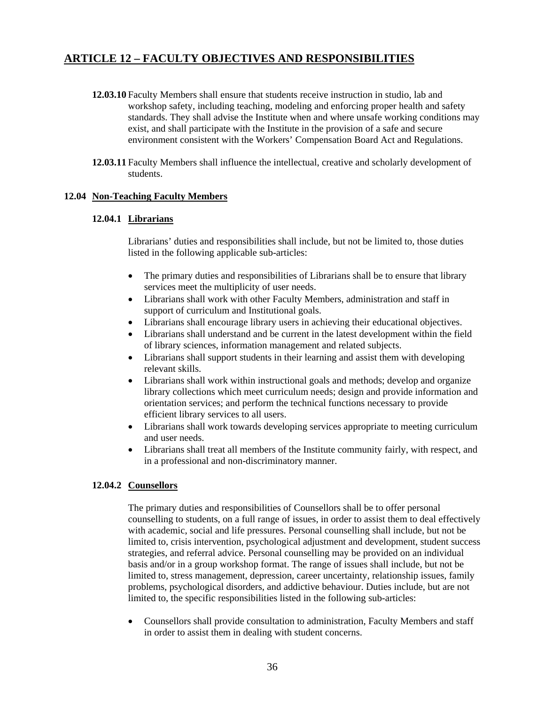## **ARTICLE 12 – FACULTY OBJECTIVES AND RESPONSIBILITIES**

- **12.03.10** Faculty Members shall ensure that students receive instruction in studio, lab and workshop safety, including teaching, modeling and enforcing proper health and safety standards. They shall advise the Institute when and where unsafe working conditions may exist, and shall participate with the Institute in the provision of a safe and secure environment consistent with the Workers' Compensation Board Act and Regulations.
- **12.03.11** Faculty Members shall influence the intellectual, creative and scholarly development of students.

### **12.04 Non-Teaching Faculty Members**

### **12.04.1 Librarians**

Librarians' duties and responsibilities shall include, but not be limited to, those duties listed in the following applicable sub-articles:

- The primary duties and responsibilities of Librarians shall be to ensure that library services meet the multiplicity of user needs.
- Librarians shall work with other Faculty Members, administration and staff in support of curriculum and Institutional goals.
- Librarians shall encourage library users in achieving their educational objectives.
- Librarians shall understand and be current in the latest development within the field of library sciences, information management and related subjects.
- Librarians shall support students in their learning and assist them with developing relevant skills.
- Librarians shall work within instructional goals and methods; develop and organize library collections which meet curriculum needs; design and provide information and orientation services; and perform the technical functions necessary to provide efficient library services to all users.
- Librarians shall work towards developing services appropriate to meeting curriculum and user needs.
- Librarians shall treat all members of the Institute community fairly, with respect, and in a professional and non-discriminatory manner.

### **12.04.2 Counsellors**

The primary duties and responsibilities of Counsellors shall be to offer personal counselling to students, on a full range of issues, in order to assist them to deal effectively with academic, social and life pressures. Personal counselling shall include, but not be limited to, crisis intervention, psychological adjustment and development, student success strategies, and referral advice. Personal counselling may be provided on an individual basis and/or in a group workshop format. The range of issues shall include, but not be limited to, stress management, depression, career uncertainty, relationship issues, family problems, psychological disorders, and addictive behaviour. Duties include, but are not limited to, the specific responsibilities listed in the following sub-articles:

• Counsellors shall provide consultation to administration, Faculty Members and staff in order to assist them in dealing with student concerns.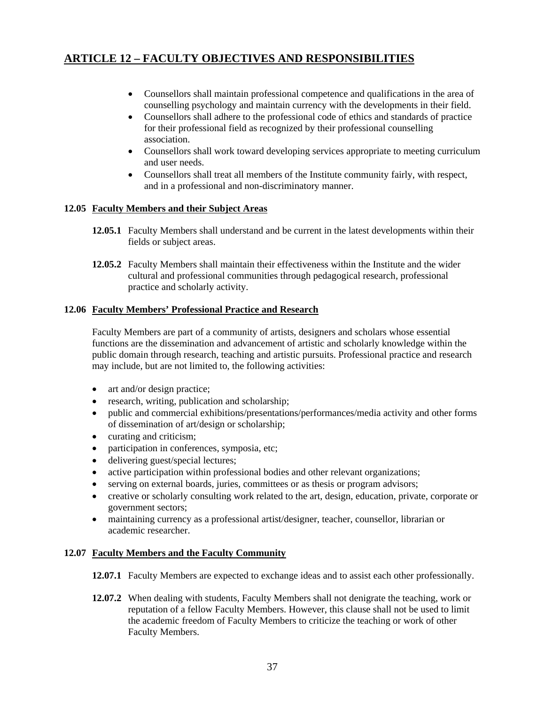# **ARTICLE 12 – FACULTY OBJECTIVES AND RESPONSIBILITIES**

- Counsellors shall maintain professional competence and qualifications in the area of counselling psychology and maintain currency with the developments in their field.
- Counsellors shall adhere to the professional code of ethics and standards of practice for their professional field as recognized by their professional counselling association.
- Counsellors shall work toward developing services appropriate to meeting curriculum and user needs.
- Counsellors shall treat all members of the Institute community fairly, with respect, and in a professional and non-discriminatory manner.

## **12.05 Faculty Members and their Subject Areas**

- **12.05.1** Faculty Members shall understand and be current in the latest developments within their fields or subject areas.
- **12.05.2** Faculty Members shall maintain their effectiveness within the Institute and the wider cultural and professional communities through pedagogical research, professional practice and scholarly activity.

### **12.06 Faculty Members' Professional Practice and Research**

Faculty Members are part of a community of artists, designers and scholars whose essential functions are the dissemination and advancement of artistic and scholarly knowledge within the public domain through research, teaching and artistic pursuits. Professional practice and research may include, but are not limited to, the following activities:

- art and/or design practice;
- research, writing, publication and scholarship;
- public and commercial exhibitions/presentations/performances/media activity and other forms of dissemination of art/design or scholarship;
- curating and criticism;
- participation in conferences, symposia, etc;
- delivering guest/special lectures;
- active participation within professional bodies and other relevant organizations;
- serving on external boards, juries, committees or as thesis or program advisors;
- creative or scholarly consulting work related to the art, design, education, private, corporate or government sectors;
- maintaining currency as a professional artist/designer, teacher, counsellor, librarian or academic researcher.

### **12.07 Faculty Members and the Faculty Community**

**12.07.1** Faculty Members are expected to exchange ideas and to assist each other professionally.

**12.07.2** When dealing with students, Faculty Members shall not denigrate the teaching, work or reputation of a fellow Faculty Members. However, this clause shall not be used to limit the academic freedom of Faculty Members to criticize the teaching or work of other Faculty Members.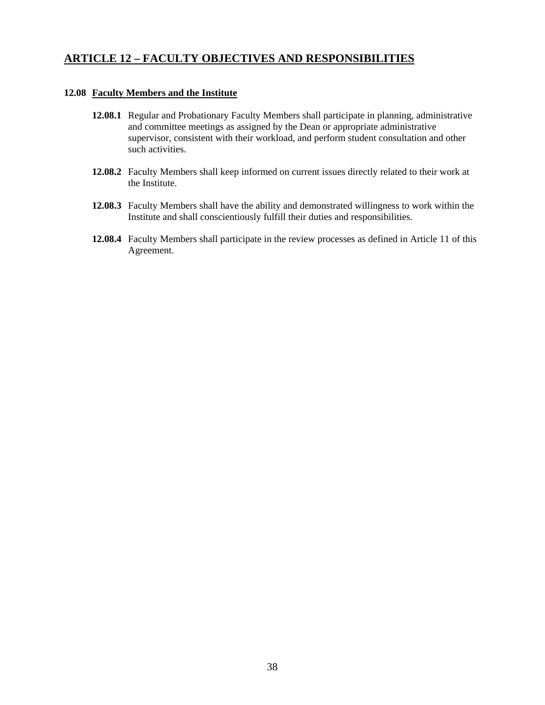## **ARTICLE 12 – FACULTY OBJECTIVES AND RESPONSIBILITIES**

### **12.08 Faculty Members and the Institute**

- **12.08.1** Regular and Probationary Faculty Members shall participate in planning, administrative and committee meetings as assigned by the Dean or appropriate administrative supervisor, consistent with their workload, and perform student consultation and other such activities.
- **12.08.2** Faculty Members shall keep informed on current issues directly related to their work at the Institute.
- **12.08.3** Faculty Members shall have the ability and demonstrated willingness to work within the Institute and shall conscientiously fulfill their duties and responsibilities.
- **12.08.4** Faculty Members shall participate in the review processes as defined in Article 11 of this Agreement.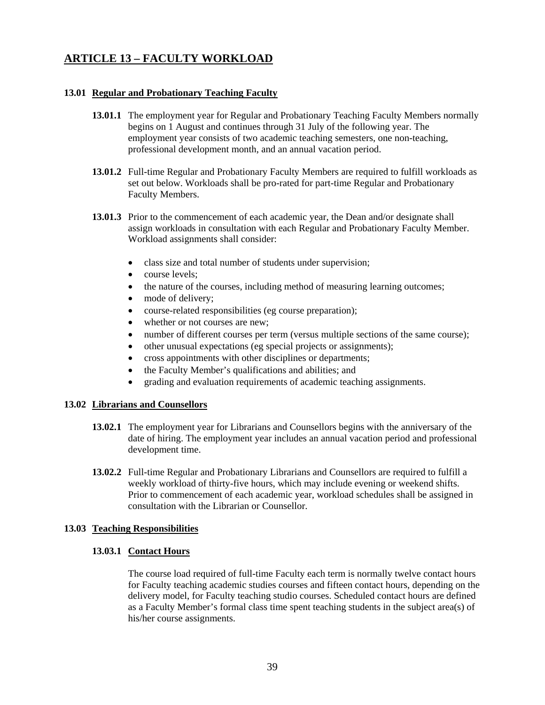### **13.01 Regular and Probationary Teaching Faculty**

- **13.01.1** The employment year for Regular and Probationary Teaching Faculty Members normally begins on 1 August and continues through 31 July of the following year. The employment year consists of two academic teaching semesters, one non-teaching, professional development month, and an annual vacation period.
- **13.01.2** Full-time Regular and Probationary Faculty Members are required to fulfill workloads as set out below. Workloads shall be pro-rated for part-time Regular and Probationary Faculty Members.
- **13.01.3** Prior to the commencement of each academic year, the Dean and/or designate shall assign workloads in consultation with each Regular and Probationary Faculty Member. Workload assignments shall consider:
	- class size and total number of students under supervision;
	- course levels:
	- the nature of the courses, including method of measuring learning outcomes;
	- mode of delivery;
	- course-related responsibilities (eg course preparation);
	- whether or not courses are new;
	- number of different courses per term (versus multiple sections of the same course);
	- other unusual expectations (eg special projects or assignments);
	- cross appointments with other disciplines or departments;
	- the Faculty Member's qualifications and abilities; and
	- grading and evaluation requirements of academic teaching assignments.

### **13.02 Librarians and Counsellors**

- **13.02.1** The employment year for Librarians and Counsellors begins with the anniversary of the date of hiring. The employment year includes an annual vacation period and professional development time.
- **13.02.2** Full-time Regular and Probationary Librarians and Counsellors are required to fulfill a weekly workload of thirty-five hours, which may include evening or weekend shifts. Prior to commencement of each academic year, workload schedules shall be assigned in consultation with the Librarian or Counsellor.

## **13.03 Teaching Responsibilities**

### **13.03.1 Contact Hours**

 The course load required of full-time Faculty each term is normally twelve contact hours for Faculty teaching academic studies courses and fifteen contact hours, depending on the delivery model, for Faculty teaching studio courses. Scheduled contact hours are defined as a Faculty Member's formal class time spent teaching students in the subject area(s) of his/her course assignments.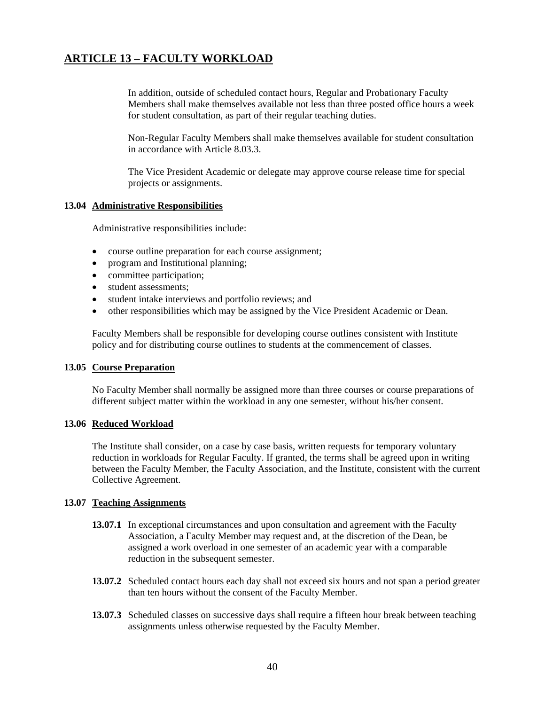In addition, outside of scheduled contact hours, Regular and Probationary Faculty Members shall make themselves available not less than three posted office hours a week for student consultation, as part of their regular teaching duties.

 Non-Regular Faculty Members shall make themselves available for student consultation in accordance with Article 8.03.3.

 The Vice President Academic or delegate may approve course release time for special projects or assignments.

#### **13.04 Administrative Responsibilities**

Administrative responsibilities include:

- course outline preparation for each course assignment;
- program and Institutional planning;
- committee participation;
- student assessments:
- student intake interviews and portfolio reviews; and
- other responsibilities which may be assigned by the Vice President Academic or Dean.

Faculty Members shall be responsible for developing course outlines consistent with Institute policy and for distributing course outlines to students at the commencement of classes.

#### **13.05 Course Preparation**

 No Faculty Member shall normally be assigned more than three courses or course preparations of different subject matter within the workload in any one semester, without his/her consent.

#### **13.06 Reduced Workload**

 The Institute shall consider, on a case by case basis, written requests for temporary voluntary reduction in workloads for Regular Faculty. If granted, the terms shall be agreed upon in writing between the Faculty Member, the Faculty Association, and the Institute, consistent with the current Collective Agreement.

#### **13.07 Teaching Assignments**

- **13.07.1** In exceptional circumstances and upon consultation and agreement with the Faculty Association, a Faculty Member may request and, at the discretion of the Dean, be assigned a work overload in one semester of an academic year with a comparable reduction in the subsequent semester.
- **13.07.2** Scheduled contact hours each day shall not exceed six hours and not span a period greater than ten hours without the consent of the Faculty Member.
- **13.07.3** Scheduled classes on successive days shall require a fifteen hour break between teaching assignments unless otherwise requested by the Faculty Member.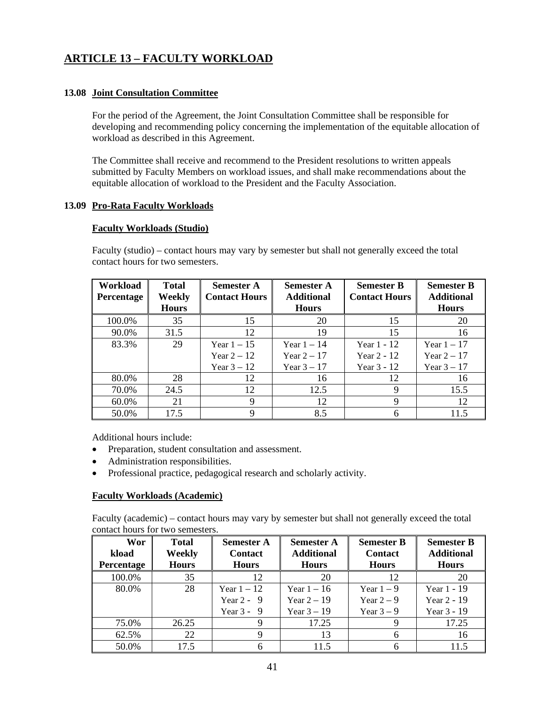## **13.08 Joint Consultation Committee**

 For the period of the Agreement, the Joint Consultation Committee shall be responsible for developing and recommending policy concerning the implementation of the equitable allocation of workload as described in this Agreement.

 The Committee shall receive and recommend to the President resolutions to written appeals submitted by Faculty Members on workload issues, and shall make recommendations about the equitable allocation of workload to the President and the Faculty Association.

### **13.09 Pro-Rata Faculty Workloads**

### **Faculty Workloads (Studio)**

contact hours for two semesters. **Workload Total Semester A Semester A Semester B Semester B Percentage Weekly Hours Contact Hours Additional Hours Contact Hours Additional Hours** 

Faculty (studio) – contact hours may vary by semester but shall not generally exceed the total

| <b>Percentage</b> | Weekly       | <b>Contact Hours</b> | <b>Additional</b> | <b>Contact Hours</b> | <b>Additional</b> |
|-------------------|--------------|----------------------|-------------------|----------------------|-------------------|
|                   | <b>Hours</b> |                      | <b>Hours</b>      |                      | <b>Hours</b>      |
| 100.0%            | 35           | 15                   | 20                | 15                   | 20                |
| 90.0%             | 31.5         | 12                   | 19                | 15                   | 16                |
| 83.3%             | 29           | Year $1-15$          | Year $1-14$       | Year $1 - 12$        | Year $1-17$       |
|                   |              | Year $2 - 12$        | Year $2 - 17$     | Year $2 - 12$        | Year $2-17$       |
|                   |              | Year $3-12$          | Year $3-17$       | Year 3 - 12          | Year $3-17$       |
| 80.0%             | 28           | 12                   | 16                | 12                   | 16                |
| 70.0%             | 24.5         | 12                   | 12.5              | 9                    | 15.5              |
| 60.0%             | 21           | 9                    | 12                |                      | 12                |
| 50.0%             | 17.5         |                      | 8.5               |                      | 11.5              |

Additional hours include:

- Preparation, student consultation and assessment.
- Administration responsibilities.
- Professional practice, pedagogical research and scholarly activity.

### **Faculty Workloads (Academic)**

 Faculty (academic) – contact hours may vary by semester but shall not generally exceed the total contact hours for two semesters.

| <b>Wor</b><br>kload<br><b>Percentage</b> | <b>Total</b><br><b>Weekly</b><br><b>Hours</b> | <b>Semester A</b><br><b>Contact</b><br><b>Hours</b> | <b>Semester A</b><br><b>Additional</b><br><b>Hours</b> | <b>Semester B</b><br><b>Contact</b><br><b>Hours</b> | <b>Semester B</b><br><b>Additional</b><br><b>Hours</b> |
|------------------------------------------|-----------------------------------------------|-----------------------------------------------------|--------------------------------------------------------|-----------------------------------------------------|--------------------------------------------------------|
| 100.0%                                   | 35                                            | 12                                                  | 20                                                     | 12                                                  | 20                                                     |
| 80.0%                                    | 28                                            | Year $1-12$                                         | Year $1-16$                                            | Year $1-9$                                          | Year 1 - 19                                            |
|                                          |                                               | Year $2 - 9$                                        | Year $2-19$                                            | Year $2-9$                                          | Year $2 - 19$                                          |
|                                          |                                               | Year $3 - 9$                                        | Year $3 - 19$                                          | Year $3-9$                                          | Year 3 - 19                                            |
| 75.0%                                    | 26.25                                         | Q                                                   | 17.25                                                  |                                                     | 17.25                                                  |
| 62.5%                                    | 22                                            | 9                                                   | 13                                                     | 6                                                   | 16                                                     |
| 50.0%                                    | 17.5                                          | 6                                                   | 11.5                                                   | 6                                                   | 11.5                                                   |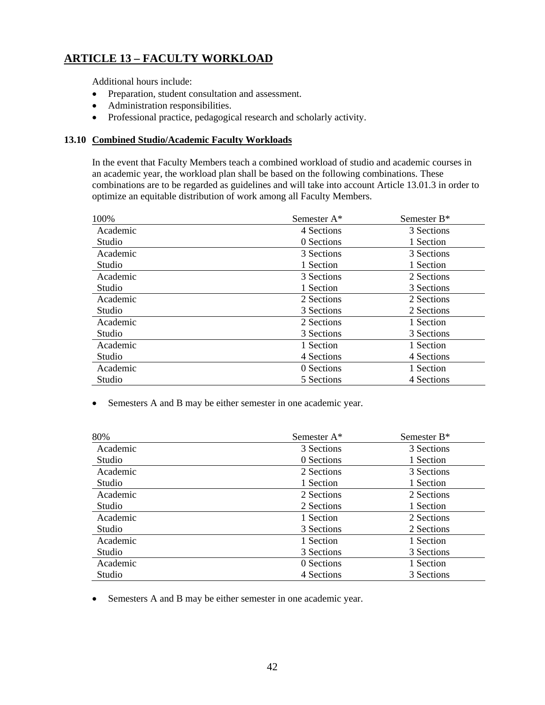Additional hours include:

- Preparation, student consultation and assessment.
- Administration responsibilities.
- Professional practice, pedagogical research and scholarly activity.

### **13.10 Combined Studio/Academic Faculty Workloads**

In the event that Faculty Members teach a combined workload of studio and academic courses in an academic year, the workload plan shall be based on the following combinations. These combinations are to be regarded as guidelines and will take into account Article 13.01.3 in order to optimize an equitable distribution of work among all Faculty Members.

| 100%     | Semester A* | Semester B <sup>*</sup> |
|----------|-------------|-------------------------|
| Academic | 4 Sections  | 3 Sections              |
| Studio   | 0 Sections  | 1 Section               |
| Academic | 3 Sections  | 3 Sections              |
| Studio   | 1 Section   | 1 Section               |
| Academic | 3 Sections  | 2 Sections              |
| Studio   | 1 Section   | 3 Sections              |
| Academic | 2 Sections  | 2 Sections              |
| Studio   | 3 Sections  | 2 Sections              |
| Academic | 2 Sections  | 1 Section               |
| Studio   | 3 Sections  | 3 Sections              |
| Academic | 1 Section   | 1 Section               |
| Studio   | 4 Sections  | 4 Sections              |
| Academic | 0 Sections  | 1 Section               |
| Studio   | 5 Sections  | 4 Sections              |

• Semesters A and B may be either semester in one academic year.

| 80%      | Semester A* | Semester B* |
|----------|-------------|-------------|
| Academic | 3 Sections  | 3 Sections  |
| Studio   | 0 Sections  | 1 Section   |
| Academic | 2 Sections  | 3 Sections  |
| Studio   | 1 Section   | 1 Section   |
| Academic | 2 Sections  | 2 Sections  |
| Studio   | 2 Sections  | 1 Section   |
| Academic | 1 Section   | 2 Sections  |
| Studio   | 3 Sections  | 2 Sections  |
| Academic | 1 Section   | 1 Section   |
| Studio   | 3 Sections  | 3 Sections  |
| Academic | 0 Sections  | 1 Section   |
| Studio   | 4 Sections  | 3 Sections  |

• Semesters A and B may be either semester in one academic year.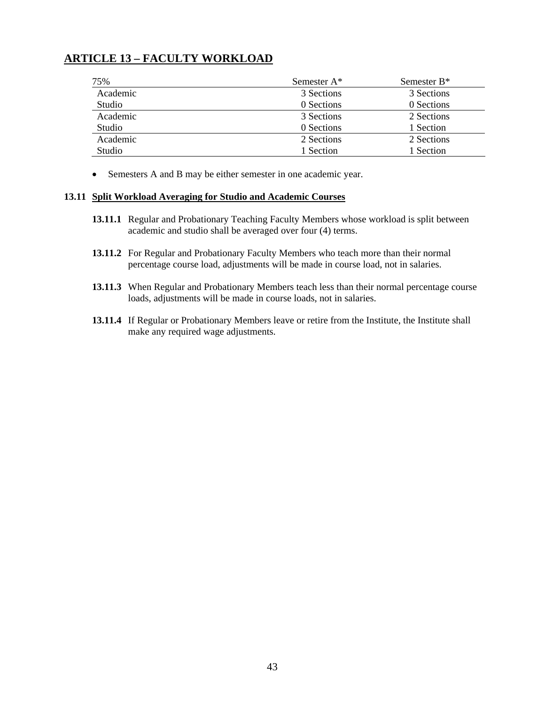| 75%      | Semester A* | Semester B <sup>*</sup> |
|----------|-------------|-------------------------|
| Academic | 3 Sections  | 3 Sections              |
| Studio   | 0 Sections  | 0 Sections              |
| Academic | 3 Sections  | 2 Sections              |
| Studio   | 0 Sections  | 1 Section               |
| Academic | 2 Sections  | 2 Sections              |
| Studio   | 1 Section   | 1 Section               |

• Semesters A and B may be either semester in one academic year.

#### **13.11 Split Workload Averaging for Studio and Academic Courses**

- **13.11.1** Regular and Probationary Teaching Faculty Members whose workload is split between academic and studio shall be averaged over four (4) terms.
- **13.11.2** For Regular and Probationary Faculty Members who teach more than their normal percentage course load, adjustments will be made in course load, not in salaries.
- **13.11.3** When Regular and Probationary Members teach less than their normal percentage course loads, adjustments will be made in course loads, not in salaries.
- **13.11.4** If Regular or Probationary Members leave or retire from the Institute, the Institute shall make any required wage adjustments.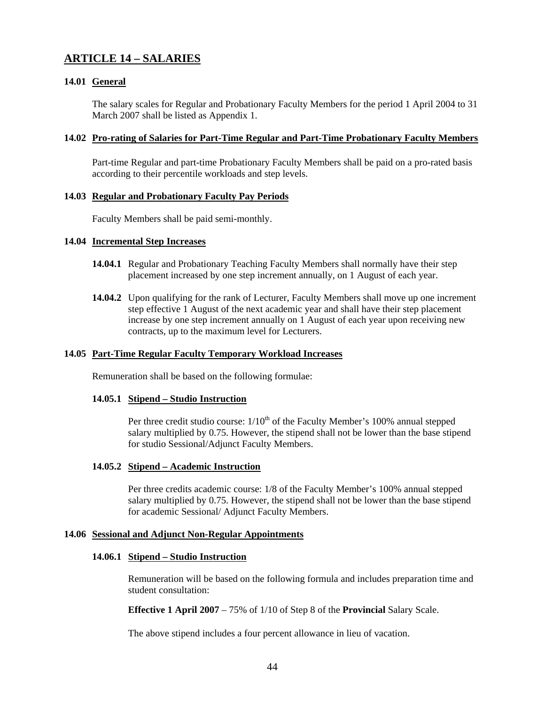### **14.01 General**

The salary scales for Regular and Probationary Faculty Members for the period 1 April 2004 to 31 March 2007 shall be listed as Appendix 1.

#### **14.02 Pro-rating of Salaries for Part-Time Regular and Part-Time Probationary Faculty Members**

 Part-time Regular and part-time Probationary Faculty Members shall be paid on a pro-rated basis according to their percentile workloads and step levels.

#### **14.03 Regular and Probationary Faculty Pay Periods**

Faculty Members shall be paid semi-monthly.

#### **14.04 Incremental Step Increases**

- **14.04.1** Regular and Probationary Teaching Faculty Members shall normally have their step placement increased by one step increment annually, on 1 August of each year.
- **14.04.2** Upon qualifying for the rank of Lecturer, Faculty Members shall move up one increment step effective 1 August of the next academic year and shall have their step placement increase by one step increment annually on 1 August of each year upon receiving new contracts, up to the maximum level for Lecturers.

#### **14.05 Part-Time Regular Faculty Temporary Workload Increases**

Remuneration shall be based on the following formulae:

#### **14.05.1 Stipend – Studio Instruction**

Per three credit studio course:  $1/10<sup>th</sup>$  of the Faculty Member's 100% annual stepped salary multiplied by 0.75. However, the stipend shall not be lower than the base stipend for studio Sessional/Adjunct Faculty Members.

#### **14.05.2 Stipend – Academic Instruction**

Per three credits academic course: 1/8 of the Faculty Member's 100% annual stepped salary multiplied by 0.75. However, the stipend shall not be lower than the base stipend for academic Sessional/ Adjunct Faculty Members.

#### **14.06 Sessional and Adjunct Non-Regular Appointments**

#### **14.06.1 Stipend – Studio Instruction**

Remuneration will be based on the following formula and includes preparation time and student consultation:

 **Effective 1 April 2007** – 75% of 1/10 of Step 8 of the **Provincial** Salary Scale.

The above stipend includes a four percent allowance in lieu of vacation.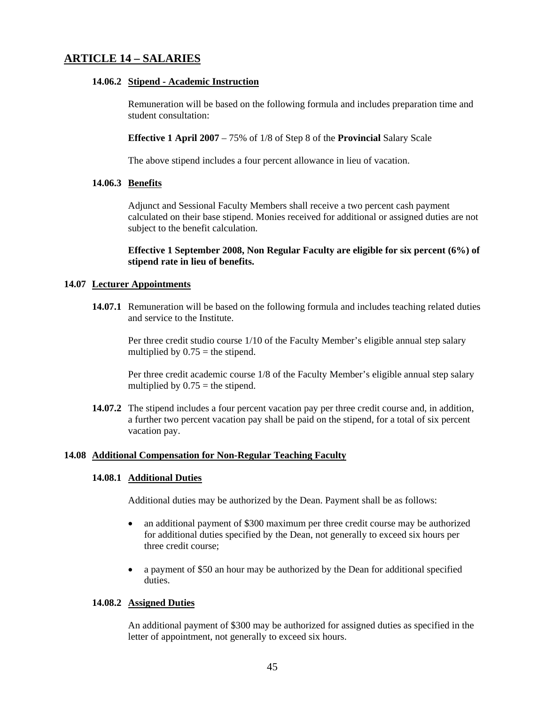### **14.06.2 Stipend - Academic Instruction**

Remuneration will be based on the following formula and includes preparation time and student consultation:

**Effective 1 April 2007** – 75% of 1/8 of Step 8 of the **Provincial** Salary Scale

The above stipend includes a four percent allowance in lieu of vacation.

### **14.06.3 Benefits**

 Adjunct and Sessional Faculty Members shall receive a two percent cash payment calculated on their base stipend. Monies received for additional or assigned duties are not subject to the benefit calculation.

 **Effective 1 September 2008, Non Regular Faculty are eligible for six percent (6%) of stipend rate in lieu of benefits.** 

### **14.07 Lecturer Appointments**

**14.07.1** Remuneration will be based on the following formula and includes teaching related duties and service to the Institute.

Per three credit studio course 1/10 of the Faculty Member's eligible annual step salary multiplied by  $0.75$  = the stipend.

Per three credit academic course 1/8 of the Faculty Member's eligible annual step salary multiplied by  $0.75$  = the stipend.

**14.07.2** The stipend includes a four percent vacation pay per three credit course and, in addition, a further two percent vacation pay shall be paid on the stipend, for a total of six percent vacation pay.

#### **14.08 Additional Compensation for Non-Regular Teaching Faculty**

#### **14.08.1 Additional Duties**

Additional duties may be authorized by the Dean. Payment shall be as follows:

- an additional payment of \$300 maximum per three credit course may be authorized for additional duties specified by the Dean, not generally to exceed six hours per three credit course;
- a payment of \$50 an hour may be authorized by the Dean for additional specified duties.

#### **14.08.2 Assigned Duties**

 An additional payment of \$300 may be authorized for assigned duties as specified in the letter of appointment, not generally to exceed six hours.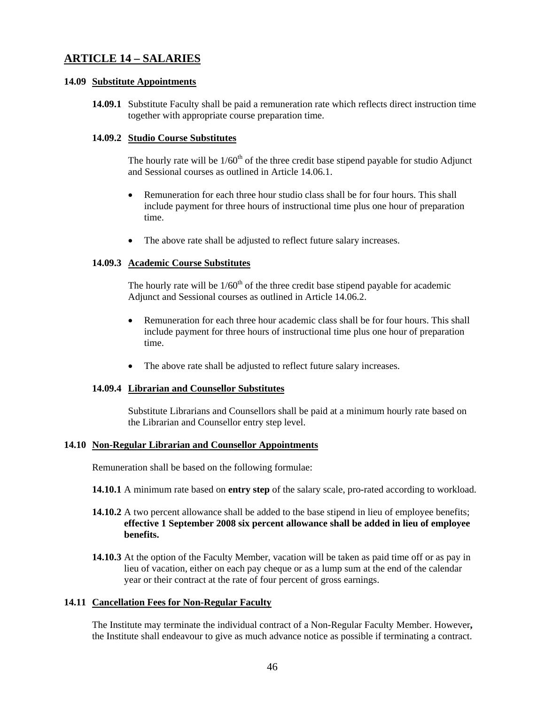#### **14.09 Substitute Appointments**

**14.09.1** Substitute Faculty shall be paid a remuneration rate which reflects direct instruction time together with appropriate course preparation time.

#### **14.09.2 Studio Course Substitutes**

The hourly rate will be  $1/60<sup>th</sup>$  of the three credit base stipend payable for studio Adjunct and Sessional courses as outlined in Article 14.06.1.

- Remuneration for each three hour studio class shall be for four hours. This shall include payment for three hours of instructional time plus one hour of preparation time.
- The above rate shall be adjusted to reflect future salary increases.

#### **14.09.3 Academic Course Substitutes**

The hourly rate will be  $1/60<sup>th</sup>$  of the three credit base stipend payable for academic Adjunct and Sessional courses as outlined in Article 14.06.2.

- Remuneration for each three hour academic class shall be for four hours. This shall include payment for three hours of instructional time plus one hour of preparation time.
- The above rate shall be adjusted to reflect future salary increases.

### **14.09.4 Librarian and Counsellor Substitutes**

 Substitute Librarians and Counsellors shall be paid at a minimum hourly rate based on the Librarian and Counsellor entry step level.

#### **14.10 Non-Regular Librarian and Counsellor Appointments**

Remuneration shall be based on the following formulae:

**14.10.1** A minimum rate based on **entry step** of the salary scale, pro-rated according to workload.

### **14.10.2** A two percent allowance shall be added to the base stipend in lieu of employee benefits; **effective 1 September 2008 six percent allowance shall be added in lieu of employee benefits.**

**14.10.3** At the option of the Faculty Member, vacation will be taken as paid time off or as pay in lieu of vacation, either on each pay cheque or as a lump sum at the end of the calendar year or their contract at the rate of four percent of gross earnings.

#### **14.11 Cancellation Fees for Non-Regular Faculty**

 The Institute may terminate the individual contract of a Non-Regular Faculty Member. However**,**  the Institute shall endeavour to give as much advance notice as possible if terminating a contract.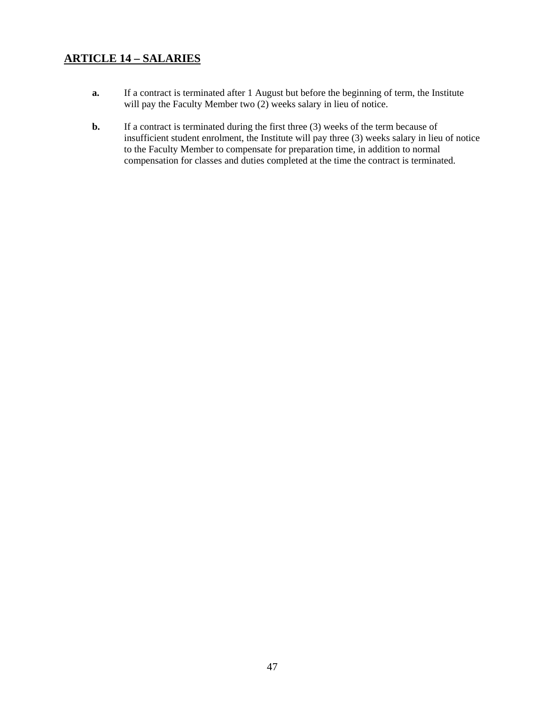- **a.** If a contract is terminated after 1 August but before the beginning of term, the Institute will pay the Faculty Member two (2) weeks salary in lieu of notice.
- **b.** If a contract is terminated during the first three (3) weeks of the term because of insufficient student enrolment, the Institute will pay three (3) weeks salary in lieu of notice to the Faculty Member to compensate for preparation time, in addition to normal compensation for classes and duties completed at the time the contract is terminated.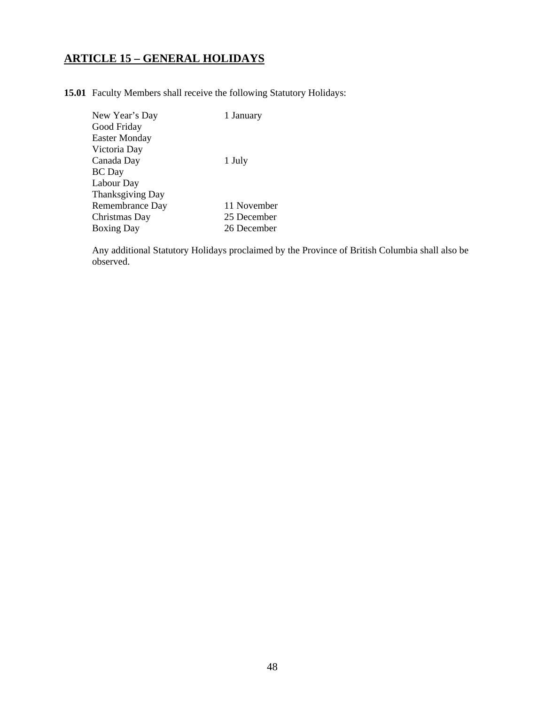# **ARTICLE 15 – GENERAL HOLIDAYS**

**15.01** Faculty Members shall receive the following Statutory Holidays:

| New Year's Day       | 1 January   |
|----------------------|-------------|
| Good Friday          |             |
| <b>Easter Monday</b> |             |
| Victoria Day         |             |
| Canada Day           | 1 July      |
| <b>BC</b> Day        |             |
| Labour Day           |             |
| Thanksgiving Day     |             |
| Remembrance Day      | 11 November |
| Christmas Day        | 25 December |
| <b>Boxing Day</b>    | 26 December |
|                      |             |

 Any additional Statutory Holidays proclaimed by the Province of British Columbia shall also be observed.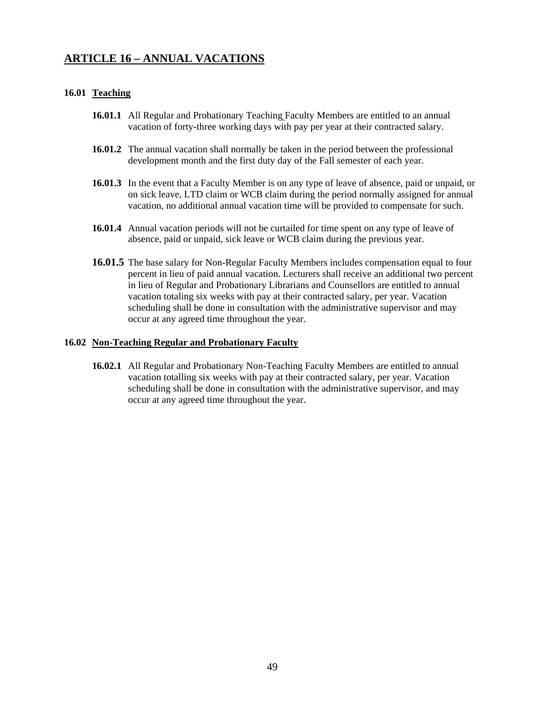## **ARTICLE 16 – ANNUAL VACATIONS**

#### **16.01 Teaching**

- **16.01.1** All Regular and Probationary Teaching Faculty Members are entitled to an annual vacation of forty-three working days with pay per year at their contracted salary.
- **16.01.2** The annual vacation shall normally be taken in the period between the professional development month and the first duty day of the Fall semester of each year.
- **16.01.3** In the event that a Faculty Member is on any type of leave of absence, paid or unpaid, or on sick leave, LTD claim or WCB claim during the period normally assigned for annual vacation, no additional annual vacation time will be provided to compensate for such.
- **16.01.4** Annual vacation periods will not be curtailed for time spent on any type of leave of absence, paid or unpaid, sick leave or WCB claim during the previous year.
- **16.01.5** The base salary for Non-Regular Faculty Members includes compensation equal to four percent in lieu of paid annual vacation. Lecturers shall receive an additional two percent in lieu of Regular and Probationary Librarians and Counsellors are entitled to annual vacation totaling six weeks with pay at their contracted salary, per year. Vacation scheduling shall be done in consultation with the administrative supervisor and may occur at any agreed time throughout the year.

#### **16.02 Non-Teaching Regular and Probationary Faculty**

**16.02.1** All Regular and Probationary Non-Teaching Faculty Members are entitled to annual vacation totalling six weeks with pay at their contracted salary, per year. Vacation scheduling shall be done in consultation with the administrative supervisor, and may occur at any agreed time throughout the year.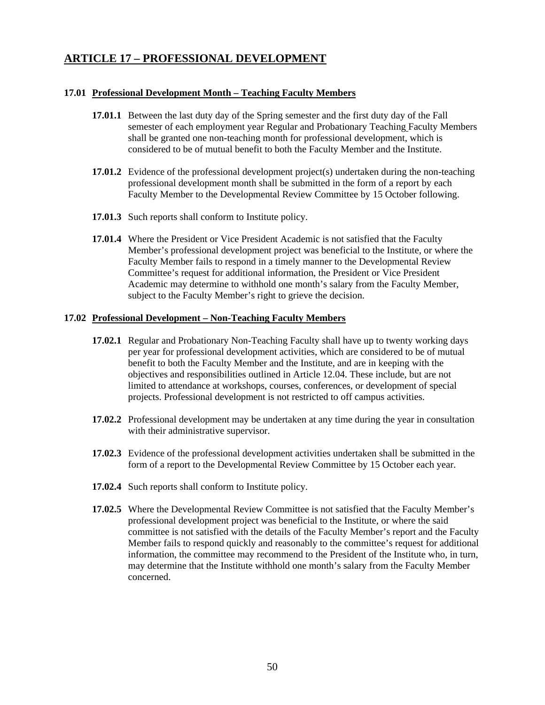## **ARTICLE 17 – PROFESSIONAL DEVELOPMENT**

#### **17.01 Professional Development Month – Teaching Faculty Members**

- **17.01.1** Between the last duty day of the Spring semester and the first duty day of the Fall semester of each employment year Regular and Probationary Teaching Faculty Members shall be granted one non-teaching month for professional development, which is considered to be of mutual benefit to both the Faculty Member and the Institute.
- **17.01.2** Evidence of the professional development project(s) undertaken during the non-teaching professional development month shall be submitted in the form of a report by each Faculty Member to the Developmental Review Committee by 15 October following.
- **17.01.3** Such reports shall conform to Institute policy.
- **17.01.4** Where the President or Vice President Academic is not satisfied that the Faculty Member's professional development project was beneficial to the Institute, or where the Faculty Member fails to respond in a timely manner to the Developmental Review Committee's request for additional information, the President or Vice President Academic may determine to withhold one month's salary from the Faculty Member, subject to the Faculty Member's right to grieve the decision.

### **17.02 Professional Development – Non-Teaching Faculty Members**

- **17.02.1** Regular and Probationary Non-Teaching Faculty shall have up to twenty working days per year for professional development activities, which are considered to be of mutual benefit to both the Faculty Member and the Institute, and are in keeping with the objectives and responsibilities outlined in Article 12.04. These include, but are not limited to attendance at workshops, courses, conferences, or development of special projects. Professional development is not restricted to off campus activities.
- **17.02.2** Professional development may be undertaken at any time during the year in consultation with their administrative supervisor.
- **17.02.3** Evidence of the professional development activities undertaken shall be submitted in the form of a report to the Developmental Review Committee by 15 October each year.
- **17.02.4** Such reports shall conform to Institute policy.
- **17.02.5** Where the Developmental Review Committee is not satisfied that the Faculty Member's professional development project was beneficial to the Institute, or where the said committee is not satisfied with the details of the Faculty Member's report and the Faculty Member fails to respond quickly and reasonably to the committee's request for additional information, the committee may recommend to the President of the Institute who, in turn, may determine that the Institute withhold one month's salary from the Faculty Member concerned.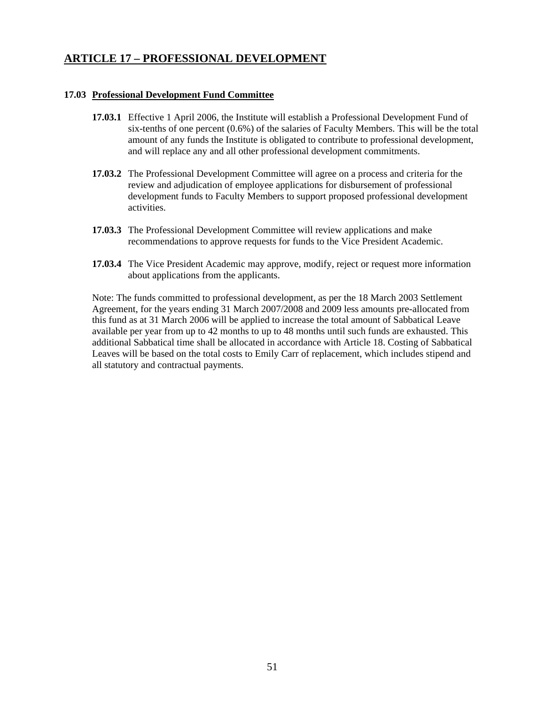## **ARTICLE 17 – PROFESSIONAL DEVELOPMENT**

#### **17.03 Professional Development Fund Committee**

- **17.03.1** Effective 1 April 2006, the Institute will establish a Professional Development Fund of six-tenths of one percent (0.6%) of the salaries of Faculty Members. This will be the total amount of any funds the Institute is obligated to contribute to professional development, and will replace any and all other professional development commitments.
- **17.03.2** The Professional Development Committee will agree on a process and criteria for the review and adjudication of employee applications for disbursement of professional development funds to Faculty Members to support proposed professional development activities.
- **17.03.3** The Professional Development Committee will review applications and make recommendations to approve requests for funds to the Vice President Academic.
- **17.03.4** The Vice President Academic may approve, modify, reject or request more information about applications from the applicants.

Note: The funds committed to professional development, as per the 18 March 2003 Settlement Agreement, for the years ending 31 March 2007/2008 and 2009 less amounts pre-allocated from this fund as at 31 March 2006 will be applied to increase the total amount of Sabbatical Leave available per year from up to 42 months to up to 48 months until such funds are exhausted. This additional Sabbatical time shall be allocated in accordance with Article 18. Costing of Sabbatical Leaves will be based on the total costs to Emily Carr of replacement, which includes stipend and all statutory and contractual payments.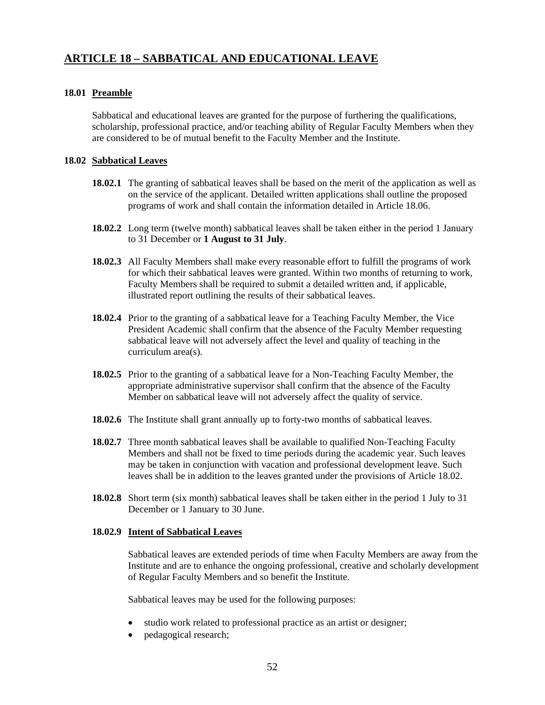### **18.01 Preamble**

 Sabbatical and educational leaves are granted for the purpose of furthering the qualifications, scholarship, professional practice, and/or teaching ability of Regular Faculty Members when they are considered to be of mutual benefit to the Faculty Member and the Institute.

#### **18.02 Sabbatical Leaves**

- **18.02.1** The granting of sabbatical leaves shall be based on the merit of the application as well as on the service of the applicant. Detailed written applications shall outline the proposed programs of work and shall contain the information detailed in Article 18.06.
- **18.02.2** Long term (twelve month) sabbatical leaves shall be taken either in the period 1 January to 31 December or **1 August to 31 July**.
- **18.02.3** All Faculty Members shall make every reasonable effort to fulfill the programs of work for which their sabbatical leaves were granted. Within two months of returning to work, Faculty Members shall be required to submit a detailed written and, if applicable, illustrated report outlining the results of their sabbatical leaves.
- **18.02.4** Prior to the granting of a sabbatical leave for a Teaching Faculty Member, the Vice President Academic shall confirm that the absence of the Faculty Member requesting sabbatical leave will not adversely affect the level and quality of teaching in the curriculum area(s).
- **18.02.5** Prior to the granting of a sabbatical leave for a Non-Teaching Faculty Member, the appropriate administrative supervisor shall confirm that the absence of the Faculty Member on sabbatical leave will not adversely affect the quality of service.
- **18.02.6** The Institute shall grant annually up to forty-two months of sabbatical leaves.
- **18.02.7** Three month sabbatical leaves shall be available to qualified Non-Teaching Faculty Members and shall not be fixed to time periods during the academic year. Such leaves may be taken in conjunction with vacation and professional development leave. Such leaves shall be in addition to the leaves granted under the provisions of Article 18.02.
- **18.02.8** Short term (six month) sabbatical leaves shall be taken either in the period 1 July to 31 December or 1 January to 30 June.

#### **18.02.9 Intent of Sabbatical Leaves**

 Sabbatical leaves are extended periods of time when Faculty Members are away from the Institute and are to enhance the ongoing professional, creative and scholarly development of Regular Faculty Members and so benefit the Institute.

Sabbatical leaves may be used for the following purposes:

- studio work related to professional practice as an artist or designer;
- pedagogical research;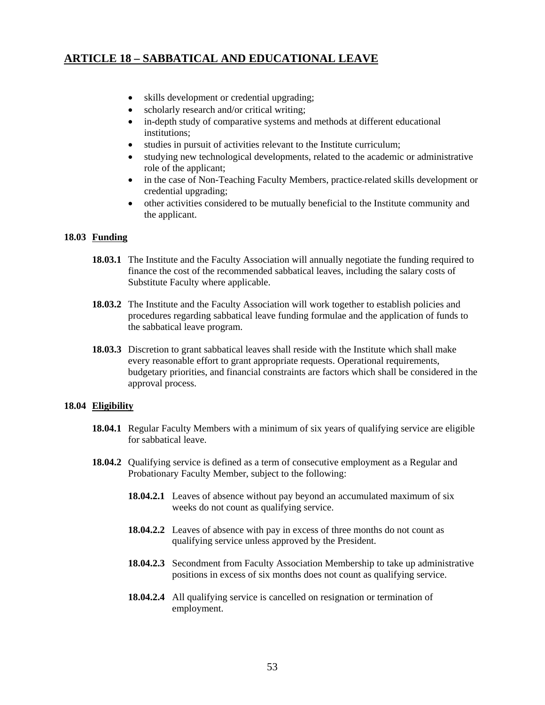- skills development or credential upgrading;
- scholarly research and/or critical writing;
- in-depth study of comparative systems and methods at different educational institutions;
- studies in pursuit of activities relevant to the Institute curriculum;
- studying new technological developments, related to the academic or administrative role of the applicant;
- in the case of Non-Teaching Faculty Members, practice-related skills development or credential upgrading;
- other activities considered to be mutually beneficial to the Institute community and the applicant.

### **18.03 Funding**

- **18.03.1** The Institute and the Faculty Association will annually negotiate the funding required to finance the cost of the recommended sabbatical leaves, including the salary costs of Substitute Faculty where applicable.
- **18.03.2** The Institute and the Faculty Association will work together to establish policies and procedures regarding sabbatical leave funding formulae and the application of funds to the sabbatical leave program.
- **18.03.3** Discretion to grant sabbatical leaves shall reside with the Institute which shall make every reasonable effort to grant appropriate requests. Operational requirements, budgetary priorities, and financial constraints are factors which shall be considered in the approval process.

### **18.04 Eligibility**

- **18.04.1** Regular Faculty Members with a minimum of six years of qualifying service are eligible for sabbatical leave.
- **18.04.2** Qualifying service is defined as a term of consecutive employment as a Regular and Probationary Faculty Member, subject to the following:
	- **18.04.2.1** Leaves of absence without pay beyond an accumulated maximum of six weeks do not count as qualifying service.
	- **18.04.2.2** Leaves of absence with pay in excess of three months do not count as qualifying service unless approved by the President.
	- **18.04.2.3** Secondment from Faculty Association Membership to take up administrative positions in excess of six months does not count as qualifying service.
	- **18.04.2.4** All qualifying service is cancelled on resignation or termination of employment.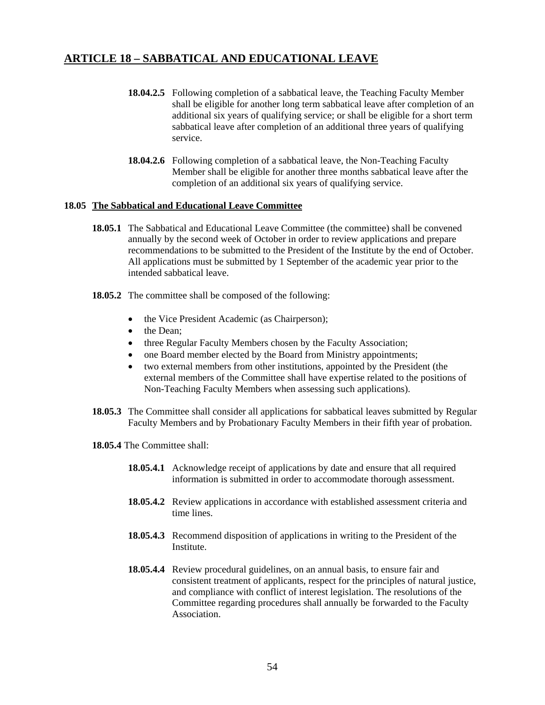- **18.04.2.5** Following completion of a sabbatical leave, the Teaching Faculty Member shall be eligible for another long term sabbatical leave after completion of an additional six years of qualifying service; or shall be eligible for a short term sabbatical leave after completion of an additional three years of qualifying service.
- **18.04.2.6** Following completion of a sabbatical leave, the Non-Teaching Faculty Member shall be eligible for another three months sabbatical leave after the completion of an additional six years of qualifying service.

#### **18.05 The Sabbatical and Educational Leave Committee**

- **18.05.1** The Sabbatical and Educational Leave Committee (the committee) shall be convened annually by the second week of October in order to review applications and prepare recommendations to be submitted to the President of the Institute by the end of October. All applications must be submitted by 1 September of the academic year prior to the intended sabbatical leave.
- **18.05.2** The committee shall be composed of the following:
	- the Vice President Academic (as Chairperson);
	- the Dean:
	- three Regular Faculty Members chosen by the Faculty Association;
	- one Board member elected by the Board from Ministry appointments;
	- two external members from other institutions, appointed by the President (the external members of the Committee shall have expertise related to the positions of Non-Teaching Faculty Members when assessing such applications).
- **18.05.3** The Committee shall consider all applications for sabbatical leaves submitted by Regular Faculty Members and by Probationary Faculty Members in their fifth year of probation.
- **18.05.4** The Committee shall:
	- **18.05.4.1** Acknowledge receipt of applications by date and ensure that all required information is submitted in order to accommodate thorough assessment.
	- **18.05.4.2** Review applications in accordance with established assessment criteria and time lines.
	- **18.05.4.3** Recommend disposition of applications in writing to the President of the Institute.
	- **18.05.4.4** Review procedural guidelines, on an annual basis, to ensure fair and consistent treatment of applicants, respect for the principles of natural justice, and compliance with conflict of interest legislation. The resolutions of the Committee regarding procedures shall annually be forwarded to the Faculty Association.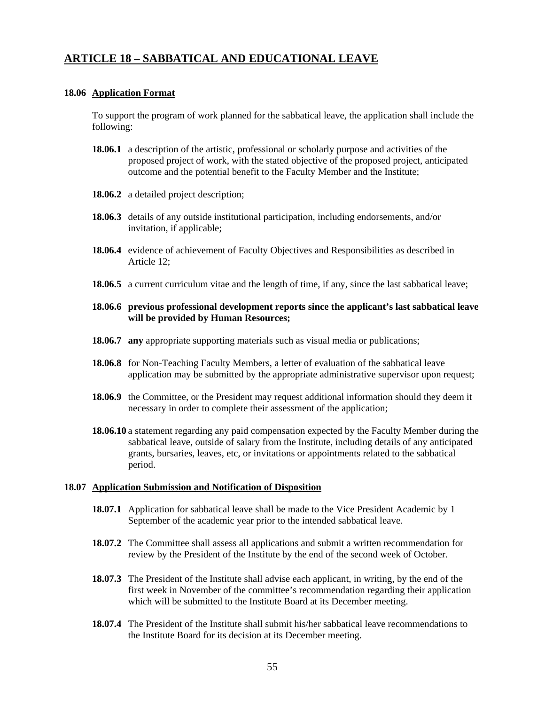#### **18.06 Application Format**

To support the program of work planned for the sabbatical leave, the application shall include the following:

- **18.06.1** a description of the artistic, professional or scholarly purpose and activities of the proposed project of work, with the stated objective of the proposed project, anticipated outcome and the potential benefit to the Faculty Member and the Institute;
- **18.06.2** a detailed project description;
- **18.06.3** details of any outside institutional participation, including endorsements, and/or invitation, if applicable;
- **18.06.4** evidence of achievement of Faculty Objectives and Responsibilities as described in Article 12;
- **18.06.5** a current curriculum vitae and the length of time, if any, since the last sabbatical leave;
- **18.06.6 previous professional development reports since the applicant's last sabbatical leave will be provided by Human Resources;**
- **18.06.7 any** appropriate supporting materials such as visual media or publications;
- **18.06.8** for Non-Teaching Faculty Members, a letter of evaluation of the sabbatical leave application may be submitted by the appropriate administrative supervisor upon request;
- **18.06.9** the Committee, or the President may request additional information should they deem it necessary in order to complete their assessment of the application;
- **18.06.10** a statement regarding any paid compensation expected by the Faculty Member during the sabbatical leave, outside of salary from the Institute, including details of any anticipated grants, bursaries, leaves, etc, or invitations or appointments related to the sabbatical period.

#### **18.07 Application Submission and Notification of Disposition**

- **18.07.1** Application for sabbatical leave shall be made to the Vice President Academic by 1 September of the academic year prior to the intended sabbatical leave.
- **18.07.2** The Committee shall assess all applications and submit a written recommendation for review by the President of the Institute by the end of the second week of October.
- **18.07.3** The President of the Institute shall advise each applicant, in writing, by the end of the first week in November of the committee's recommendation regarding their application which will be submitted to the Institute Board at its December meeting.
- **18.07.4** The President of the Institute shall submit his/her sabbatical leave recommendations to the Institute Board for its decision at its December meeting.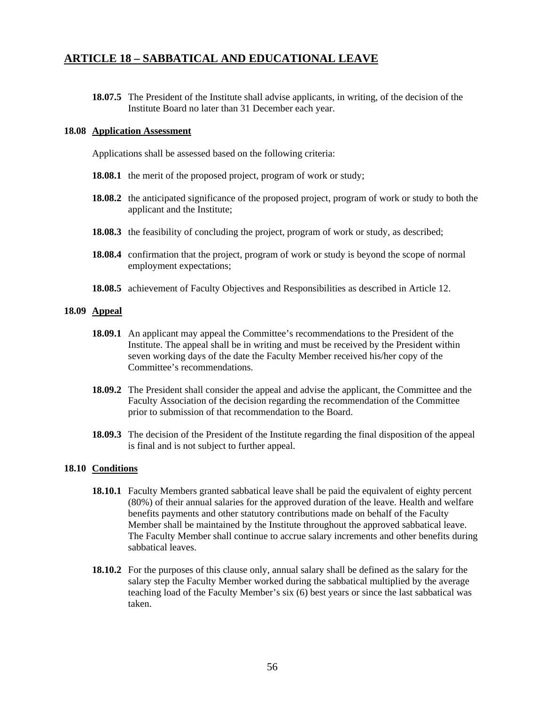**18.07.5** The President of the Institute shall advise applicants, in writing, of the decision of the Institute Board no later than 31 December each year.

#### **18.08 Application Assessment**

Applications shall be assessed based on the following criteria:

- **18.08.1** the merit of the proposed project, program of work or study;
- **18.08.2** the anticipated significance of the proposed project, program of work or study to both the applicant and the Institute;
- **18.08.3** the feasibility of concluding the project, program of work or study, as described;
- **18.08.4** confirmation that the project, program of work or study is beyond the scope of normal employment expectations;
- **18.08.5** achievement of Faculty Objectives and Responsibilities as described in Article 12.

#### **18.09 Appeal**

- **18.09.1** An applicant may appeal the Committee's recommendations to the President of the Institute. The appeal shall be in writing and must be received by the President within seven working days of the date the Faculty Member received his/her copy of the Committee's recommendations.
- **18.09.2** The President shall consider the appeal and advise the applicant, the Committee and the Faculty Association of the decision regarding the recommendation of the Committee prior to submission of that recommendation to the Board.
- **18.09.3** The decision of the President of the Institute regarding the final disposition of the appeal is final and is not subject to further appeal.

#### **18.10 Conditions**

- **18.10.1** Faculty Members granted sabbatical leave shall be paid the equivalent of eighty percent (80%) of their annual salaries for the approved duration of the leave. Health and welfare benefits payments and other statutory contributions made on behalf of the Faculty Member shall be maintained by the Institute throughout the approved sabbatical leave. The Faculty Member shall continue to accrue salary increments and other benefits during sabbatical leaves.
- **18.10.2** For the purposes of this clause only, annual salary shall be defined as the salary for the salary step the Faculty Member worked during the sabbatical multiplied by the average teaching load of the Faculty Member's six (6) best years or since the last sabbatical was taken.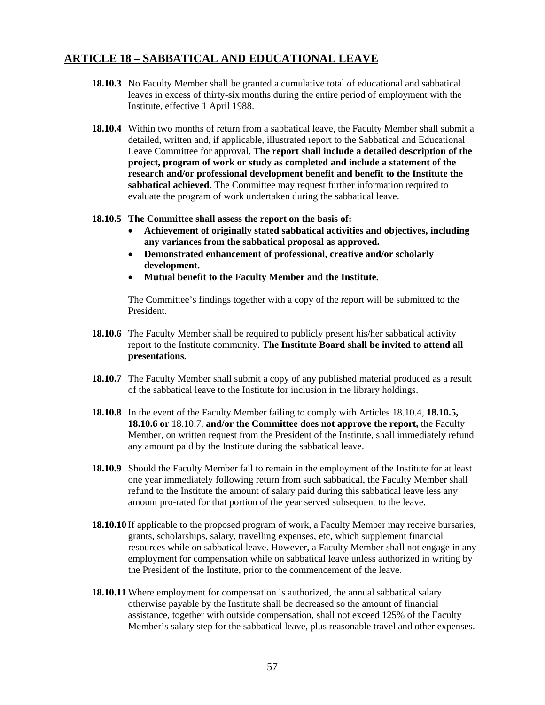- **18.10.3** No Faculty Member shall be granted a cumulative total of educational and sabbatical leaves in excess of thirty-six months during the entire period of employment with the Institute, effective 1 April 1988.
- **18.10.4** Within two months of return from a sabbatical leave, the Faculty Member shall submit a detailed, written and, if applicable, illustrated report to the Sabbatical and Educational Leave Committee for approval. **The report shall include a detailed description of the project, program of work or study as completed and include a statement of the research and/or professional development benefit and benefit to the Institute the sabbatical achieved.** The Committee may request further information required to evaluate the program of work undertaken during the sabbatical leave.
- **18.10.5 The Committee shall assess the report on the basis of:**
	- **Achievement of originally stated sabbatical activities and objectives, including any variances from the sabbatical proposal as approved.**
	- **Demonstrated enhancement of professional, creative and/or scholarly development.**
	- **Mutual benefit to the Faculty Member and the Institute.**

The Committee's findings together with a copy of the report will be submitted to the President.

- **18.10.6** The Faculty Member shall be required to publicly present his/her sabbatical activity report to the Institute community. **The Institute Board shall be invited to attend all presentations.**
- **18.10.7** The Faculty Member shall submit a copy of any published material produced as a result of the sabbatical leave to the Institute for inclusion in the library holdings.
- **18.10.8** In the event of the Faculty Member failing to comply with Articles 18.10.4, **18.10.5, 18.10.6 or** 18.10.7, **and/or the Committee does not approve the report,** the Faculty Member, on written request from the President of the Institute, shall immediately refund any amount paid by the Institute during the sabbatical leave.
- **18.10.9** Should the Faculty Member fail to remain in the employment of the Institute for at least one year immediately following return from such sabbatical, the Faculty Member shall refund to the Institute the amount of salary paid during this sabbatical leave less any amount pro-rated for that portion of the year served subsequent to the leave.
- **18.10.10** If applicable to the proposed program of work, a Faculty Member may receive bursaries, grants, scholarships, salary, travelling expenses, etc, which supplement financial resources while on sabbatical leave. However, a Faculty Member shall not engage in any employment for compensation while on sabbatical leave unless authorized in writing by the President of the Institute, prior to the commencement of the leave.
- **18.10.11** Where employment for compensation is authorized, the annual sabbatical salary otherwise payable by the Institute shall be decreased so the amount of financial assistance, together with outside compensation, shall not exceed 125% of the Faculty Member's salary step for the sabbatical leave, plus reasonable travel and other expenses.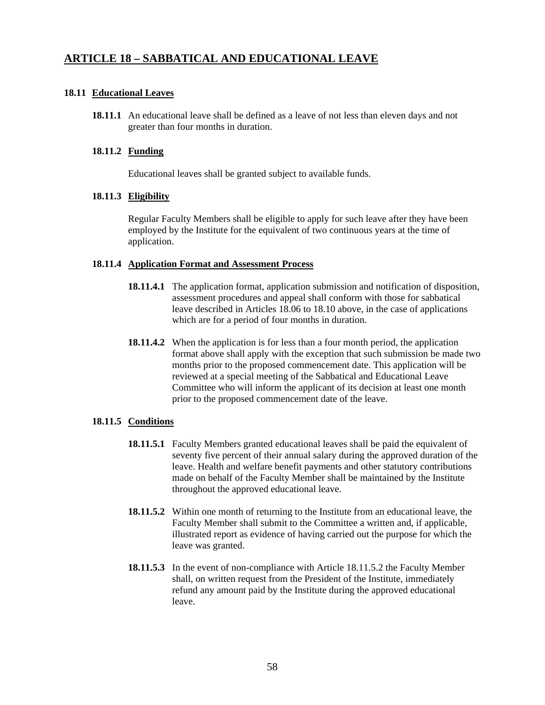### **18.11 Educational Leaves**

**18.11.1** An educational leave shall be defined as a leave of not less than eleven days and not greater than four months in duration.

### **18.11.2 Funding**

Educational leaves shall be granted subject to available funds.

### **18.11.3 Eligibility**

 Regular Faculty Members shall be eligible to apply for such leave after they have been employed by the Institute for the equivalent of two continuous years at the time of application.

### **18.11.4 Application Format and Assessment Process**

- **18.11.4.1** The application format, application submission and notification of disposition, assessment procedures and appeal shall conform with those for sabbatical leave described in Articles 18.06 to 18.10 above, in the case of applications which are for a period of four months in duration.
- **18.11.4.2** When the application is for less than a four month period, the application format above shall apply with the exception that such submission be made two months prior to the proposed commencement date. This application will be reviewed at a special meeting of the Sabbatical and Educational Leave Committee who will inform the applicant of its decision at least one month prior to the proposed commencement date of the leave.

### **18.11.5 Conditions**

- **18.11.5.1** Faculty Members granted educational leaves shall be paid the equivalent of seventy five percent of their annual salary during the approved duration of the leave. Health and welfare benefit payments and other statutory contributions made on behalf of the Faculty Member shall be maintained by the Institute throughout the approved educational leave.
- **18.11.5.2** Within one month of returning to the Institute from an educational leave, the Faculty Member shall submit to the Committee a written and, if applicable, illustrated report as evidence of having carried out the purpose for which the leave was granted.
- **18.11.5.3** In the event of non-compliance with Article 18.11.5.2 the Faculty Member shall, on written request from the President of the Institute, immediately refund any amount paid by the Institute during the approved educational leave.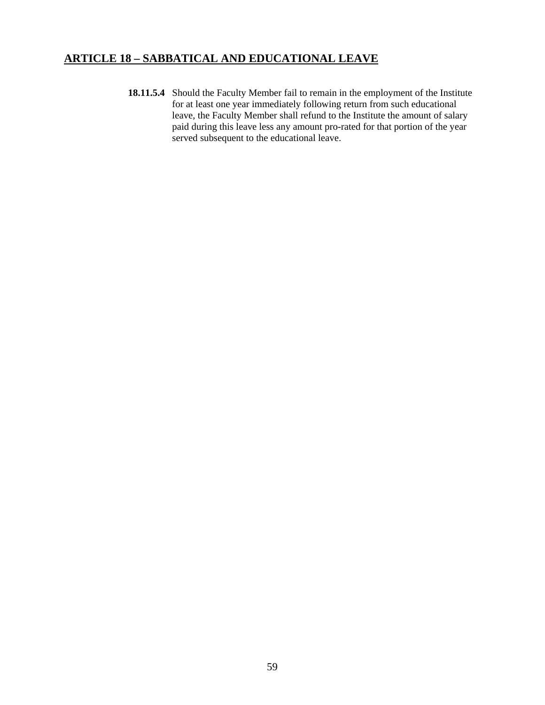**18.11.5.4** Should the Faculty Member fail to remain in the employment of the Institute for at least one year immediately following return from such educational leave, the Faculty Member shall refund to the Institute the amount of salary paid during this leave less any amount pro-rated for that portion of the year served subsequent to the educational leave.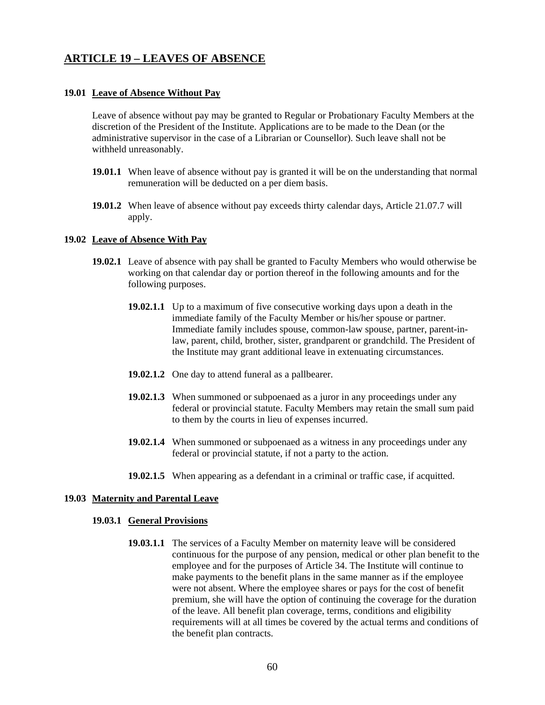#### **19.01 Leave of Absence Without Pay**

 Leave of absence without pay may be granted to Regular or Probationary Faculty Members at the discretion of the President of the Institute. Applications are to be made to the Dean (or the administrative supervisor in the case of a Librarian or Counsellor). Such leave shall not be withheld unreasonably.

- **19.01.1** When leave of absence without pay is granted it will be on the understanding that normal remuneration will be deducted on a per diem basis.
- **19.01.2** When leave of absence without pay exceeds thirty calendar days, Article 21.07.7 will apply.

#### **19.02 Leave of Absence With Pay**

- **19.02.1** Leave of absence with pay shall be granted to Faculty Members who would otherwise be working on that calendar day or portion thereof in the following amounts and for the following purposes.
	- **19.02.1.1** Up to a maximum of five consecutive working days upon a death in the immediate family of the Faculty Member or his/her spouse or partner. Immediate family includes spouse, common-law spouse, partner, parent-inlaw, parent, child, brother, sister, grandparent or grandchild. The President of the Institute may grant additional leave in extenuating circumstances.
	- **19.02.1.2** One day to attend funeral as a pallbearer.
	- **19.02.1.3** When summoned or subpoenaed as a juror in any proceedings under any federal or provincial statute. Faculty Members may retain the small sum paid to them by the courts in lieu of expenses incurred.
	- **19.02.1.4** When summoned or subpoenaed as a witness in any proceedings under any federal or provincial statute, if not a party to the action.
	- **19.02.1.5** When appearing as a defendant in a criminal or traffic case, if acquitted.

#### **19.03 Maternity and Parental Leave**

#### **19.03.1 General Provisions**

**19.03.1.1** The services of a Faculty Member on maternity leave will be considered continuous for the purpose of any pension, medical or other plan benefit to the employee and for the purposes of Article 34. The Institute will continue to make payments to the benefit plans in the same manner as if the employee were not absent. Where the employee shares or pays for the cost of benefit premium, she will have the option of continuing the coverage for the duration of the leave. All benefit plan coverage, terms, conditions and eligibility requirements will at all times be covered by the actual terms and conditions of the benefit plan contracts.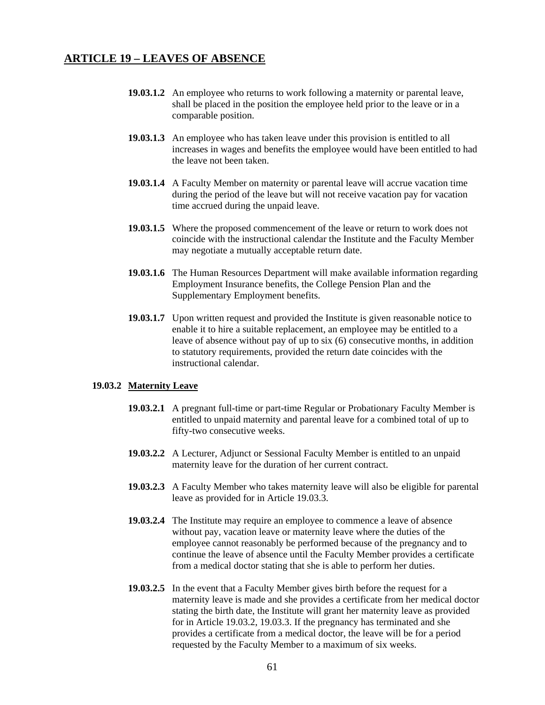- **19.03.1.2** An employee who returns to work following a maternity or parental leave, shall be placed in the position the employee held prior to the leave or in a comparable position.
- **19.03.1.3** An employee who has taken leave under this provision is entitled to all increases in wages and benefits the employee would have been entitled to had the leave not been taken.
- **19.03.1.4** A Faculty Member on maternity or parental leave will accrue vacation time during the period of the leave but will not receive vacation pay for vacation time accrued during the unpaid leave.
- **19.03.1.5** Where the proposed commencement of the leave or return to work does not coincide with the instructional calendar the Institute and the Faculty Member may negotiate a mutually acceptable return date.
- **19.03.1.6** The Human Resources Department will make available information regarding Employment Insurance benefits, the College Pension Plan and the Supplementary Employment benefits.
- **19.03.1.7** Upon written request and provided the Institute is given reasonable notice to enable it to hire a suitable replacement, an employee may be entitled to a leave of absence without pay of up to six (6) consecutive months, in addition to statutory requirements, provided the return date coincides with the instructional calendar.

#### **19.03.2 Maternity Leave**

- **19.03.2.1** A pregnant full-time or part-time Regular or Probationary Faculty Member is entitled to unpaid maternity and parental leave for a combined total of up to fifty-two consecutive weeks.
- **19.03.2.2** A Lecturer, Adjunct or Sessional Faculty Member is entitled to an unpaid maternity leave for the duration of her current contract.
- **19.03.2.3** A Faculty Member who takes maternity leave will also be eligible for parental leave as provided for in Article 19.03.3.
- **19.03.2.4** The Institute may require an employee to commence a leave of absence without pay, vacation leave or maternity leave where the duties of the employee cannot reasonably be performed because of the pregnancy and to continue the leave of absence until the Faculty Member provides a certificate from a medical doctor stating that she is able to perform her duties.
- **19.03.2.5** In the event that a Faculty Member gives birth before the request for a maternity leave is made and she provides a certificate from her medical doctor stating the birth date, the Institute will grant her maternity leave as provided for in Article 19.03.2, 19.03.3. If the pregnancy has terminated and she provides a certificate from a medical doctor, the leave will be for a period requested by the Faculty Member to a maximum of six weeks.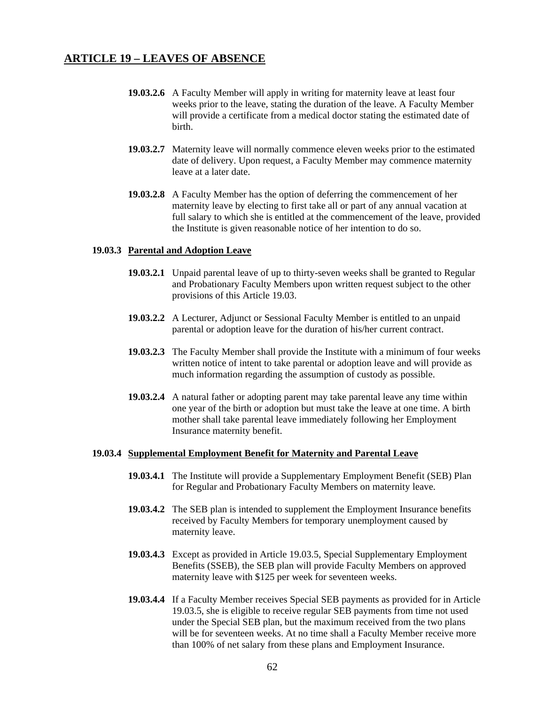- **19.03.2.6** A Faculty Member will apply in writing for maternity leave at least four weeks prior to the leave, stating the duration of the leave. A Faculty Member will provide a certificate from a medical doctor stating the estimated date of birth.
- **19.03.2.7** Maternity leave will normally commence eleven weeks prior to the estimated date of delivery. Upon request, a Faculty Member may commence maternity leave at a later date.
- **19.03.2.8** A Faculty Member has the option of deferring the commencement of her maternity leave by electing to first take all or part of any annual vacation at full salary to which she is entitled at the commencement of the leave, provided the Institute is given reasonable notice of her intention to do so.

#### **19.03.3 Parental and Adoption Leave**

- **19.03.2.1** Unpaid parental leave of up to thirty-seven weeks shall be granted to Regular and Probationary Faculty Members upon written request subject to the other provisions of this Article 19.03.
- **19.03.2.2** A Lecturer, Adjunct or Sessional Faculty Member is entitled to an unpaid parental or adoption leave for the duration of his/her current contract.
- **19.03.2.3** The Faculty Member shall provide the Institute with a minimum of four weeks written notice of intent to take parental or adoption leave and will provide as much information regarding the assumption of custody as possible.
- **19.03.2.4** A natural father or adopting parent may take parental leave any time within one year of the birth or adoption but must take the leave at one time. A birth mother shall take parental leave immediately following her Employment Insurance maternity benefit.

#### **19.03.4 Supplemental Employment Benefit for Maternity and Parental Leave**

- **19.03.4.1** The Institute will provide a Supplementary Employment Benefit (SEB) Plan for Regular and Probationary Faculty Members on maternity leave.
- **19.03.4.2** The SEB plan is intended to supplement the Employment Insurance benefits received by Faculty Members for temporary unemployment caused by maternity leave.
- **19.03.4.3** Except as provided in Article 19.03.5, Special Supplementary Employment Benefits (SSEB), the SEB plan will provide Faculty Members on approved maternity leave with \$125 per week for seventeen weeks.
- **19.03.4.4** If a Faculty Member receives Special SEB payments as provided for in Article 19.03.5, she is eligible to receive regular SEB payments from time not used under the Special SEB plan, but the maximum received from the two plans will be for seventeen weeks. At no time shall a Faculty Member receive more than 100% of net salary from these plans and Employment Insurance.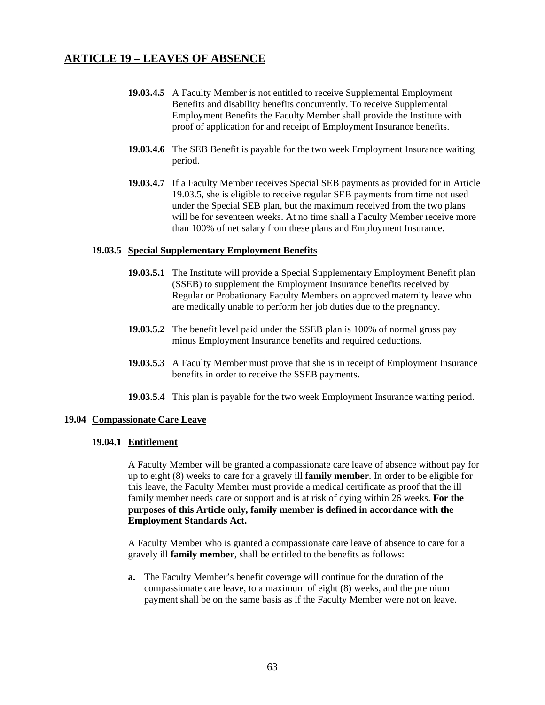- **19.03.4.5** A Faculty Member is not entitled to receive Supplemental Employment Benefits and disability benefits concurrently. To receive Supplemental Employment Benefits the Faculty Member shall provide the Institute with proof of application for and receipt of Employment Insurance benefits.
- **19.03.4.6** The SEB Benefit is payable for the two week Employment Insurance waiting period.
- **19.03.4.7** If a Faculty Member receives Special SEB payments as provided for in Article 19.03.5, she is eligible to receive regular SEB payments from time not used under the Special SEB plan, but the maximum received from the two plans will be for seventeen weeks. At no time shall a Faculty Member receive more than 100% of net salary from these plans and Employment Insurance.

#### **19.03.5 Special Supplementary Employment Benefits**

- **19.03.5.1** The Institute will provide a Special Supplementary Employment Benefit plan (SSEB) to supplement the Employment Insurance benefits received by Regular or Probationary Faculty Members on approved maternity leave who are medically unable to perform her job duties due to the pregnancy.
- **19.03.5.2** The benefit level paid under the SSEB plan is 100% of normal gross pay minus Employment Insurance benefits and required deductions.
- **19.03.5.3** A Faculty Member must prove that she is in receipt of Employment Insurance benefits in order to receive the SSEB payments.
- **19.03.5.4** This plan is payable for the two week Employment Insurance waiting period.

#### **19.04 Compassionate Care Leave**

#### **19.04.1 Entitlement**

A Faculty Member will be granted a compassionate care leave of absence without pay for up to eight (8) weeks to care for a gravely ill **family member**. In order to be eligible for this leave, the Faculty Member must provide a medical certificate as proof that the ill family member needs care or support and is at risk of dying within 26 weeks. **For the purposes of this Article only, family member is defined in accordance with the Employment Standards Act.** 

A Faculty Member who is granted a compassionate care leave of absence to care for a gravely ill **family member**, shall be entitled to the benefits as follows:

**a.** The Faculty Member's benefit coverage will continue for the duration of the compassionate care leave, to a maximum of eight (8) weeks, and the premium payment shall be on the same basis as if the Faculty Member were not on leave.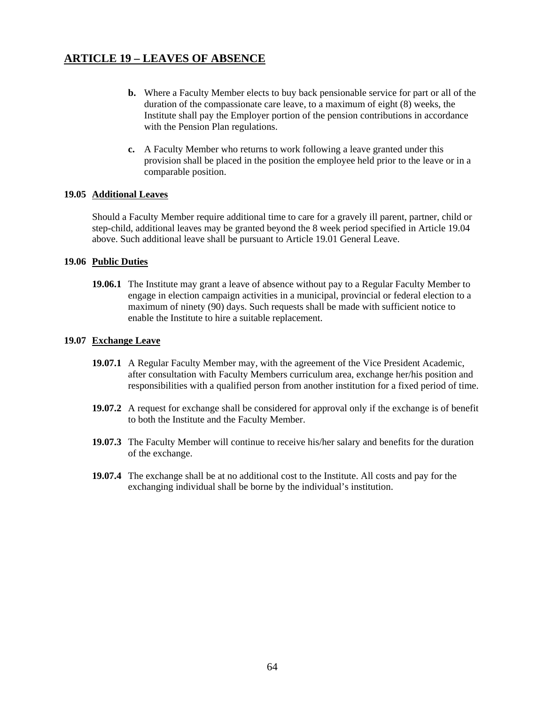- **b.** Where a Faculty Member elects to buy back pensionable service for part or all of the duration of the compassionate care leave, to a maximum of eight (8) weeks, the Institute shall pay the Employer portion of the pension contributions in accordance with the Pension Plan regulations.
- **c.** A Faculty Member who returns to work following a leave granted under this provision shall be placed in the position the employee held prior to the leave or in a comparable position.

#### **19.05 Additional Leaves**

Should a Faculty Member require additional time to care for a gravely ill parent, partner, child or step-child, additional leaves may be granted beyond the 8 week period specified in Article 19.04 above. Such additional leave shall be pursuant to Article 19.01 General Leave.

#### **19.06 Public Duties**

**19.06.1** The Institute may grant a leave of absence without pay to a Regular Faculty Member to engage in election campaign activities in a municipal, provincial or federal election to a maximum of ninety (90) days. Such requests shall be made with sufficient notice to enable the Institute to hire a suitable replacement.

#### **19.07 Exchange Leave**

- **19.07.1** A Regular Faculty Member may, with the agreement of the Vice President Academic, after consultation with Faculty Members curriculum area, exchange her/his position and responsibilities with a qualified person from another institution for a fixed period of time.
- **19.07.2** A request for exchange shall be considered for approval only if the exchange is of benefit to both the Institute and the Faculty Member.
- **19.07.3** The Faculty Member will continue to receive his/her salary and benefits for the duration of the exchange.
- **19.07.4** The exchange shall be at no additional cost to the Institute. All costs and pay for the exchanging individual shall be borne by the individual's institution.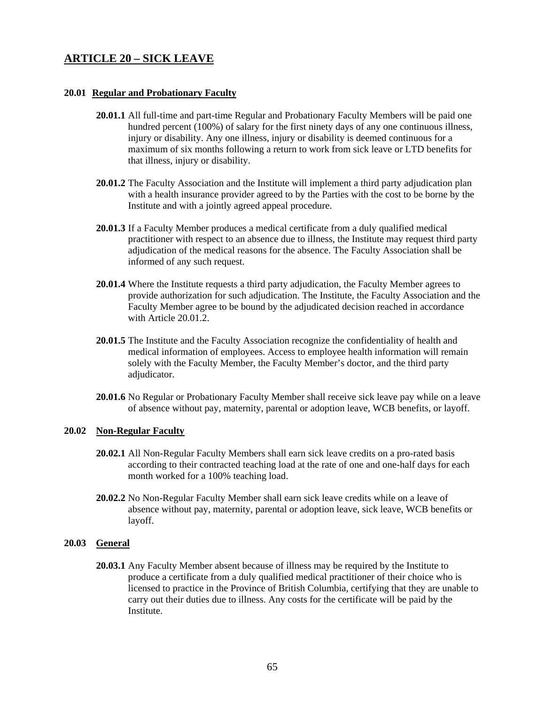## **ARTICLE 20 – SICK LEAVE**

#### **20.01 Regular and Probationary Faculty**

- **20.01.1** All full-time and part-time Regular and Probationary Faculty Members will be paid one hundred percent (100%) of salary for the first ninety days of any one continuous illness, injury or disability. Any one illness, injury or disability is deemed continuous for a maximum of six months following a return to work from sick leave or LTD benefits for that illness, injury or disability.
- **20.01.2** The Faculty Association and the Institute will implement a third party adjudication plan with a health insurance provider agreed to by the Parties with the cost to be borne by the Institute and with a jointly agreed appeal procedure.
- **20.01.3** If a Faculty Member produces a medical certificate from a duly qualified medical practitioner with respect to an absence due to illness, the Institute may request third party adjudication of the medical reasons for the absence. The Faculty Association shall be informed of any such request.
- **20.01.4** Where the Institute requests a third party adjudication, the Faculty Member agrees to provide authorization for such adjudication. The Institute, the Faculty Association and the Faculty Member agree to be bound by the adjudicated decision reached in accordance with Article 20.01.2.
- **20.01.5** The Institute and the Faculty Association recognize the confidentiality of health and medical information of employees. Access to employee health information will remain solely with the Faculty Member, the Faculty Member's doctor, and the third party adjudicator.
- **20.01.6** No Regular or Probationary Faculty Member shall receive sick leave pay while on a leave of absence without pay, maternity, parental or adoption leave, WCB benefits, or layoff.

### **20.02 Non-Regular Faculty**

- **20.02.1** All Non-Regular Faculty Members shall earn sick leave credits on a pro-rated basis according to their contracted teaching load at the rate of one and one-half days for each month worked for a 100% teaching load.
- **20.02.2** No Non-Regular Faculty Member shall earn sick leave credits while on a leave of absence without pay, maternity, parental or adoption leave, sick leave, WCB benefits or layoff.

### **20.03 General**

**20.03.1** Any Faculty Member absent because of illness may be required by the Institute to produce a certificate from a duly qualified medical practitioner of their choice who is licensed to practice in the Province of British Columbia, certifying that they are unable to carry out their duties due to illness. Any costs for the certificate will be paid by the Institute.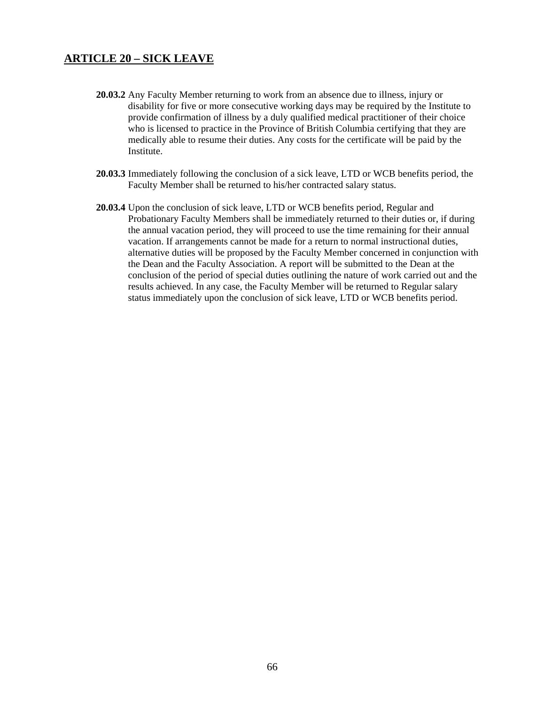## **ARTICLE 20 – SICK LEAVE**

- **20.03.2** Any Faculty Member returning to work from an absence due to illness, injury or disability for five or more consecutive working days may be required by the Institute to provide confirmation of illness by a duly qualified medical practitioner of their choice who is licensed to practice in the Province of British Columbia certifying that they are medically able to resume their duties. Any costs for the certificate will be paid by the Institute.
- **20.03.3** Immediately following the conclusion of a sick leave, LTD or WCB benefits period, the Faculty Member shall be returned to his/her contracted salary status.
- **20.03.4** Upon the conclusion of sick leave, LTD or WCB benefits period, Regular and Probationary Faculty Members shall be immediately returned to their duties or, if during the annual vacation period, they will proceed to use the time remaining for their annual vacation. If arrangements cannot be made for a return to normal instructional duties, alternative duties will be proposed by the Faculty Member concerned in conjunction with the Dean and the Faculty Association. A report will be submitted to the Dean at the conclusion of the period of special duties outlining the nature of work carried out and the results achieved. In any case, the Faculty Member will be returned to Regular salary status immediately upon the conclusion of sick leave, LTD or WCB benefits period.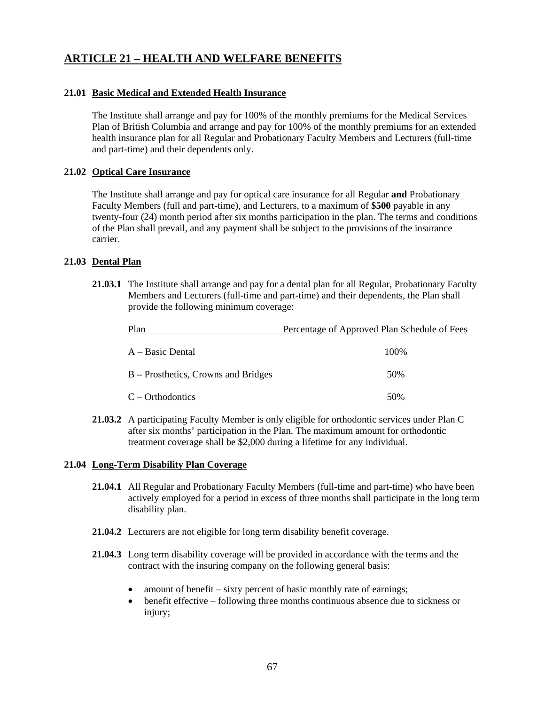#### **21.01 Basic Medical and Extended Health Insurance**

 The Institute shall arrange and pay for 100% of the monthly premiums for the Medical Services Plan of British Columbia and arrange and pay for 100% of the monthly premiums for an extended health insurance plan for all Regular and Probationary Faculty Members and Lecturers (full-time and part-time) and their dependents only.

#### **21.02 Optical Care Insurance**

 The Institute shall arrange and pay for optical care insurance for all Regular **and** Probationary Faculty Members (full and part-time), and Lecturers, to a maximum of **\$500** payable in any twenty-four (24) month period after six months participation in the plan. The terms and conditions of the Plan shall prevail, and any payment shall be subject to the provisions of the insurance carrier.

#### **21.03 Dental Plan**

 **21.03.1** The Institute shall arrange and pay for a dental plan for all Regular, Probationary Faculty Members and Lecturers (full-time and part-time) and their dependents, the Plan shall provide the following minimum coverage:

| Plan                                | Percentage of Approved Plan Schedule of Fees |
|-------------------------------------|----------------------------------------------|
| A – Basic Dental                    | 100\%                                        |
| B – Prosthetics, Crowns and Bridges | 50\%                                         |
| $C - Orthodontics$                  | 50%                                          |

 **21.03.2** A participating Faculty Member is only eligible for orthodontic services under Plan C after six months' participation in the Plan. The maximum amount for orthodontic treatment coverage shall be \$2,000 during a lifetime for any individual.

#### **21.04 Long-Term Disability Plan Coverage**

- **21.04.1** All Regular and Probationary Faculty Members (full-time and part-time) who have been actively employed for a period in excess of three months shall participate in the long term disability plan.
- **21.04.2** Lecturers are not eligible for long term disability benefit coverage.
- **21.04.3** Long term disability coverage will be provided in accordance with the terms and the contract with the insuring company on the following general basis:
	- amount of benefit sixty percent of basic monthly rate of earnings;
	- benefit effective following three months continuous absence due to sickness or injury;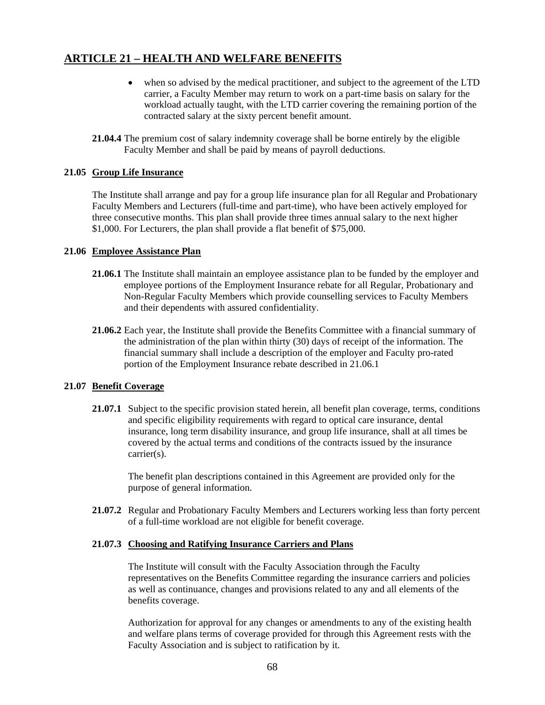- when so advised by the medical practitioner, and subject to the agreement of the LTD carrier, a Faculty Member may return to work on a part-time basis on salary for the workload actually taught, with the LTD carrier covering the remaining portion of the contracted salary at the sixty percent benefit amount.
- **21.04.4** The premium cost of salary indemnity coverage shall be borne entirely by the eligible Faculty Member and shall be paid by means of payroll deductions.

### **21.05 Group Life Insurance**

 The Institute shall arrange and pay for a group life insurance plan for all Regular and Probationary Faculty Members and Lecturers (full-time and part-time), who have been actively employed for three consecutive months. This plan shall provide three times annual salary to the next higher \$1,000. For Lecturers, the plan shall provide a flat benefit of \$75,000.

#### **21.06 Employee Assistance Plan**

- **21.06.1** The Institute shall maintain an employee assistance plan to be funded by the employer and employee portions of the Employment Insurance rebate for all Regular, Probationary and Non-Regular Faculty Members which provide counselling services to Faculty Members and their dependents with assured confidentiality.
- **21.06.2** Each year, the Institute shall provide the Benefits Committee with a financial summary of the administration of the plan within thirty (30) days of receipt of the information. The financial summary shall include a description of the employer and Faculty pro-rated portion of the Employment Insurance rebate described in 21.06.1

### **21.07 Benefit Coverage**

**21.07.1** Subject to the specific provision stated herein, all benefit plan coverage, terms, conditions and specific eligibility requirements with regard to optical care insurance, dental insurance, long term disability insurance, and group life insurance, shall at all times be covered by the actual terms and conditions of the contracts issued by the insurance carrier(s).

 The benefit plan descriptions contained in this Agreement are provided only for the purpose of general information.

**21.07.2** Regular and Probationary Faculty Members and Lecturers working less than forty percent of a full-time workload are not eligible for benefit coverage.

#### **21.07.3 Choosing and Ratifying Insurance Carriers and Plans**

 The Institute will consult with the Faculty Association through the Faculty representatives on the Benefits Committee regarding the insurance carriers and policies as well as continuance, changes and provisions related to any and all elements of the benefits coverage.

 Authorization for approval for any changes or amendments to any of the existing health and welfare plans terms of coverage provided for through this Agreement rests with the Faculty Association and is subject to ratification by it.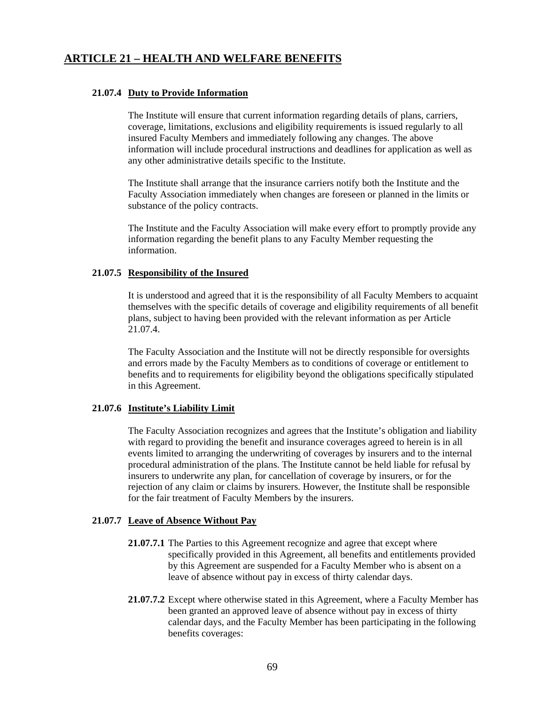#### **21.07.4 Duty to Provide Information**

 The Institute will ensure that current information regarding details of plans, carriers, coverage, limitations, exclusions and eligibility requirements is issued regularly to all insured Faculty Members and immediately following any changes. The above information will include procedural instructions and deadlines for application as well as any other administrative details specific to the Institute.

 The Institute shall arrange that the insurance carriers notify both the Institute and the Faculty Association immediately when changes are foreseen or planned in the limits or substance of the policy contracts.

 The Institute and the Faculty Association will make every effort to promptly provide any information regarding the benefit plans to any Faculty Member requesting the information.

#### **21.07.5 Responsibility of the Insured**

 It is understood and agreed that it is the responsibility of all Faculty Members to acquaint themselves with the specific details of coverage and eligibility requirements of all benefit plans, subject to having been provided with the relevant information as per Article 21.07.4.

 The Faculty Association and the Institute will not be directly responsible for oversights and errors made by the Faculty Members as to conditions of coverage or entitlement to benefits and to requirements for eligibility beyond the obligations specifically stipulated in this Agreement.

#### **21.07.6 Institute's Liability Limit**

 The Faculty Association recognizes and agrees that the Institute's obligation and liability with regard to providing the benefit and insurance coverages agreed to herein is in all events limited to arranging the underwriting of coverages by insurers and to the internal procedural administration of the plans. The Institute cannot be held liable for refusal by insurers to underwrite any plan, for cancellation of coverage by insurers, or for the rejection of any claim or claims by insurers. However, the Institute shall be responsible for the fair treatment of Faculty Members by the insurers.

## **21.07.7 Leave of Absence Without Pay**

- **21.07.7.1** The Parties to this Agreement recognize and agree that except where specifically provided in this Agreement, all benefits and entitlements provided by this Agreement are suspended for a Faculty Member who is absent on a leave of absence without pay in excess of thirty calendar days.
- **21.07.7.2** Except where otherwise stated in this Agreement, where a Faculty Member has been granted an approved leave of absence without pay in excess of thirty calendar days, and the Faculty Member has been participating in the following benefits coverages: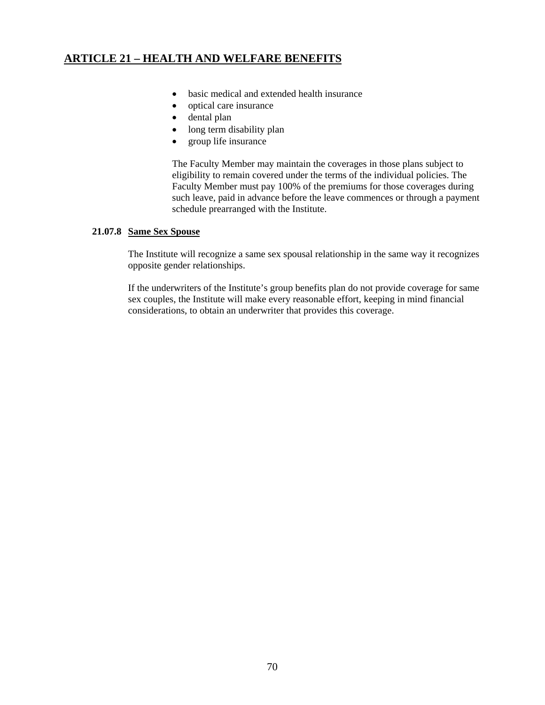- basic medical and extended health insurance
- optical care insurance
- dental plan
- long term disability plan
- group life insurance

 The Faculty Member may maintain the coverages in those plans subject to eligibility to remain covered under the terms of the individual policies. The Faculty Member must pay 100% of the premiums for those coverages during such leave, paid in advance before the leave commences or through a payment schedule prearranged with the Institute.

### **21.07.8 Same Sex Spouse**

 The Institute will recognize a same sex spousal relationship in the same way it recognizes opposite gender relationships.

 If the underwriters of the Institute's group benefits plan do not provide coverage for same sex couples, the Institute will make every reasonable effort, keeping in mind financial considerations, to obtain an underwriter that provides this coverage.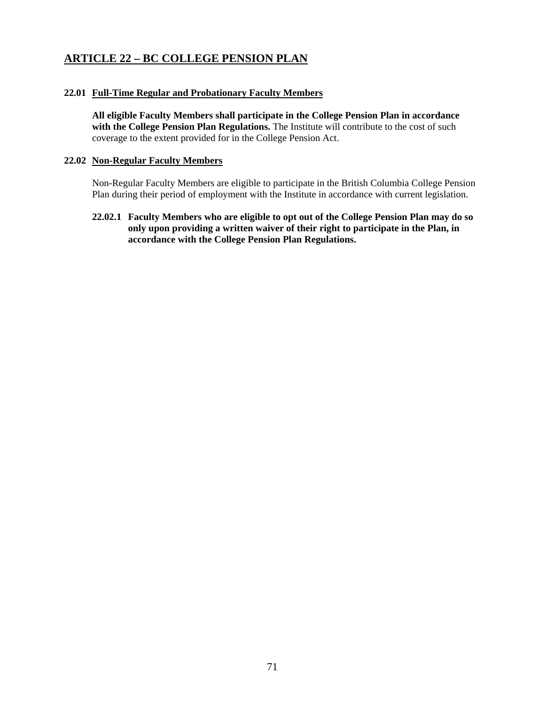## **ARTICLE 22 – BC COLLEGE PENSION PLAN**

#### **22.01 Full-Time Regular and Probationary Faculty Members**

**All eligible Faculty Members shall participate in the College Pension Plan in accordance**  with the College Pension Plan Regulations. The Institute will contribute to the cost of such coverage to the extent provided for in the College Pension Act.

#### **22.02 Non-Regular Faculty Members**

 Non-Regular Faculty Members are eligible to participate in the British Columbia College Pension Plan during their period of employment with the Institute in accordance with current legislation.

**22.02.1 Faculty Members who are eligible to opt out of the College Pension Plan may do so only upon providing a written waiver of their right to participate in the Plan, in accordance with the College Pension Plan Regulations.**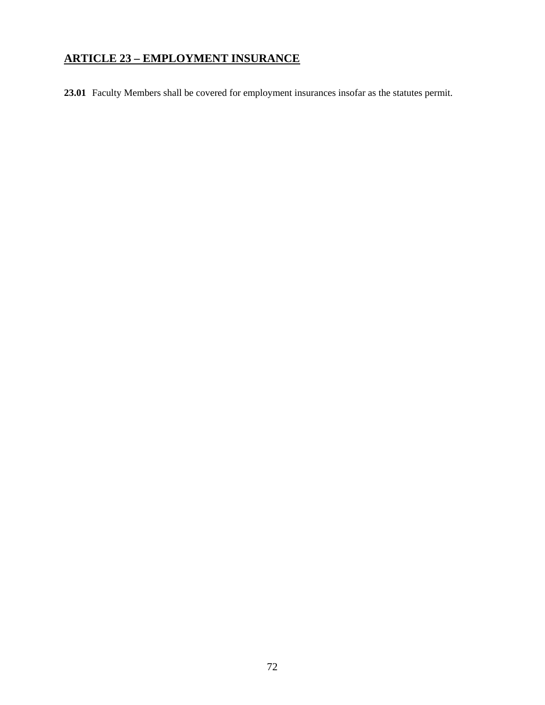# **ARTICLE 23 – EMPLOYMENT INSURANCE**

**23.01** Faculty Members shall be covered for employment insurances insofar as the statutes permit.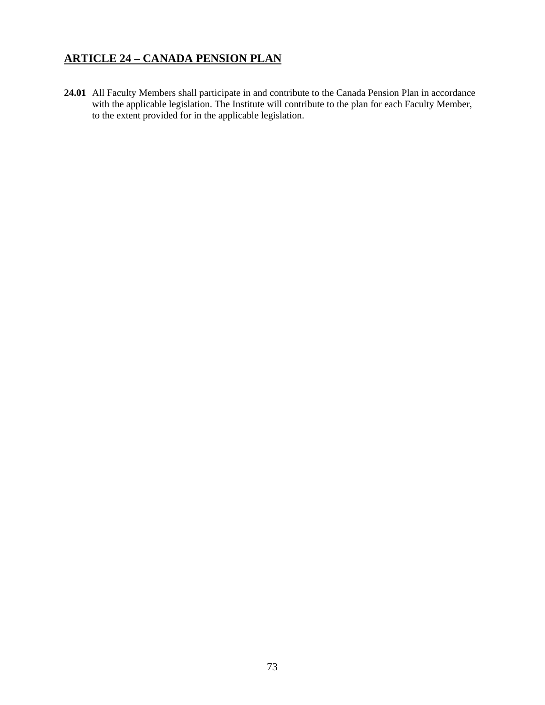# **ARTICLE 24 – CANADA PENSION PLAN**

**24.01** All Faculty Members shall participate in and contribute to the Canada Pension Plan in accordance with the applicable legislation. The Institute will contribute to the plan for each Faculty Member, to the extent provided for in the applicable legislation.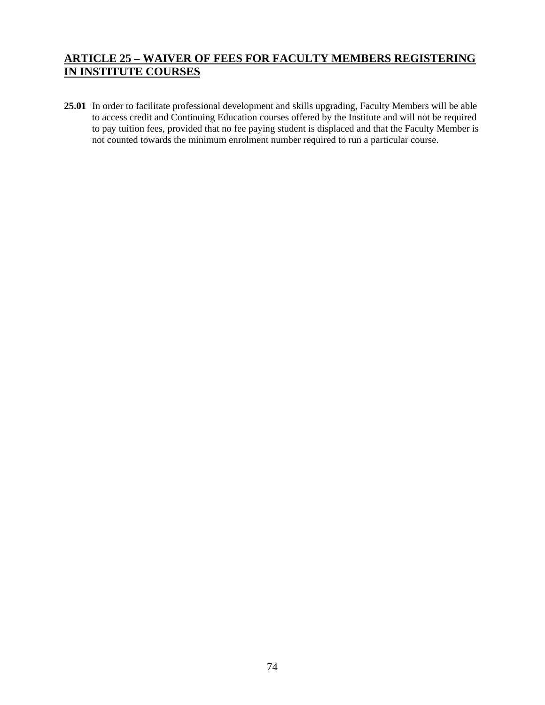# **ARTICLE 25 – WAIVER OF FEES FOR FACULTY MEMBERS REGISTERING IN INSTITUTE COURSES**

**25.01** In order to facilitate professional development and skills upgrading, Faculty Members will be able to access credit and Continuing Education courses offered by the Institute and will not be required to pay tuition fees, provided that no fee paying student is displaced and that the Faculty Member is not counted towards the minimum enrolment number required to run a particular course.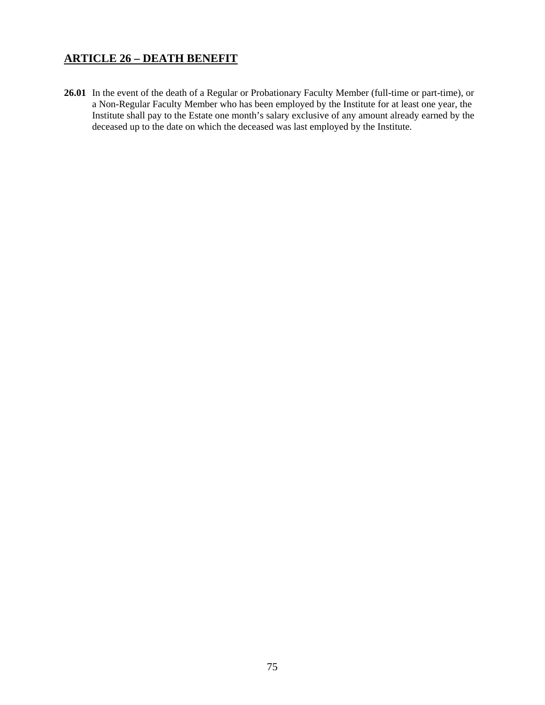# **ARTICLE 26 – DEATH BENEFIT**

**26.01** In the event of the death of a Regular or Probationary Faculty Member (full-time or part-time), or a Non-Regular Faculty Member who has been employed by the Institute for at least one year, the Institute shall pay to the Estate one month's salary exclusive of any amount already earned by the deceased up to the date on which the deceased was last employed by the Institute.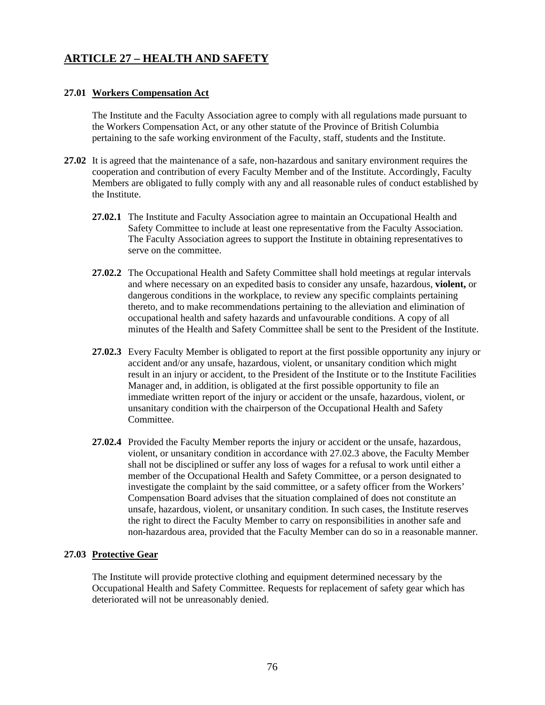# **ARTICLE 27 – HEALTH AND SAFETY**

### **27.01 Workers Compensation Act**

The Institute and the Faculty Association agree to comply with all regulations made pursuant to the Workers Compensation Act, or any other statute of the Province of British Columbia pertaining to the safe working environment of the Faculty, staff, students and the Institute.

- **27.02** It is agreed that the maintenance of a safe, non-hazardous and sanitary environment requires the cooperation and contribution of every Faculty Member and of the Institute. Accordingly, Faculty Members are obligated to fully comply with any and all reasonable rules of conduct established by the Institute.
	- **27.02.1** The Institute and Faculty Association agree to maintain an Occupational Health and Safety Committee to include at least one representative from the Faculty Association. The Faculty Association agrees to support the Institute in obtaining representatives to serve on the committee.
	- **27.02.2** The Occupational Health and Safety Committee shall hold meetings at regular intervals and where necessary on an expedited basis to consider any unsafe, hazardous, **violent,** or dangerous conditions in the workplace, to review any specific complaints pertaining thereto, and to make recommendations pertaining to the alleviation and elimination of occupational health and safety hazards and unfavourable conditions. A copy of all minutes of the Health and Safety Committee shall be sent to the President of the Institute.
	- **27.02.3** Every Faculty Member is obligated to report at the first possible opportunity any injury or accident and/or any unsafe, hazardous, violent, or unsanitary condition which might result in an injury or accident, to the President of the Institute or to the Institute Facilities Manager and, in addition, is obligated at the first possible opportunity to file an immediate written report of the injury or accident or the unsafe, hazardous, violent, or unsanitary condition with the chairperson of the Occupational Health and Safety Committee.
	- **27.02.4** Provided the Faculty Member reports the injury or accident or the unsafe, hazardous, violent, or unsanitary condition in accordance with 27.02.3 above, the Faculty Member shall not be disciplined or suffer any loss of wages for a refusal to work until either a member of the Occupational Health and Safety Committee, or a person designated to investigate the complaint by the said committee, or a safety officer from the Workers' Compensation Board advises that the situation complained of does not constitute an unsafe, hazardous, violent, or unsanitary condition. In such cases, the Institute reserves the right to direct the Faculty Member to carry on responsibilities in another safe and non-hazardous area, provided that the Faculty Member can do so in a reasonable manner.

#### **27.03 Protective Gear**

 The Institute will provide protective clothing and equipment determined necessary by the Occupational Health and Safety Committee. Requests for replacement of safety gear which has deteriorated will not be unreasonably denied.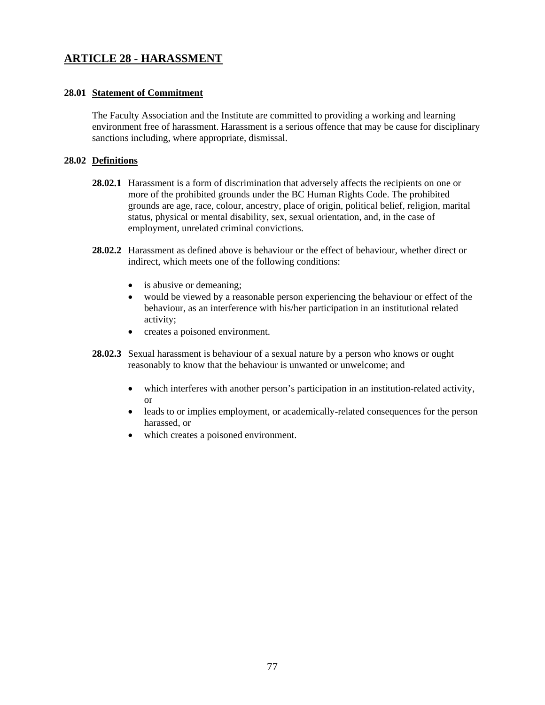# **ARTICLE 28 - HARASSMENT**

### **28.01 Statement of Commitment**

The Faculty Association and the Institute are committed to providing a working and learning environment free of harassment. Harassment is a serious offence that may be cause for disciplinary sanctions including, where appropriate, dismissal.

### **28.02 Definitions**

- **28.02.1** Harassment is a form of discrimination that adversely affects the recipients on one or more of the prohibited grounds under the BC Human Rights Code. The prohibited grounds are age, race, colour, ancestry, place of origin, political belief, religion, marital status, physical or mental disability, sex, sexual orientation, and, in the case of employment, unrelated criminal convictions.
- **28.02.2** Harassment as defined above is behaviour or the effect of behaviour, whether direct or indirect, which meets one of the following conditions:
	- is abusive or demeaning;
	- would be viewed by a reasonable person experiencing the behaviour or effect of the behaviour, as an interference with his/her participation in an institutional related activity;
	- creates a poisoned environment.
- **28.02.3** Sexual harassment is behaviour of a sexual nature by a person who knows or ought reasonably to know that the behaviour is unwanted or unwelcome; and
	- which interferes with another person's participation in an institution-related activity, or
	- leads to or implies employment, or academically-related consequences for the person harassed, or
	- which creates a poisoned environment.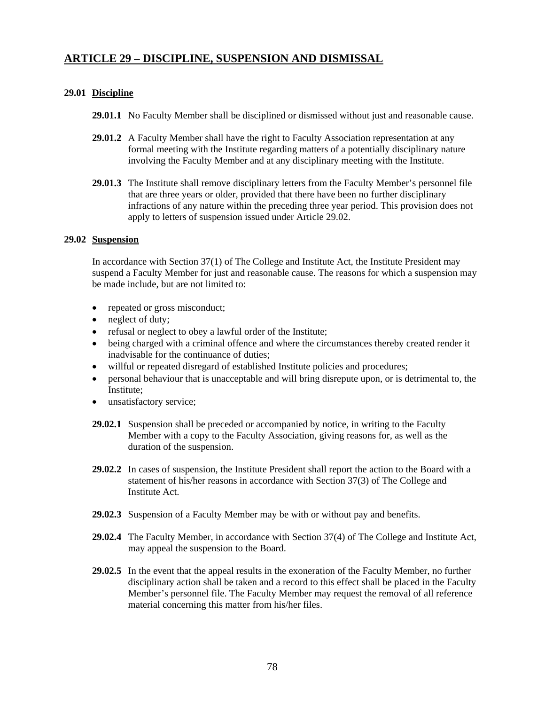## **ARTICLE 29 – DISCIPLINE, SUSPENSION AND DISMISSAL**

### **29.01 Discipline**

- **29.01.1** No Faculty Member shall be disciplined or dismissed without just and reasonable cause.
- **29.01.2** A Faculty Member shall have the right to Faculty Association representation at any formal meeting with the Institute regarding matters of a potentially disciplinary nature involving the Faculty Member and at any disciplinary meeting with the Institute.
- **29.01.3** The Institute shall remove disciplinary letters from the Faculty Member's personnel file that are three years or older, provided that there have been no further disciplinary infractions of any nature within the preceding three year period. This provision does not apply to letters of suspension issued under Article 29.02.

### **29.02 Suspension**

 In accordance with Section 37(1) of The College and Institute Act, the Institute President may suspend a Faculty Member for just and reasonable cause. The reasons for which a suspension may be made include, but are not limited to:

- repeated or gross misconduct;
- neglect of duty;
- refusal or neglect to obey a lawful order of the Institute;
- being charged with a criminal offence and where the circumstances thereby created render it inadvisable for the continuance of duties;
- willful or repeated disregard of established Institute policies and procedures;
- personal behaviour that is unacceptable and will bring disrepute upon, or is detrimental to, the Institute;
- unsatisfactory service;
- **29.02.1** Suspension shall be preceded or accompanied by notice, in writing to the Faculty Member with a copy to the Faculty Association, giving reasons for, as well as the duration of the suspension.
- **29.02.2** In cases of suspension, the Institute President shall report the action to the Board with a statement of his/her reasons in accordance with Section 37(3) of The College and Institute Act.
- **29.02.3** Suspension of a Faculty Member may be with or without pay and benefits.
- **29.02.4** The Faculty Member, in accordance with Section 37(4) of The College and Institute Act, may appeal the suspension to the Board.
- **29.02.5** In the event that the appeal results in the exoneration of the Faculty Member, no further disciplinary action shall be taken and a record to this effect shall be placed in the Faculty Member's personnel file. The Faculty Member may request the removal of all reference material concerning this matter from his/her files.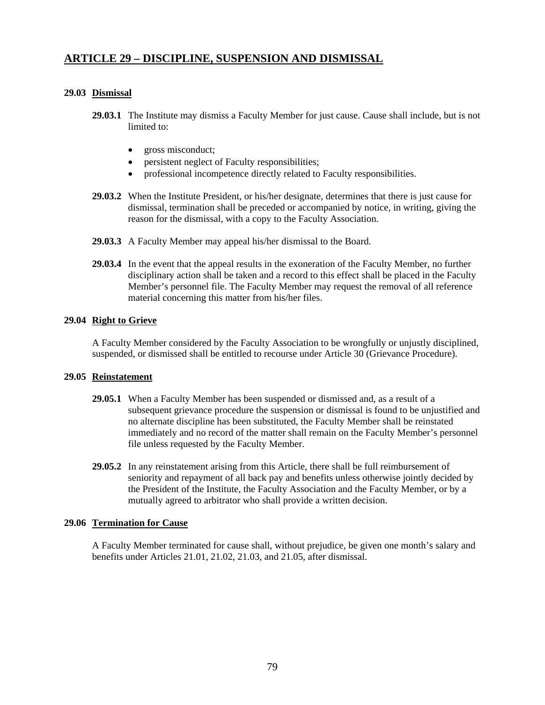## **ARTICLE 29 – DISCIPLINE, SUSPENSION AND DISMISSAL**

### **29.03 Dismissal**

- **29.03.1** The Institute may dismiss a Faculty Member for just cause. Cause shall include, but is not limited to:
	- gross misconduct;
	- persistent neglect of Faculty responsibilities;
	- professional incompetence directly related to Faculty responsibilities.
- **29.03.2** When the Institute President, or his/her designate, determines that there is just cause for dismissal, termination shall be preceded or accompanied by notice, in writing, giving the reason for the dismissal, with a copy to the Faculty Association.
- **29.03.3** A Faculty Member may appeal his/her dismissal to the Board.
- **29.03.4** In the event that the appeal results in the exoneration of the Faculty Member, no further disciplinary action shall be taken and a record to this effect shall be placed in the Faculty Member's personnel file. The Faculty Member may request the removal of all reference material concerning this matter from his/her files.

### **29.04 Right to Grieve**

 A Faculty Member considered by the Faculty Association to be wrongfully or unjustly disciplined, suspended, or dismissed shall be entitled to recourse under Article 30 (Grievance Procedure).

### **29.05 Reinstatement**

- **29.05.1** When a Faculty Member has been suspended or dismissed and, as a result of a subsequent grievance procedure the suspension or dismissal is found to be unjustified and no alternate discipline has been substituted, the Faculty Member shall be reinstated immediately and no record of the matter shall remain on the Faculty Member's personnel file unless requested by the Faculty Member.
- **29.05.2** In any reinstatement arising from this Article, there shall be full reimbursement of seniority and repayment of all back pay and benefits unless otherwise jointly decided by the President of the Institute, the Faculty Association and the Faculty Member, or by a mutually agreed to arbitrator who shall provide a written decision.

### **29.06 Termination for Cause**

 A Faculty Member terminated for cause shall, without prejudice, be given one month's salary and benefits under Articles 21.01, 21.02, 21.03, and 21.05, after dismissal.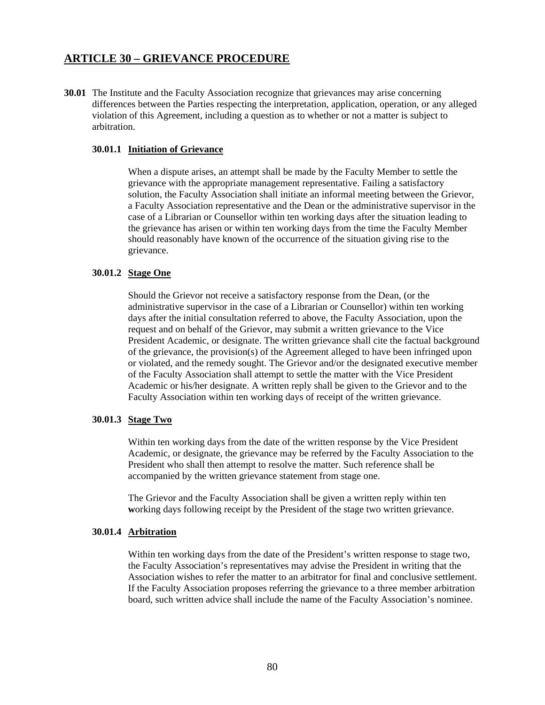## **ARTICLE 30 – GRIEVANCE PROCEDURE**

**30.01** The Institute and the Faculty Association recognize that grievances may arise concerning differences between the Parties respecting the interpretation, application, operation, or any alleged violation of this Agreement, including a question as to whether or not a matter is subject to arbitration.

### **30.01.1 Initiation of Grievance**

 When a dispute arises, an attempt shall be made by the Faculty Member to settle the grievance with the appropriate management representative. Failing a satisfactory solution, the Faculty Association shall initiate an informal meeting between the Grievor, a Faculty Association representative and the Dean or the administrative supervisor in the case of a Librarian or Counsellor within ten working days after the situation leading to the grievance has arisen or within ten working days from the time the Faculty Member should reasonably have known of the occurrence of the situation giving rise to the grievance.

### **30.01.2 Stage One**

 Should the Grievor not receive a satisfactory response from the Dean, (or the administrative supervisor in the case of a Librarian or Counsellor) within ten working days after the initial consultation referred to above, the Faculty Association, upon the request and on behalf of the Grievor, may submit a written grievance to the Vice President Academic, or designate. The written grievance shall cite the factual background of the grievance, the provision(s) of the Agreement alleged to have been infringed upon or violated, and the remedy sought. The Grievor and/or the designated executive member of the Faculty Association shall attempt to settle the matter with the Vice President Academic or his/her designate. A written reply shall be given to the Grievor and to the Faculty Association within ten working days of receipt of the written grievance.

#### **30.01.3 Stage Two**

 Within ten working days from the date of the written response by the Vice President Academic, or designate, the grievance may be referred by the Faculty Association to the President who shall then attempt to resolve the matter. Such reference shall be accompanied by the written grievance statement from stage one.

 The Grievor and the Faculty Association shall be given a written reply within ten **working days following receipt by the President of the stage two written grievance.** 

#### **30.01.4 Arbitration**

Within ten working days from the date of the President's written response to stage two, the Faculty Association's representatives may advise the President in writing that the Association wishes to refer the matter to an arbitrator for final and conclusive settlement. If the Faculty Association proposes referring the grievance to a three member arbitration board, such written advice shall include the name of the Faculty Association's nominee.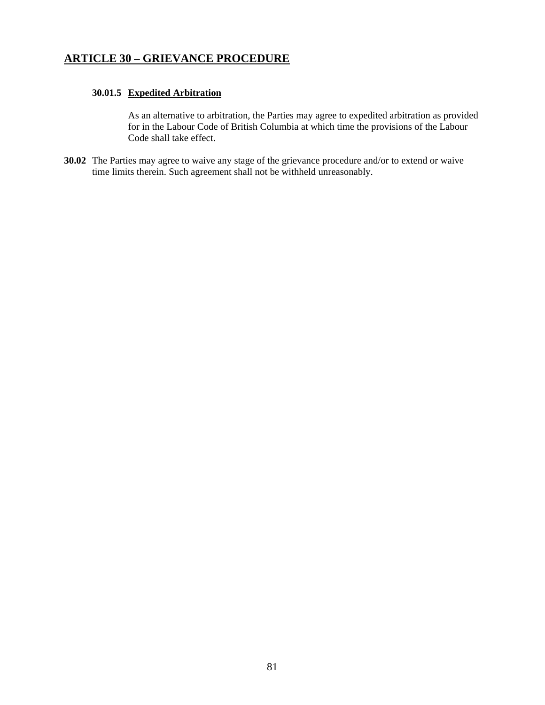# **ARTICLE 30 – GRIEVANCE PROCEDURE**

### **30.01.5 Expedited Arbitration**

As an alternative to arbitration, the Parties may agree to expedited arbitration as provided for in the Labour Code of British Columbia at which time the provisions of the Labour Code shall take effect.

**30.02** The Parties may agree to waive any stage of the grievance procedure and/or to extend or waive time limits therein. Such agreement shall not be withheld unreasonably.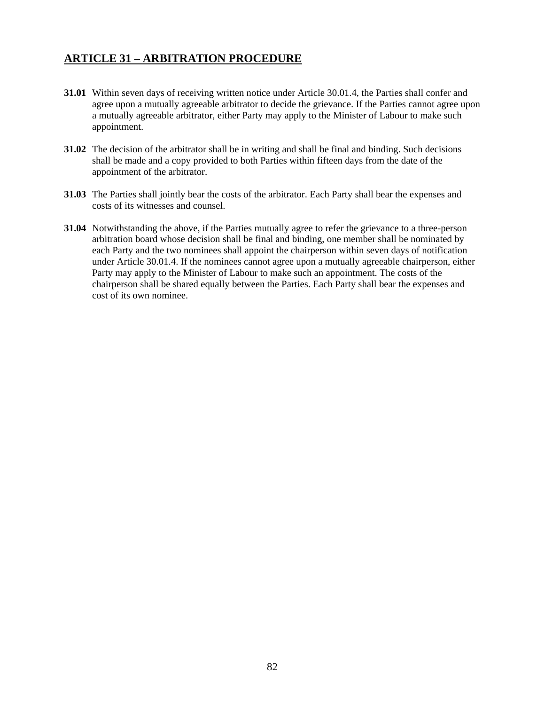# **ARTICLE 31 – ARBITRATION PROCEDURE**

- **31.01** Within seven days of receiving written notice under Article 30.01.4, the Parties shall confer and agree upon a mutually agreeable arbitrator to decide the grievance. If the Parties cannot agree upon a mutually agreeable arbitrator, either Party may apply to the Minister of Labour to make such appointment.
- **31.02** The decision of the arbitrator shall be in writing and shall be final and binding. Such decisions shall be made and a copy provided to both Parties within fifteen days from the date of the appointment of the arbitrator.
- **31.03** The Parties shall jointly bear the costs of the arbitrator. Each Party shall bear the expenses and costs of its witnesses and counsel.
- **31.04** Notwithstanding the above, if the Parties mutually agree to refer the grievance to a three-person arbitration board whose decision shall be final and binding, one member shall be nominated by each Party and the two nominees shall appoint the chairperson within seven days of notification under Article 30.01.4. If the nominees cannot agree upon a mutually agreeable chairperson, either Party may apply to the Minister of Labour to make such an appointment. The costs of the chairperson shall be shared equally between the Parties. Each Party shall bear the expenses and cost of its own nominee.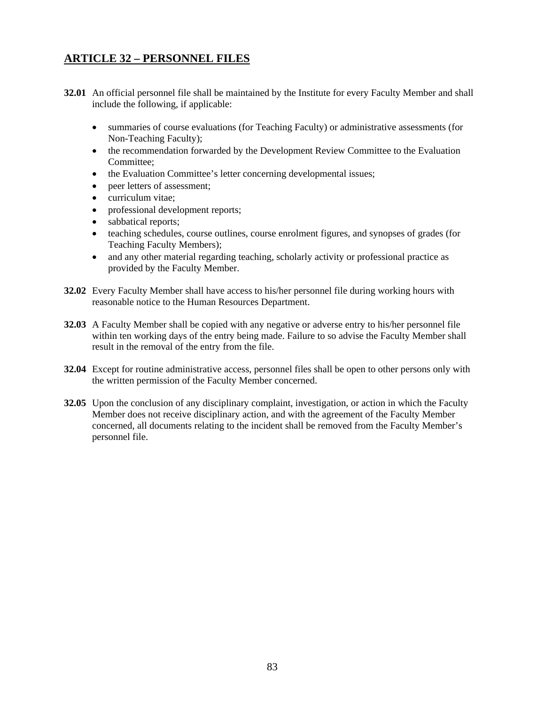# **ARTICLE 32 – PERSONNEL FILES**

- **32.01** An official personnel file shall be maintained by the Institute for every Faculty Member and shall include the following, if applicable:
	- summaries of course evaluations (for Teaching Faculty) or administrative assessments (for Non-Teaching Faculty);
	- the recommendation forwarded by the Development Review Committee to the Evaluation Committee;
	- the Evaluation Committee's letter concerning developmental issues;
	- peer letters of assessment;
	- curriculum vitae:
	- professional development reports;
	- sabbatical reports;
	- teaching schedules, course outlines, course enrolment figures, and synopses of grades (for Teaching Faculty Members);
	- and any other material regarding teaching, scholarly activity or professional practice as provided by the Faculty Member.
- **32.02** Every Faculty Member shall have access to his/her personnel file during working hours with reasonable notice to the Human Resources Department.
- **32.03** A Faculty Member shall be copied with any negative or adverse entry to his/her personnel file within ten working days of the entry being made. Failure to so advise the Faculty Member shall result in the removal of the entry from the file.
- **32.04** Except for routine administrative access, personnel files shall be open to other persons only with the written permission of the Faculty Member concerned.
- **32.05** Upon the conclusion of any disciplinary complaint, investigation, or action in which the Faculty Member does not receive disciplinary action, and with the agreement of the Faculty Member concerned, all documents relating to the incident shall be removed from the Faculty Member's personnel file.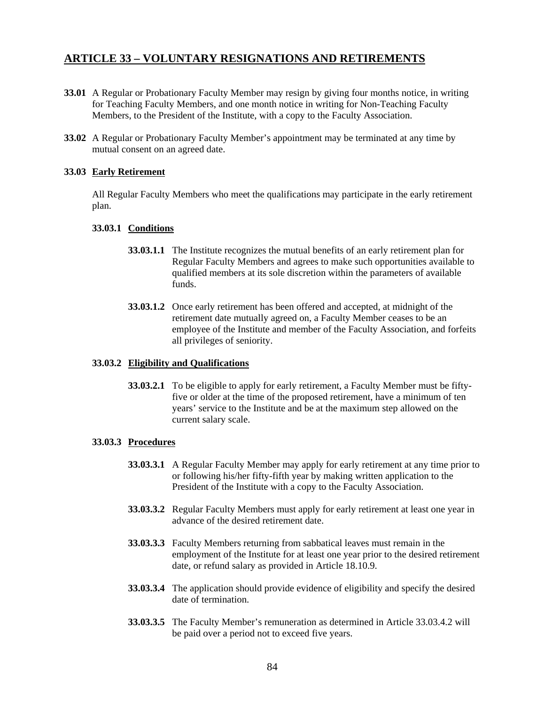### **ARTICLE 33 – VOLUNTARY RESIGNATIONS AND RETIREMENTS**

- **33.01** A Regular or Probationary Faculty Member may resign by giving four months notice, in writing for Teaching Faculty Members, and one month notice in writing for Non-Teaching Faculty Members, to the President of the Institute, with a copy to the Faculty Association.
- **33.02** A Regular or Probationary Faculty Member's appointment may be terminated at any time by mutual consent on an agreed date.

### **33.03 Early Retirement**

 All Regular Faculty Members who meet the qualifications may participate in the early retirement plan.

### **33.03.1 Conditions**

- **33.03.1.1** The Institute recognizes the mutual benefits of an early retirement plan for Regular Faculty Members and agrees to make such opportunities available to qualified members at its sole discretion within the parameters of available funds.
- **33.03.1.2** Once early retirement has been offered and accepted, at midnight of the retirement date mutually agreed on, a Faculty Member ceases to be an employee of the Institute and member of the Faculty Association, and forfeits all privileges of seniority.

### **33.03.2 Eligibility and Qualifications**

**33.03.2.1** To be eligible to apply for early retirement, a Faculty Member must be fiftyfive or older at the time of the proposed retirement, have a minimum of ten years' service to the Institute and be at the maximum step allowed on the current salary scale.

### **33.03.3 Procedures**

- **33.03.3.1** A Regular Faculty Member may apply for early retirement at any time prior to or following his/her fifty-fifth year by making written application to the President of the Institute with a copy to the Faculty Association.
- **33.03.3.2** Regular Faculty Members must apply for early retirement at least one year in advance of the desired retirement date.
- **33.03.3.3** Faculty Members returning from sabbatical leaves must remain in the employment of the Institute for at least one year prior to the desired retirement date, or refund salary as provided in Article 18.10.9.
- **33.03.3.4** The application should provide evidence of eligibility and specify the desired date of termination.
- **33.03.3.5** The Faculty Member's remuneration as determined in Article 33.03.4.2 will be paid over a period not to exceed five years.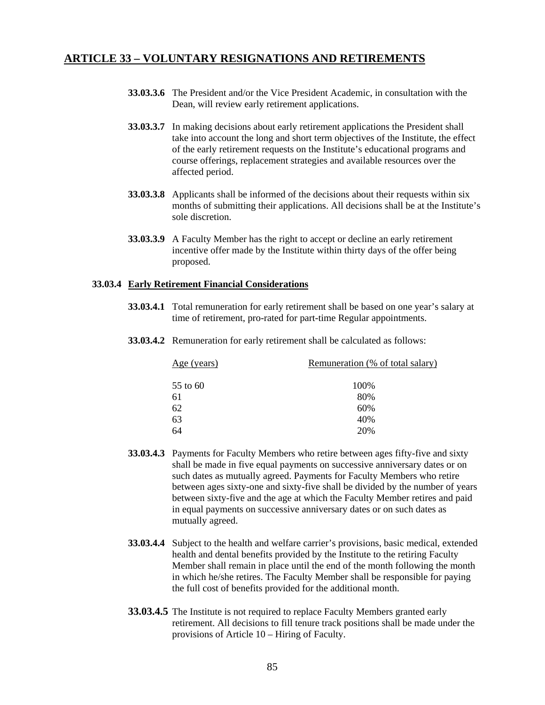### **ARTICLE 33 – VOLUNTARY RESIGNATIONS AND RETIREMENTS**

- **33.03.3.6** The President and/or the Vice President Academic, in consultation with the Dean, will review early retirement applications.
- **33.03.3.7** In making decisions about early retirement applications the President shall take into account the long and short term objectives of the Institute, the effect of the early retirement requests on the Institute's educational programs and course offerings, replacement strategies and available resources over the affected period.
- **33.03.3.8** Applicants shall be informed of the decisions about their requests within six months of submitting their applications. All decisions shall be at the Institute's sole discretion.
- **33.03.3.9** A Faculty Member has the right to accept or decline an early retirement incentive offer made by the Institute within thirty days of the offer being proposed.

### **33.03.4 Early Retirement Financial Considerations**

- **33.03.4.1** Total remuneration for early retirement shall be based on one year's salary at time of retirement, pro-rated for part-time Regular appointments.
- **33.03.4.2** Remuneration for early retirement shall be calculated as follows:

| $Age$ (years) | Remuneration (% of total salary) |
|---------------|----------------------------------|
| 55 to 60      | 100%                             |
| 61            | 80%                              |
| 62            | 60%                              |
| 63            | 40%                              |
| 64            | 20%                              |

- **33.03.4.3** Payments for Faculty Members who retire between ages fifty-five and sixty shall be made in five equal payments on successive anniversary dates or on such dates as mutually agreed. Payments for Faculty Members who retire between ages sixty-one and sixty-five shall be divided by the number of years between sixty-five and the age at which the Faculty Member retires and paid in equal payments on successive anniversary dates or on such dates as mutually agreed.
- **33.03.4.4** Subject to the health and welfare carrier's provisions, basic medical, extended health and dental benefits provided by the Institute to the retiring Faculty Member shall remain in place until the end of the month following the month in which he/she retires. The Faculty Member shall be responsible for paying the full cost of benefits provided for the additional month.
- **33.03.4.5** The Institute is not required to replace Faculty Members granted early retirement. All decisions to fill tenure track positions shall be made under the provisions of Article 10 – Hiring of Faculty.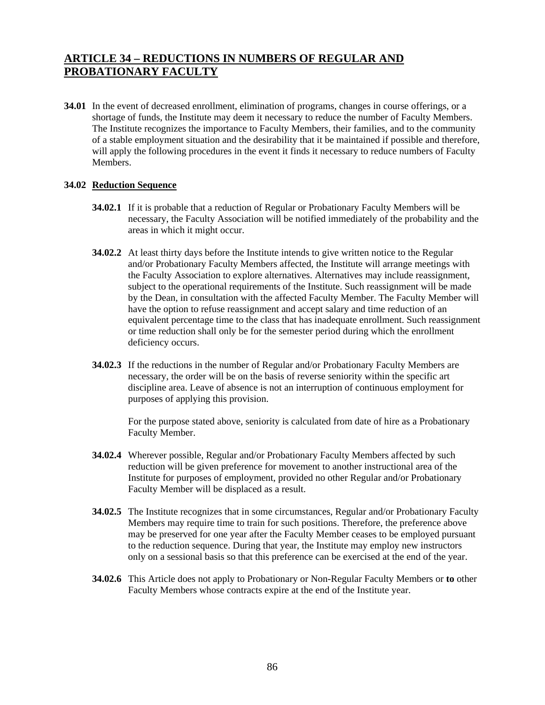# **ARTICLE 34 – REDUCTIONS IN NUMBERS OF REGULAR AND PROBATIONARY FACULTY**

**34.01** In the event of decreased enrollment, elimination of programs, changes in course offerings, or a shortage of funds, the Institute may deem it necessary to reduce the number of Faculty Members. The Institute recognizes the importance to Faculty Members, their families, and to the community of a stable employment situation and the desirability that it be maintained if possible and therefore, will apply the following procedures in the event it finds it necessary to reduce numbers of Faculty Members.

### **34.02 Reduction Sequence**

- **34.02.1** If it is probable that a reduction of Regular or Probationary Faculty Members will be necessary, the Faculty Association will be notified immediately of the probability and the areas in which it might occur.
- **34.02.2** At least thirty days before the Institute intends to give written notice to the Regular and/or Probationary Faculty Members affected, the Institute will arrange meetings with the Faculty Association to explore alternatives. Alternatives may include reassignment, subject to the operational requirements of the Institute. Such reassignment will be made by the Dean, in consultation with the affected Faculty Member. The Faculty Member will have the option to refuse reassignment and accept salary and time reduction of an equivalent percentage time to the class that has inadequate enrollment. Such reassignment or time reduction shall only be for the semester period during which the enrollment deficiency occurs.
- **34.02.3** If the reductions in the number of Regular and/or Probationary Faculty Members are necessary, the order will be on the basis of reverse seniority within the specific art discipline area. Leave of absence is not an interruption of continuous employment for purposes of applying this provision.

For the purpose stated above, seniority is calculated from date of hire as a Probationary Faculty Member.

- **34.02.4** Wherever possible, Regular and/or Probationary Faculty Members affected by such reduction will be given preference for movement to another instructional area of the Institute for purposes of employment, provided no other Regular and/or Probationary Faculty Member will be displaced as a result.
- **34.02.5** The Institute recognizes that in some circumstances, Regular and/or Probationary Faculty Members may require time to train for such positions. Therefore, the preference above may be preserved for one year after the Faculty Member ceases to be employed pursuant to the reduction sequence. During that year, the Institute may employ new instructors only on a sessional basis so that this preference can be exercised at the end of the year.
- **34.02.6** This Article does not apply to Probationary or Non-Regular Faculty Members or **to** other Faculty Members whose contracts expire at the end of the Institute year.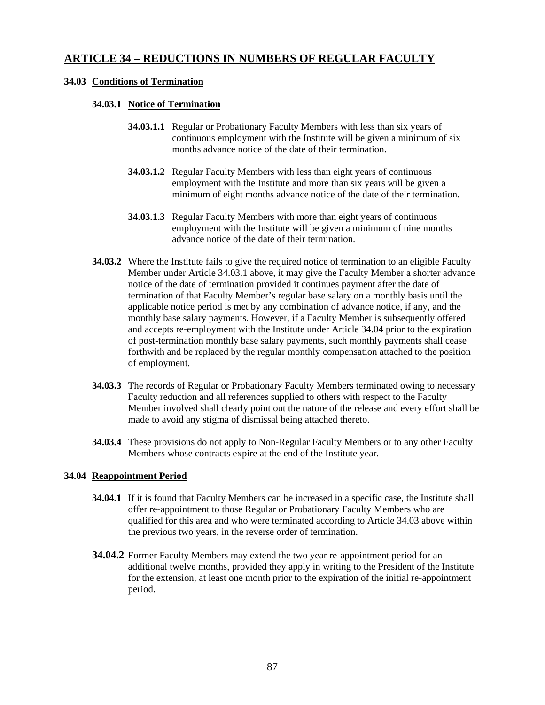## **ARTICLE 34 – REDUCTIONS IN NUMBERS OF REGULAR FACULTY**

### **34.03 Conditions of Termination**

### **34.03.1 Notice of Termination**

- **34.03.1.1** Regular or Probationary Faculty Members with less than six years of continuous employment with the Institute will be given a minimum of six months advance notice of the date of their termination.
- **34.03.1.2** Regular Faculty Members with less than eight years of continuous employment with the Institute and more than six years will be given a minimum of eight months advance notice of the date of their termination.
- **34.03.1.3** Regular Faculty Members with more than eight years of continuous employment with the Institute will be given a minimum of nine months advance notice of the date of their termination.
- **34.03.2** Where the Institute fails to give the required notice of termination to an eligible Faculty Member under Article 34.03.1 above, it may give the Faculty Member a shorter advance notice of the date of termination provided it continues payment after the date of termination of that Faculty Member's regular base salary on a monthly basis until the applicable notice period is met by any combination of advance notice, if any, and the monthly base salary payments. However, if a Faculty Member is subsequently offered and accepts re-employment with the Institute under Article 34.04 prior to the expiration of post-termination monthly base salary payments, such monthly payments shall cease forthwith and be replaced by the regular monthly compensation attached to the position of employment.
- **34.03.3** The records of Regular or Probationary Faculty Members terminated owing to necessary Faculty reduction and all references supplied to others with respect to the Faculty Member involved shall clearly point out the nature of the release and every effort shall be made to avoid any stigma of dismissal being attached thereto.
- **34.03.4** These provisions do not apply to Non-Regular Faculty Members or to any other Faculty Members whose contracts expire at the end of the Institute year.

#### **34.04 Reappointment Period**

- **34.04.1** If it is found that Faculty Members can be increased in a specific case, the Institute shall offer re-appointment to those Regular or Probationary Faculty Members who are qualified for this area and who were terminated according to Article 34.03 above within the previous two years, in the reverse order of termination.
- **34.04.2** Former Faculty Members may extend the two year re-appointment period for an additional twelve months, provided they apply in writing to the President of the Institute for the extension, at least one month prior to the expiration of the initial re-appointment period.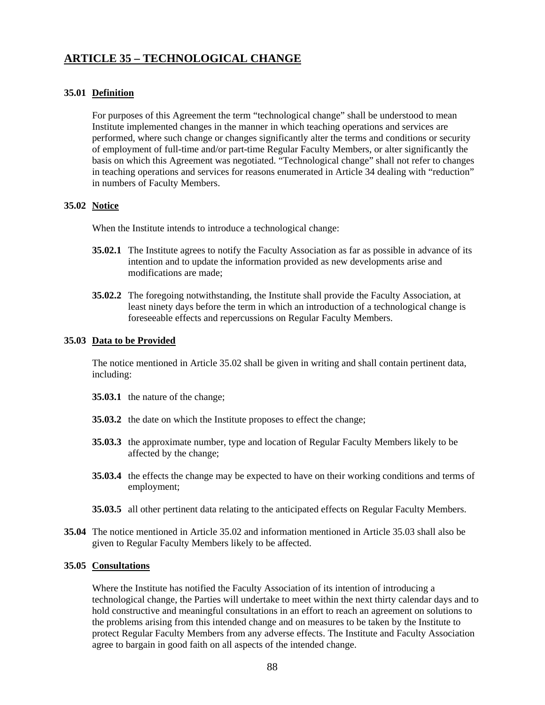# **ARTICLE 35 – TECHNOLOGICAL CHANGE**

### **35.01 Definition**

 For purposes of this Agreement the term "technological change" shall be understood to mean Institute implemented changes in the manner in which teaching operations and services are performed, where such change or changes significantly alter the terms and conditions or security of employment of full-time and/or part-time Regular Faculty Members, or alter significantly the basis on which this Agreement was negotiated. "Technological change" shall not refer to changes in teaching operations and services for reasons enumerated in Article 34 dealing with "reduction" in numbers of Faculty Members.

### **35.02 Notice**

When the Institute intends to introduce a technological change:

- **35.02.1** The Institute agrees to notify the Faculty Association as far as possible in advance of its intention and to update the information provided as new developments arise and modifications are made;
- **35.02.2** The foregoing notwithstanding, the Institute shall provide the Faculty Association, at least ninety days before the term in which an introduction of a technological change is foreseeable effects and repercussions on Regular Faculty Members.

#### **35.03 Data to be Provided**

 The notice mentioned in Article 35.02 shall be given in writing and shall contain pertinent data, including:

- **35.03.1** the nature of the change;
- **35.03.2** the date on which the Institute proposes to effect the change;
- **35.03.3** the approximate number, type and location of Regular Faculty Members likely to be affected by the change;
- **35.03.4** the effects the change may be expected to have on their working conditions and terms of employment;
- **35.03.5** all other pertinent data relating to the anticipated effects on Regular Faculty Members.
- **35.04** The notice mentioned in Article 35.02 and information mentioned in Article 35.03 shall also be given to Regular Faculty Members likely to be affected.

#### **35.05 Consultations**

 Where the Institute has notified the Faculty Association of its intention of introducing a technological change, the Parties will undertake to meet within the next thirty calendar days and to hold constructive and meaningful consultations in an effort to reach an agreement on solutions to the problems arising from this intended change and on measures to be taken by the Institute to protect Regular Faculty Members from any adverse effects. The Institute and Faculty Association agree to bargain in good faith on all aspects of the intended change.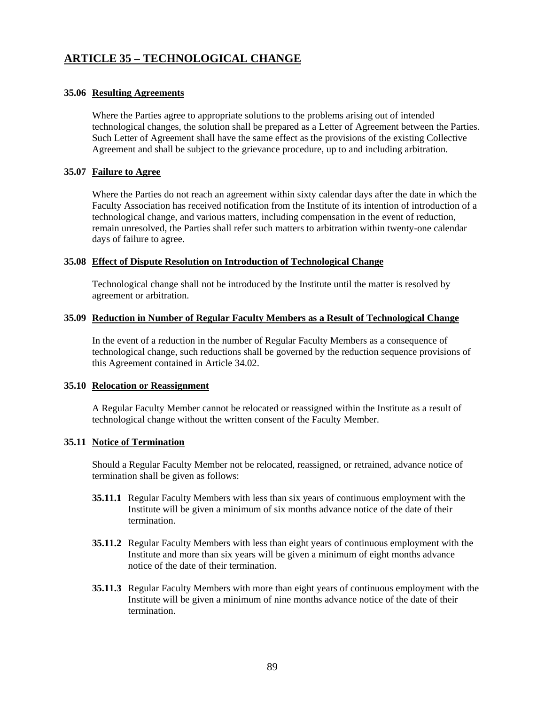# **ARTICLE 35 – TECHNOLOGICAL CHANGE**

### **35.06 Resulting Agreements**

 Where the Parties agree to appropriate solutions to the problems arising out of intended technological changes, the solution shall be prepared as a Letter of Agreement between the Parties. Such Letter of Agreement shall have the same effect as the provisions of the existing Collective Agreement and shall be subject to the grievance procedure, up to and including arbitration.

### **35.07 Failure to Agree**

 Where the Parties do not reach an agreement within sixty calendar days after the date in which the Faculty Association has received notification from the Institute of its intention of introduction of a technological change, and various matters, including compensation in the event of reduction, remain unresolved, the Parties shall refer such matters to arbitration within twenty-one calendar days of failure to agree.

### **35.08 Effect of Dispute Resolution on Introduction of Technological Change**

 Technological change shall not be introduced by the Institute until the matter is resolved by agreement or arbitration.

### **35.09 Reduction in Number of Regular Faculty Members as a Result of Technological Change**

 In the event of a reduction in the number of Regular Faculty Members as a consequence of technological change, such reductions shall be governed by the reduction sequence provisions of this Agreement contained in Article 34.02.

#### **35.10 Relocation or Reassignment**

 A Regular Faculty Member cannot be relocated or reassigned within the Institute as a result of technological change without the written consent of the Faculty Member.

### **35.11 Notice of Termination**

Should a Regular Faculty Member not be relocated, reassigned, or retrained, advance notice of termination shall be given as follows:

- **35.11.1** Regular Faculty Members with less than six years of continuous employment with the Institute will be given a minimum of six months advance notice of the date of their termination.
- **35.11.2** Regular Faculty Members with less than eight years of continuous employment with the Institute and more than six years will be given a minimum of eight months advance notice of the date of their termination.
- **35.11.3** Regular Faculty Members with more than eight years of continuous employment with the Institute will be given a minimum of nine months advance notice of the date of their termination.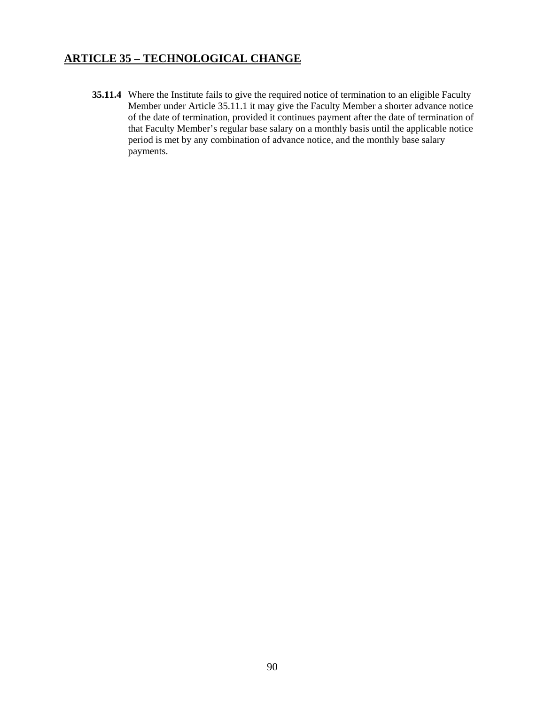# **ARTICLE 35 – TECHNOLOGICAL CHANGE**

**35.11.4** Where the Institute fails to give the required notice of termination to an eligible Faculty Member under Article 35.11.1 it may give the Faculty Member a shorter advance notice of the date of termination, provided it continues payment after the date of termination of that Faculty Member's regular base salary on a monthly basis until the applicable notice period is met by any combination of advance notice, and the monthly base salary payments.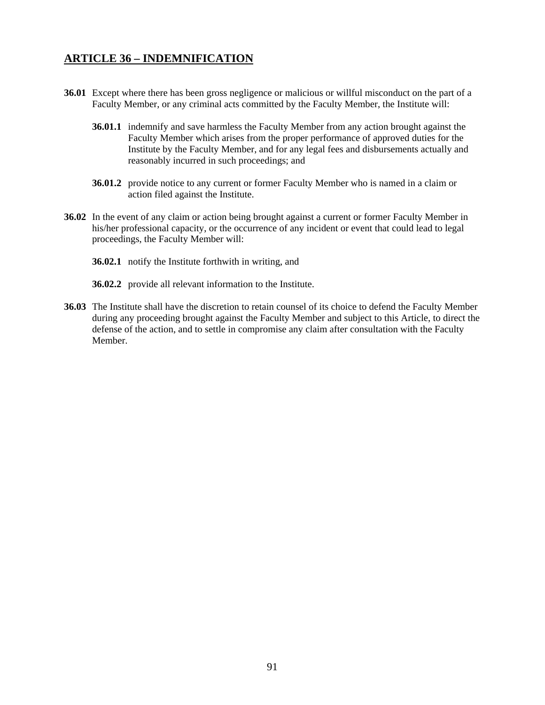## **ARTICLE 36 – INDEMNIFICATION**

- **36.01** Except where there has been gross negligence or malicious or willful misconduct on the part of a Faculty Member, or any criminal acts committed by the Faculty Member, the Institute will:
	- **36.01.1** indemnify and save harmless the Faculty Member from any action brought against the Faculty Member which arises from the proper performance of approved duties for the Institute by the Faculty Member, and for any legal fees and disbursements actually and reasonably incurred in such proceedings; and
	- **36.01.2** provide notice to any current or former Faculty Member who is named in a claim or action filed against the Institute.
- **36.02** In the event of any claim or action being brought against a current or former Faculty Member in his/her professional capacity, or the occurrence of any incident or event that could lead to legal proceedings, the Faculty Member will:
	- **36.02.1** notify the Institute forthwith in writing, and
	- **36.02.2** provide all relevant information to the Institute.
- **36.03** The Institute shall have the discretion to retain counsel of its choice to defend the Faculty Member during any proceeding brought against the Faculty Member and subject to this Article, to direct the defense of the action, and to settle in compromise any claim after consultation with the Faculty Member.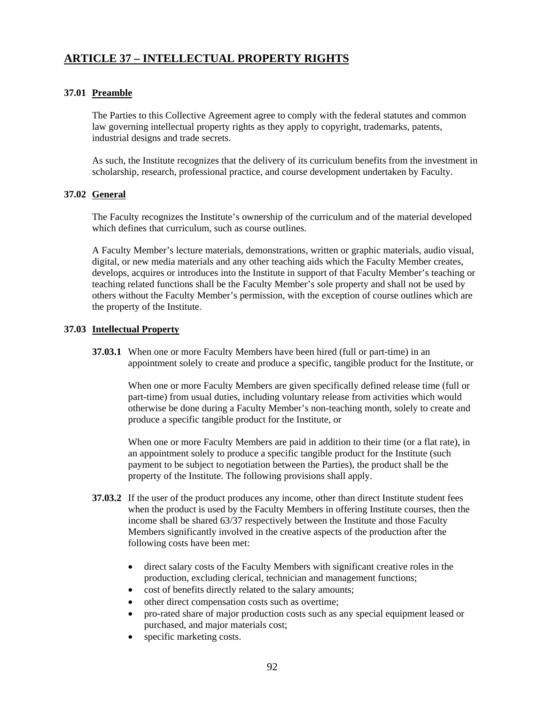# **ARTICLE 37 – INTELLECTUAL PROPERTY RIGHTS**

### **37.01 Preamble**

The Parties to this Collective Agreement agree to comply with the federal statutes and common law governing intellectual property rights as they apply to copyright, trademarks, patents, industrial designs and trade secrets.

 As such, the Institute recognizes that the delivery of its curriculum benefits from the investment in scholarship, research, professional practice, and course development undertaken by Faculty.

### **37.02 General**

 The Faculty recognizes the Institute's ownership of the curriculum and of the material developed which defines that curriculum, such as course outlines.

 A Faculty Member's lecture materials, demonstrations, written or graphic materials, audio visual, digital, or new media materials and any other teaching aids which the Faculty Member creates, develops, acquires or introduces into the Institute in support of that Faculty Member's teaching or teaching related functions shall be the Faculty Member's sole property and shall not be used by others without the Faculty Member's permission, with the exception of course outlines which are the property of the Institute.

### **37.03 Intellectual Property**

**37.03.1** When one or more Faculty Members have been hired (full or part-time) in an appointment solely to create and produce a specific, tangible product for the Institute, or

 When one or more Faculty Members are given specifically defined release time (full or part-time) from usual duties, including voluntary release from activities which would otherwise be done during a Faculty Member's non-teaching month, solely to create and produce a specific tangible product for the Institute, or

 When one or more Faculty Members are paid in addition to their time (or a flat rate), in an appointment solely to produce a specific tangible product for the Institute (such payment to be subject to negotiation between the Parties), the product shall be the property of the Institute. The following provisions shall apply.

- **37.03.2** If the user of the product produces any income, other than direct Institute student fees when the product is used by the Faculty Members in offering Institute courses, then the income shall be shared 63/37 respectively between the Institute and those Faculty Members significantly involved in the creative aspects of the production after the following costs have been met:
	- direct salary costs of the Faculty Members with significant creative roles in the production, excluding clerical, technician and management functions;
	- cost of benefits directly related to the salary amounts;
	- other direct compensation costs such as overtime;
	- pro-rated share of major production costs such as any special equipment leased or purchased, and major materials cost;
	- specific marketing costs.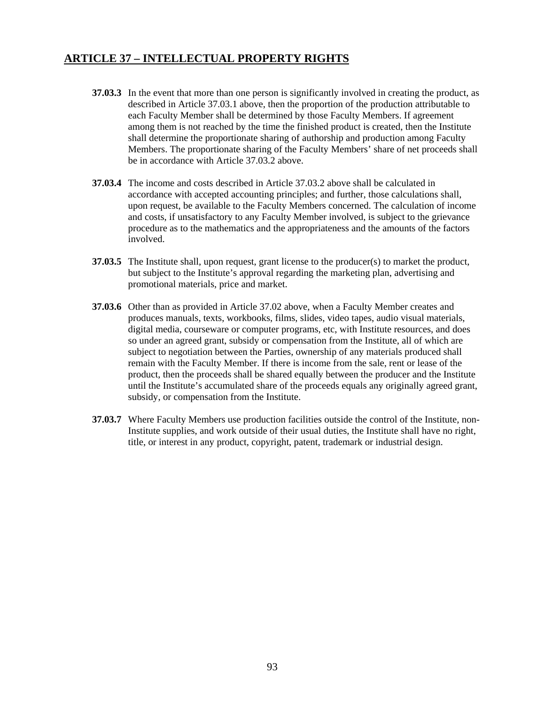## **ARTICLE 37 – INTELLECTUAL PROPERTY RIGHTS**

- **37.03.3** In the event that more than one person is significantly involved in creating the product, as described in Article 37.03.1 above, then the proportion of the production attributable to each Faculty Member shall be determined by those Faculty Members. If agreement among them is not reached by the time the finished product is created, then the Institute shall determine the proportionate sharing of authorship and production among Faculty Members. The proportionate sharing of the Faculty Members' share of net proceeds shall be in accordance with Article 37.03.2 above.
- **37.03.4** The income and costs described in Article 37.03.2 above shall be calculated in accordance with accepted accounting principles; and further, those calculations shall, upon request, be available to the Faculty Members concerned. The calculation of income and costs, if unsatisfactory to any Faculty Member involved, is subject to the grievance procedure as to the mathematics and the appropriateness and the amounts of the factors involved.
- **37.03.5** The Institute shall, upon request, grant license to the producer(s) to market the product, but subject to the Institute's approval regarding the marketing plan, advertising and promotional materials, price and market.
- **37.03.6** Other than as provided in Article 37.02 above, when a Faculty Member creates and produces manuals, texts, workbooks, films, slides, video tapes, audio visual materials, digital media, courseware or computer programs, etc, with Institute resources, and does so under an agreed grant, subsidy or compensation from the Institute, all of which are subject to negotiation between the Parties, ownership of any materials produced shall remain with the Faculty Member. If there is income from the sale, rent or lease of the product, then the proceeds shall be shared equally between the producer and the Institute until the Institute's accumulated share of the proceeds equals any originally agreed grant, subsidy, or compensation from the Institute.
- **37.03.7** Where Faculty Members use production facilities outside the control of the Institute, non-Institute supplies, and work outside of their usual duties, the Institute shall have no right, title, or interest in any product, copyright, patent, trademark or industrial design.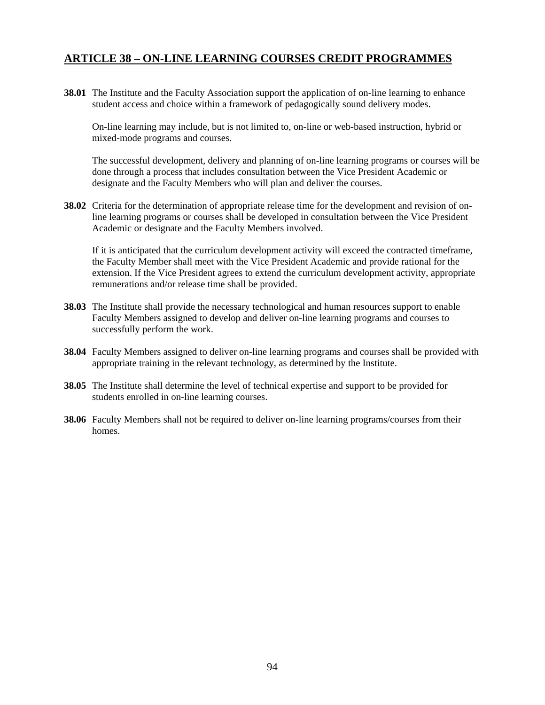## **ARTICLE 38 – ON-LINE LEARNING COURSES CREDIT PROGRAMMES**

**38.01** The Institute and the Faculty Association support the application of on-line learning to enhance student access and choice within a framework of pedagogically sound delivery modes.

On-line learning may include, but is not limited to, on-line or web-based instruction, hybrid or mixed-mode programs and courses.

The successful development, delivery and planning of on-line learning programs or courses will be done through a process that includes consultation between the Vice President Academic or designate and the Faculty Members who will plan and deliver the courses.

**38.02** Criteria for the determination of appropriate release time for the development and revision of online learning programs or courses shall be developed in consultation between the Vice President Academic or designate and the Faculty Members involved.

If it is anticipated that the curriculum development activity will exceed the contracted timeframe, the Faculty Member shall meet with the Vice President Academic and provide rational for the extension. If the Vice President agrees to extend the curriculum development activity, appropriate remunerations and/or release time shall be provided.

- **38.03** The Institute shall provide the necessary technological and human resources support to enable Faculty Members assigned to develop and deliver on-line learning programs and courses to successfully perform the work.
- **38.04** Faculty Members assigned to deliver on-line learning programs and courses shall be provided with appropriate training in the relevant technology, as determined by the Institute.
- **38.05** The Institute shall determine the level of technical expertise and support to be provided for students enrolled in on-line learning courses.
- **38.06** Faculty Members shall not be required to deliver on-line learning programs/courses from their homes.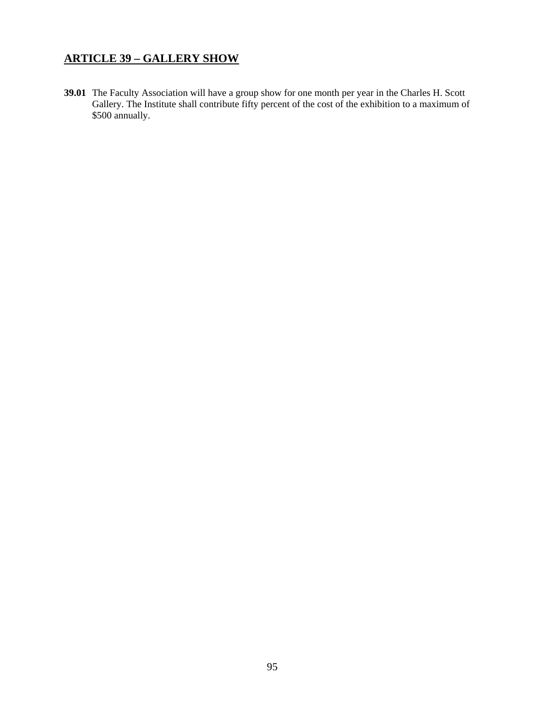# **ARTICLE 39 – GALLERY SHOW**

**39.01** The Faculty Association will have a group show for one month per year in the Charles H. Scott Gallery. The Institute shall contribute fifty percent of the cost of the exhibition to a maximum of \$500 annually.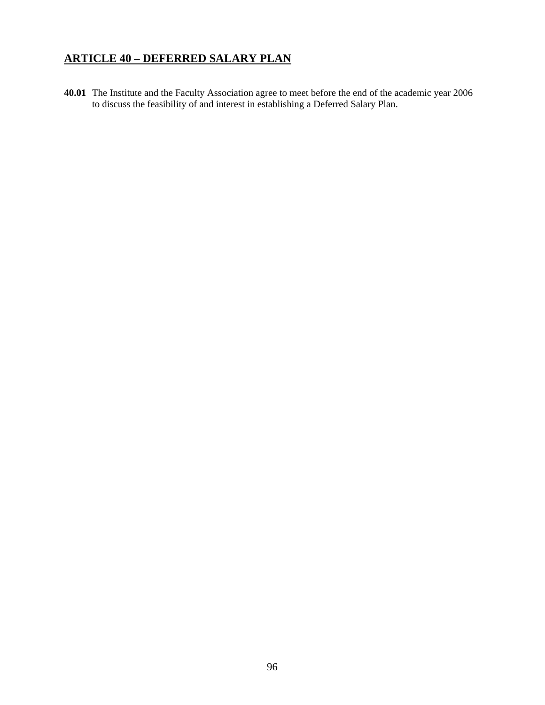# **ARTICLE 40 – DEFERRED SALARY PLAN**

**40.01** The Institute and the Faculty Association agree to meet before the end of the academic year 2006 to discuss the feasibility of and interest in establishing a Deferred Salary Plan.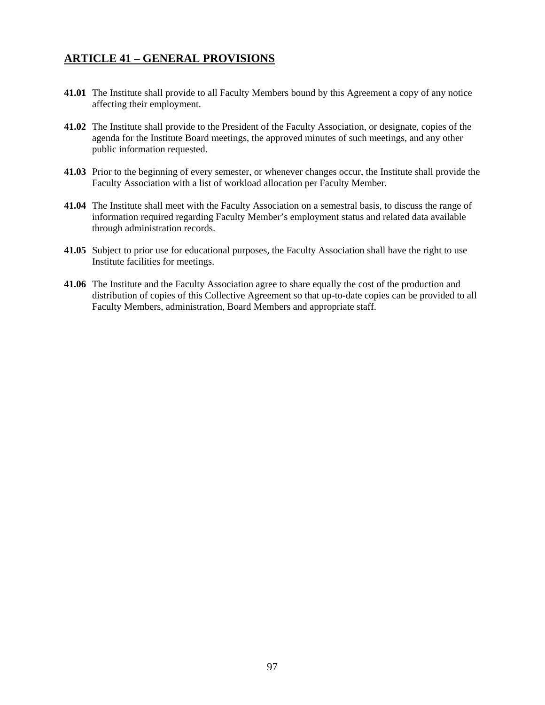# **ARTICLE 41 – GENERAL PROVISIONS**

- **41.01** The Institute shall provide to all Faculty Members bound by this Agreement a copy of any notice affecting their employment.
- **41.02** The Institute shall provide to the President of the Faculty Association, or designate, copies of the agenda for the Institute Board meetings, the approved minutes of such meetings, and any other public information requested.
- **41.03** Prior to the beginning of every semester, or whenever changes occur, the Institute shall provide the Faculty Association with a list of workload allocation per Faculty Member.
- **41.04** The Institute shall meet with the Faculty Association on a semestral basis, to discuss the range of information required regarding Faculty Member's employment status and related data available through administration records.
- **41.05** Subject to prior use for educational purposes, the Faculty Association shall have the right to use Institute facilities for meetings.
- **41.06** The Institute and the Faculty Association agree to share equally the cost of the production and distribution of copies of this Collective Agreement so that up-to-date copies can be provided to all Faculty Members, administration, Board Members and appropriate staff.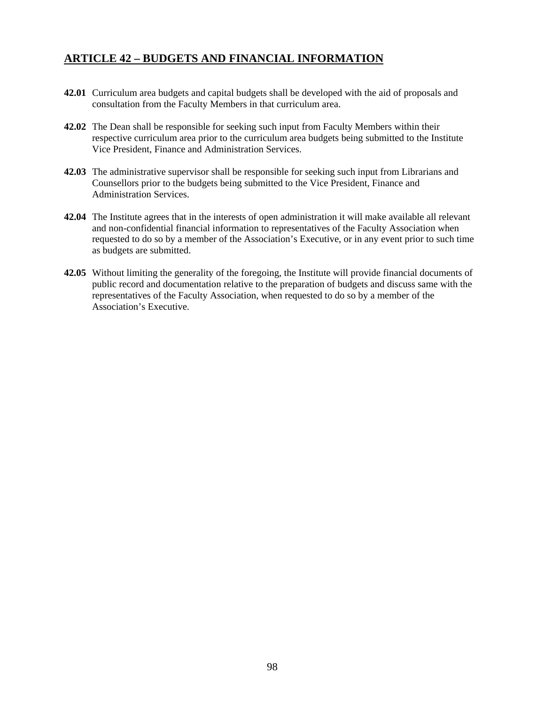# **ARTICLE 42 – BUDGETS AND FINANCIAL INFORMATION**

- **42.01** Curriculum area budgets and capital budgets shall be developed with the aid of proposals and consultation from the Faculty Members in that curriculum area.
- **42.02** The Dean shall be responsible for seeking such input from Faculty Members within their respective curriculum area prior to the curriculum area budgets being submitted to the Institute Vice President, Finance and Administration Services.
- **42.03** The administrative supervisor shall be responsible for seeking such input from Librarians and Counsellors prior to the budgets being submitted to the Vice President, Finance and Administration Services.
- **42.04** The Institute agrees that in the interests of open administration it will make available all relevant and non-confidential financial information to representatives of the Faculty Association when requested to do so by a member of the Association's Executive, or in any event prior to such time as budgets are submitted.
- **42.05** Without limiting the generality of the foregoing, the Institute will provide financial documents of public record and documentation relative to the preparation of budgets and discuss same with the representatives of the Faculty Association, when requested to do so by a member of the Association's Executive.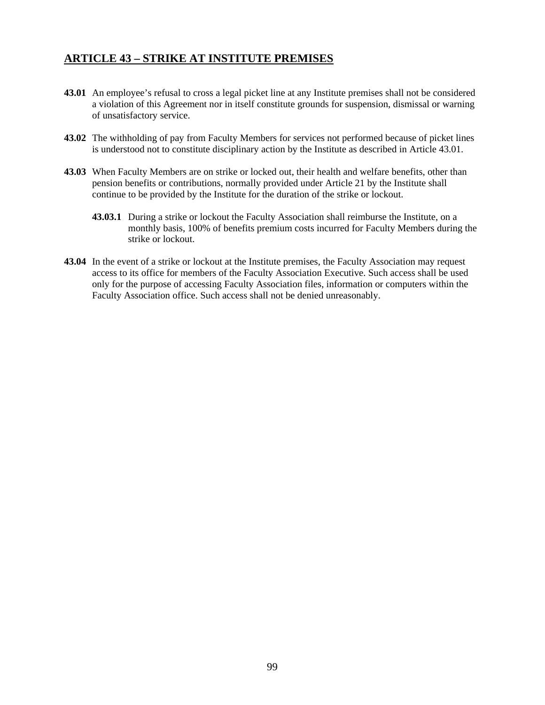## **ARTICLE 43 – STRIKE AT INSTITUTE PREMISES**

- **43.01** An employee's refusal to cross a legal picket line at any Institute premises shall not be considered a violation of this Agreement nor in itself constitute grounds for suspension, dismissal or warning of unsatisfactory service.
- **43.02** The withholding of pay from Faculty Members for services not performed because of picket lines is understood not to constitute disciplinary action by the Institute as described in Article 43.01.
- **43.03** When Faculty Members are on strike or locked out, their health and welfare benefits, other than pension benefits or contributions, normally provided under Article 21 by the Institute shall continue to be provided by the Institute for the duration of the strike or lockout.
	- **43.03.1** During a strike or lockout the Faculty Association shall reimburse the Institute, on a monthly basis, 100% of benefits premium costs incurred for Faculty Members during the strike or lockout.
- **43.04** In the event of a strike or lockout at the Institute premises, the Faculty Association may request access to its office for members of the Faculty Association Executive. Such access shall be used only for the purpose of accessing Faculty Association files, information or computers within the Faculty Association office. Such access shall not be denied unreasonably.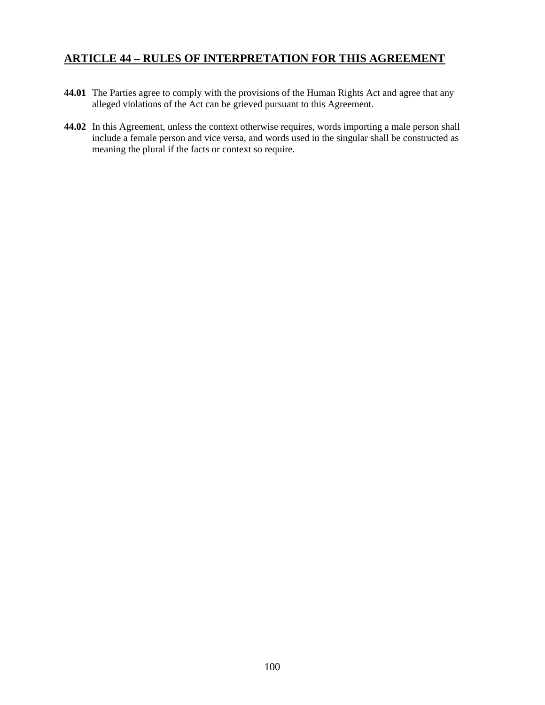# **ARTICLE 44 – RULES OF INTERPRETATION FOR THIS AGREEMENT**

- **44.01** The Parties agree to comply with the provisions of the Human Rights Act and agree that any alleged violations of the Act can be grieved pursuant to this Agreement.
- **44.02** In this Agreement, unless the context otherwise requires, words importing a male person shall include a female person and vice versa, and words used in the singular shall be constructed as meaning the plural if the facts or context so require.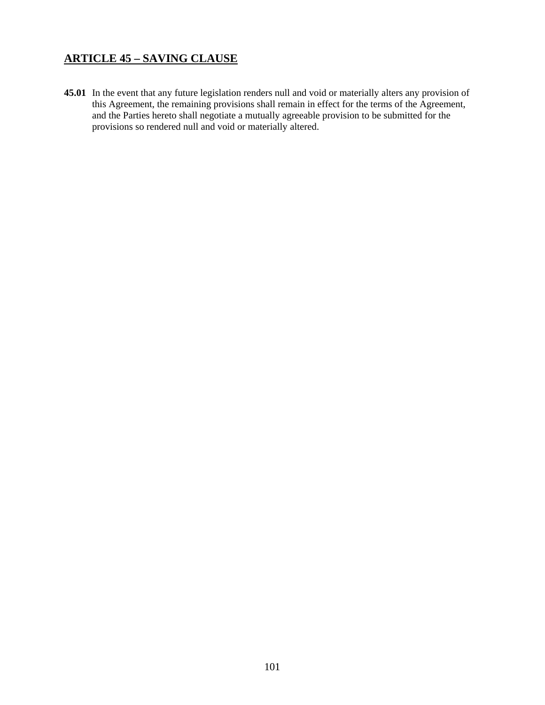# **ARTICLE 45 – SAVING CLAUSE**

**45.01** In the event that any future legislation renders null and void or materially alters any provision of this Agreement, the remaining provisions shall remain in effect for the terms of the Agreement, and the Parties hereto shall negotiate a mutually agreeable provision to be submitted for the provisions so rendered null and void or materially altered.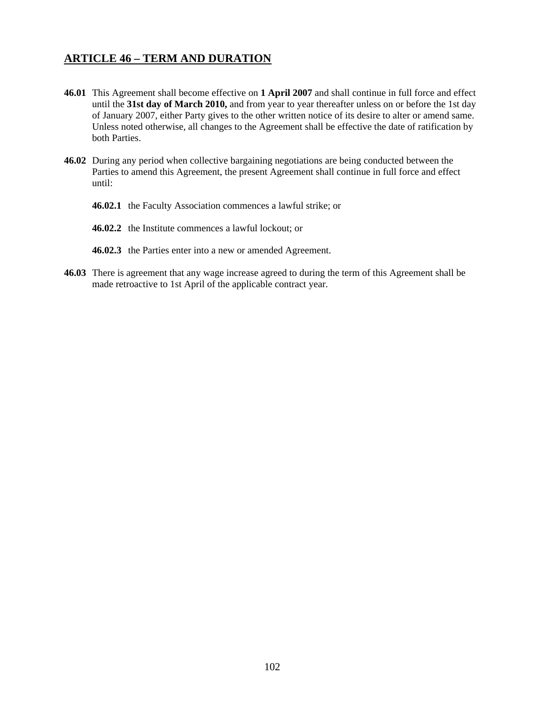## **ARTICLE 46 – TERM AND DURATION**

- **46.01** This Agreement shall become effective on **1 April 2007** and shall continue in full force and effect until the **31st day of March 2010,** and from year to year thereafter unless on or before the 1st day of January 2007, either Party gives to the other written notice of its desire to alter or amend same. Unless noted otherwise, all changes to the Agreement shall be effective the date of ratification by both Parties.
- **46.02** During any period when collective bargaining negotiations are being conducted between the Parties to amend this Agreement, the present Agreement shall continue in full force and effect until:
	- **46.02.1** the Faculty Association commences a lawful strike; or
	- **46.02.2** the Institute commences a lawful lockout; or
	- **46.02.3** the Parties enter into a new or amended Agreement.
- **46.03** There is agreement that any wage increase agreed to during the term of this Agreement shall be made retroactive to 1st April of the applicable contract year.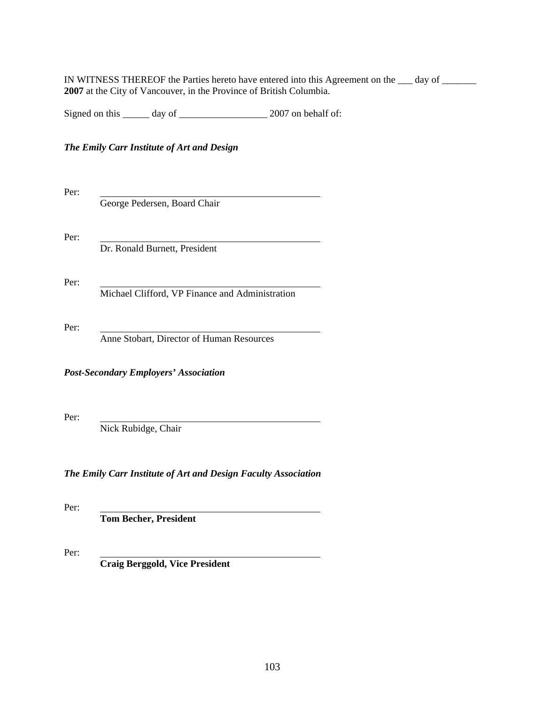IN WITNESS THEREOF the Parties hereto have entered into this Agreement on the \_\_\_ day of **2007** at the City of Vancouver, in the Province of British Columbia.

Signed on this day of 2007 on behalf of:

### *The Emily Carr Institute of Art and Design*

Per: George Pedersen, Board Chair Per: Dr. Ronald Burnett, President Per: Michael Clifford, VP Finance and Administration Per: Anne Stobart, Director of Human Resources *Post-Secondary Employers' Association*  Per: Nick Rubidge, Chair

*The Emily Carr Institute of Art and Design Faculty Association* 

Per:

**Tom Becher, President** 

Per:

**Craig Berggold, Vice President**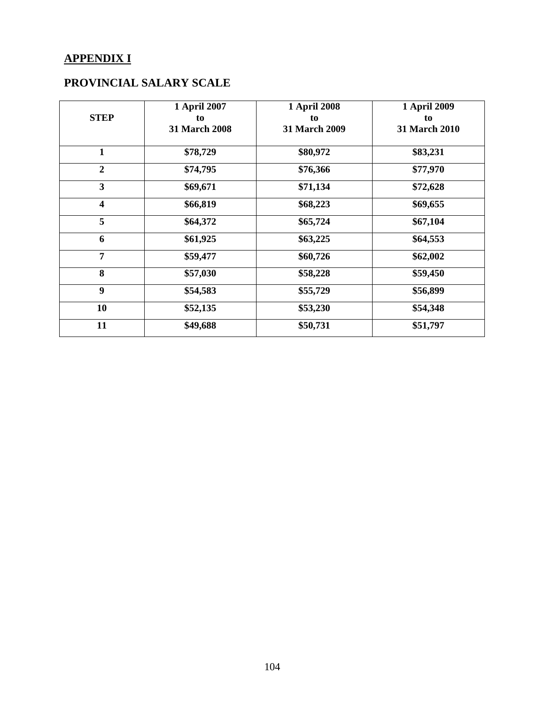# **APPENDIX I**

# **PROVINCIAL SALARY SCALE**

| <b>STEP</b>             | 1 April 2007<br>to<br><b>31 March 2008</b> | <b>1 April 2008</b><br>to<br>31 March 2009 | 1 April 2009<br>to<br>31 March 2010 |
|-------------------------|--------------------------------------------|--------------------------------------------|-------------------------------------|
| 1                       | \$78,729                                   | \$80,972                                   | \$83,231                            |
| $\overline{2}$          | \$74,795                                   | \$76,366                                   | \$77,970                            |
| 3                       | \$69,671                                   | \$71,134                                   | \$72,628                            |
| $\overline{\mathbf{4}}$ | \$66,819                                   | \$68,223                                   | \$69,655                            |
| 5                       | \$64,372                                   | \$65,724                                   | \$67,104                            |
| 6                       | \$61,925                                   | \$63,225                                   | \$64,553                            |
| 7                       | \$59,477                                   | \$60,726                                   | \$62,002                            |
| 8                       | \$57,030                                   | \$58,228                                   | \$59,450                            |
| 9                       | \$54,583                                   | \$55,729                                   | \$56,899                            |
| 10                      | \$52,135                                   | \$53,230                                   | \$54,348                            |
| 11                      | \$49,688                                   | \$50,731                                   | \$51,797                            |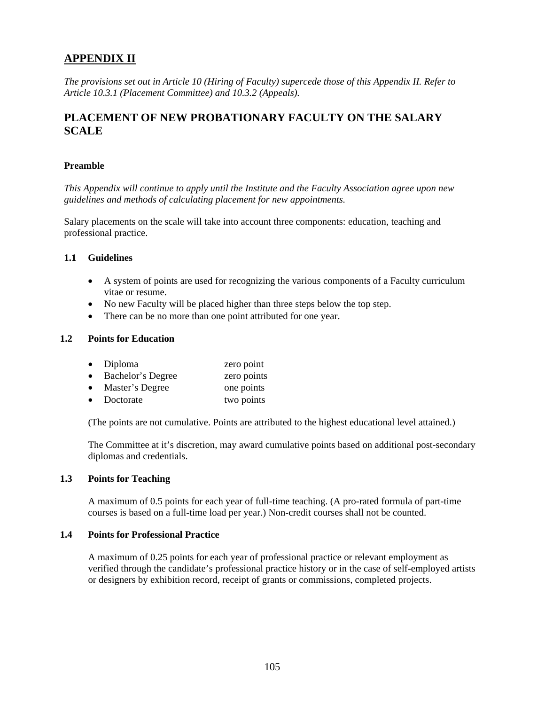# **APPENDIX II**

*The provisions set out in Article 10 (Hiring of Faculty) supercede those of this Appendix II. Refer to Article 10.3.1 (Placement Committee) and 10.3.2 (Appeals).*

# **PLACEMENT OF NEW PROBATIONARY FACULTY ON THE SALARY SCALE**

### **Preamble**

*This Appendix will continue to apply until the Institute and the Faculty Association agree upon new guidelines and methods of calculating placement for new appointments.* 

Salary placements on the scale will take into account three components: education, teaching and professional practice.

### **1.1 Guidelines**

- A system of points are used for recognizing the various components of a Faculty curriculum vitae or resume.
- No new Faculty will be placed higher than three steps below the top step.
- There can be no more than one point attributed for one year.

### **1.2 Points for Education**

| $\bullet$ | Diploma           | zero point  |
|-----------|-------------------|-------------|
| $\bullet$ | Bachelor's Degree | zero points |
| $\bullet$ | Master's Degree   | one points  |
| $\bullet$ | Doctorate         | two points  |

(The points are not cumulative. Points are attributed to the highest educational level attained.)

The Committee at it's discretion, may award cumulative points based on additional post-secondary diplomas and credentials.

#### **1.3 Points for Teaching**

 A maximum of 0.5 points for each year of full-time teaching. (A pro-rated formula of part-time courses is based on a full-time load per year.) Non-credit courses shall not be counted.

### **1.4 Points for Professional Practice**

 A maximum of 0.25 points for each year of professional practice or relevant employment as verified through the candidate's professional practice history or in the case of self-employed artists or designers by exhibition record, receipt of grants or commissions, completed projects.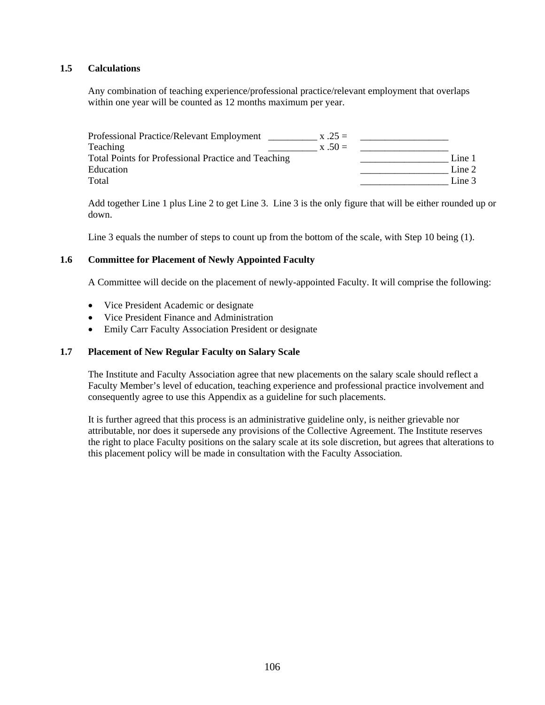### **1.5 Calculations**

Any combination of teaching experience/professional practice/relevant employment that overlaps within one year will be counted as 12 months maximum per year.

| Professional Practice/Relevant Employment           | $x .25 =$ |        |
|-----------------------------------------------------|-----------|--------|
| Teaching                                            | $x .50 =$ |        |
| Total Points for Professional Practice and Teaching |           | Line 1 |
| Education                                           |           | Line 2 |
| Total                                               |           | Line 3 |

Add together Line 1 plus Line 2 to get Line 3. Line 3 is the only figure that will be either rounded up or down.

Line 3 equals the number of steps to count up from the bottom of the scale, with Step 10 being (1).

### **1.6 Committee for Placement of Newly Appointed Faculty**

A Committee will decide on the placement of newly-appointed Faculty. It will comprise the following:

- Vice President Academic or designate
- Vice President Finance and Administration
- Emily Carr Faculty Association President or designate

### **1.7 Placement of New Regular Faculty on Salary Scale**

 The Institute and Faculty Association agree that new placements on the salary scale should reflect a Faculty Member's level of education, teaching experience and professional practice involvement and consequently agree to use this Appendix as a guideline for such placements.

 It is further agreed that this process is an administrative guideline only, is neither grievable nor attributable, nor does it supersede any provisions of the Collective Agreement. The Institute reserves the right to place Faculty positions on the salary scale at its sole discretion, but agrees that alterations to this placement policy will be made in consultation with the Faculty Association.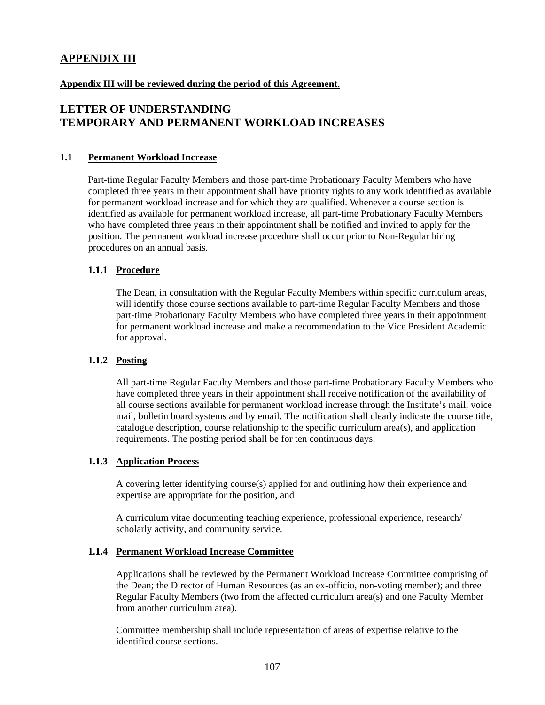# **APPENDIX III**

### **Appendix III will be reviewed during the period of this Agreement.**

## **LETTER OF UNDERSTANDING TEMPORARY AND PERMANENT WORKLOAD INCREASES**

### **1.1 Permanent Workload Increase**

Part-time Regular Faculty Members and those part-time Probationary Faculty Members who have completed three years in their appointment shall have priority rights to any work identified as available for permanent workload increase and for which they are qualified. Whenever a course section is identified as available for permanent workload increase, all part-time Probationary Faculty Members who have completed three years in their appointment shall be notified and invited to apply for the position. The permanent workload increase procedure shall occur prior to Non-Regular hiring procedures on an annual basis.

### **1.1.1 Procedure**

The Dean, in consultation with the Regular Faculty Members within specific curriculum areas, will identify those course sections available to part-time Regular Faculty Members and those part-time Probationary Faculty Members who have completed three years in their appointment for permanent workload increase and make a recommendation to the Vice President Academic for approval.

### **1.1.2 Posting**

All part-time Regular Faculty Members and those part-time Probationary Faculty Members who have completed three years in their appointment shall receive notification of the availability of all course sections available for permanent workload increase through the Institute's mail, voice mail, bulletin board systems and by email. The notification shall clearly indicate the course title, catalogue description, course relationship to the specific curriculum area(s), and application requirements. The posting period shall be for ten continuous days.

#### **1.1.3 Application Process**

A covering letter identifying course(s) applied for and outlining how their experience and expertise are appropriate for the position, and

A curriculum vitae documenting teaching experience, professional experience, research/ scholarly activity, and community service.

#### **1.1.4 Permanent Workload Increase Committee**

Applications shall be reviewed by the Permanent Workload Increase Committee comprising of the Dean; the Director of Human Resources (as an ex-officio, non-voting member); and three Regular Faculty Members (two from the affected curriculum area(s) and one Faculty Member from another curriculum area).

 Committee membership shall include representation of areas of expertise relative to the identified course sections.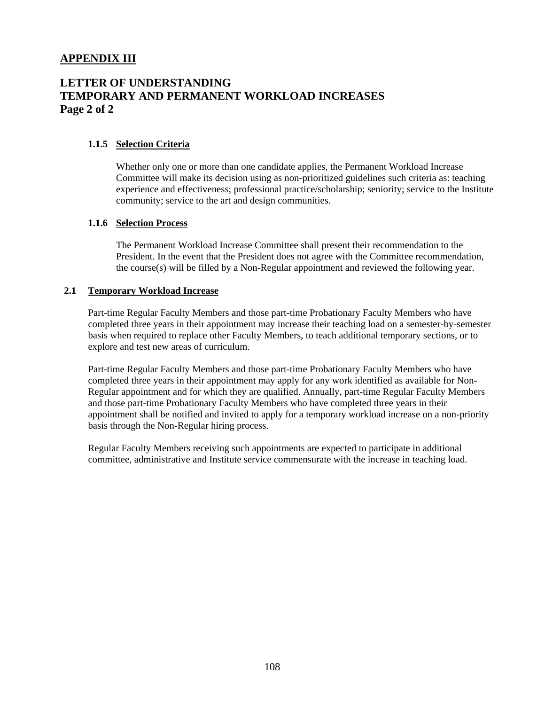# **APPENDIX III**

# **LETTER OF UNDERSTANDING TEMPORARY AND PERMANENT WORKLOAD INCREASES Page 2 of 2**

### **1.1.5 Selection Criteria**

Whether only one or more than one candidate applies, the Permanent Workload Increase Committee will make its decision using as non-prioritized guidelines such criteria as: teaching experience and effectiveness; professional practice/scholarship; seniority; service to the Institute community; service to the art and design communities.

#### **1.1.6 Selection Process**

The Permanent Workload Increase Committee shall present their recommendation to the President. In the event that the President does not agree with the Committee recommendation, the course(s) will be filled by a Non-Regular appointment and reviewed the following year.

### **2.1 Temporary Workload Increase**

 Part-time Regular Faculty Members and those part-time Probationary Faculty Members who have completed three years in their appointment may increase their teaching load on a semester-by-semester basis when required to replace other Faculty Members, to teach additional temporary sections, or to explore and test new areas of curriculum.

 Part-time Regular Faculty Members and those part-time Probationary Faculty Members who have completed three years in their appointment may apply for any work identified as available for Non-Regular appointment and for which they are qualified. Annually, part-time Regular Faculty Members and those part-time Probationary Faculty Members who have completed three years in their appointment shall be notified and invited to apply for a temporary workload increase on a non-priority basis through the Non-Regular hiring process.

 Regular Faculty Members receiving such appointments are expected to participate in additional committee, administrative and Institute service commensurate with the increase in teaching load.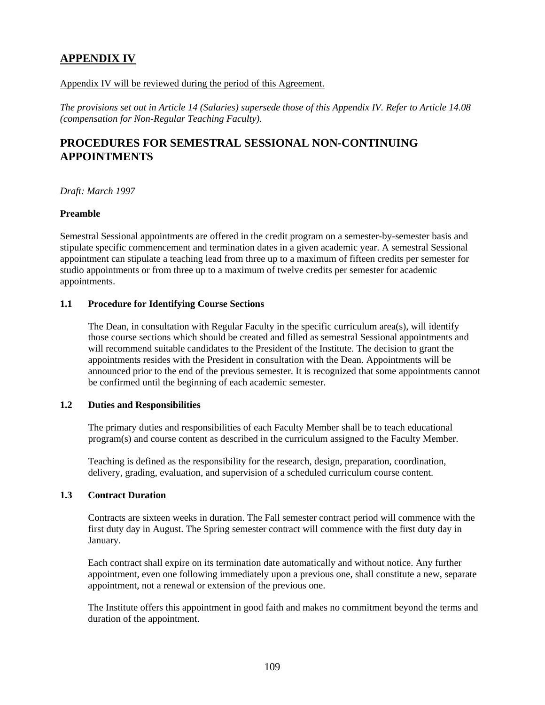# **APPENDIX IV**

#### Appendix IV will be reviewed during the period of this Agreement.

*The provisions set out in Article 14 (Salaries) supersede those of this Appendix IV. Refer to Article 14.08 (compensation for Non-Regular Teaching Faculty).* 

#### **PROCEDURES FOR SEMESTRAL SESSIONAL NON-CONTINUING APPOINTMENTS**

*Draft: March 1997* 

#### **Preamble**

Semestral Sessional appointments are offered in the credit program on a semester-by-semester basis and stipulate specific commencement and termination dates in a given academic year. A semestral Sessional appointment can stipulate a teaching lead from three up to a maximum of fifteen credits per semester for studio appointments or from three up to a maximum of twelve credits per semester for academic appointments.

#### **1.1 Procedure for Identifying Course Sections**

 The Dean, in consultation with Regular Faculty in the specific curriculum area(s), will identify those course sections which should be created and filled as semestral Sessional appointments and will recommend suitable candidates to the President of the Institute. The decision to grant the appointments resides with the President in consultation with the Dean. Appointments will be announced prior to the end of the previous semester. It is recognized that some appointments cannot be confirmed until the beginning of each academic semester.

#### **1.2 Duties and Responsibilities**

 The primary duties and responsibilities of each Faculty Member shall be to teach educational program(s) and course content as described in the curriculum assigned to the Faculty Member.

 Teaching is defined as the responsibility for the research, design, preparation, coordination, delivery, grading, evaluation, and supervision of a scheduled curriculum course content.

#### **1.3 Contract Duration**

 Contracts are sixteen weeks in duration. The Fall semester contract period will commence with the first duty day in August. The Spring semester contract will commence with the first duty day in January.

 Each contract shall expire on its termination date automatically and without notice. Any further appointment, even one following immediately upon a previous one, shall constitute a new, separate appointment, not a renewal or extension of the previous one.

 The Institute offers this appointment in good faith and makes no commitment beyond the terms and duration of the appointment.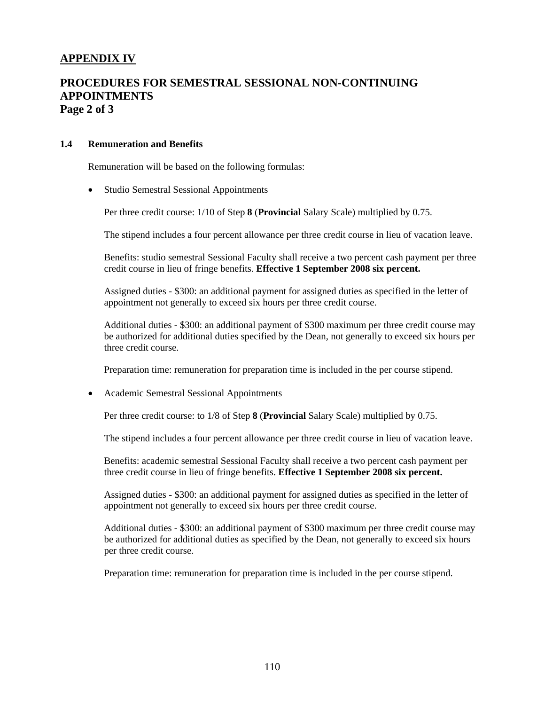#### **APPENDIX IV**

#### **PROCEDURES FOR SEMESTRAL SESSIONAL NON-CONTINUING APPOINTMENTS Page 2 of 3**

#### **1.4 Remuneration and Benefits**

Remuneration will be based on the following formulas:

• Studio Semestral Sessional Appointments

Per three credit course: 1/10 of Step **8** (**Provincial** Salary Scale) multiplied by 0.75.

The stipend includes a four percent allowance per three credit course in lieu of vacation leave.

Benefits: studio semestral Sessional Faculty shall receive a two percent cash payment per three credit course in lieu of fringe benefits. **Effective 1 September 2008 six percent.** 

 Assigned duties - \$300: an additional payment for assigned duties as specified in the letter of appointment not generally to exceed six hours per three credit course.

Additional duties - \$300: an additional payment of \$300 maximum per three credit course may be authorized for additional duties specified by the Dean, not generally to exceed six hours per three credit course.

Preparation time: remuneration for preparation time is included in the per course stipend.

• Academic Semestral Sessional Appointments

Per three credit course: to 1/8 of Step **8** (**Provincial** Salary Scale) multiplied by 0.75.

The stipend includes a four percent allowance per three credit course in lieu of vacation leave.

 Benefits: academic semestral Sessional Faculty shall receive a two percent cash payment per three credit course in lieu of fringe benefits. **Effective 1 September 2008 six percent.** 

 Assigned duties - \$300: an additional payment for assigned duties as specified in the letter of appointment not generally to exceed six hours per three credit course.

Additional duties - \$300: an additional payment of \$300 maximum per three credit course may be authorized for additional duties as specified by the Dean, not generally to exceed six hours per three credit course.

Preparation time: remuneration for preparation time is included in the per course stipend.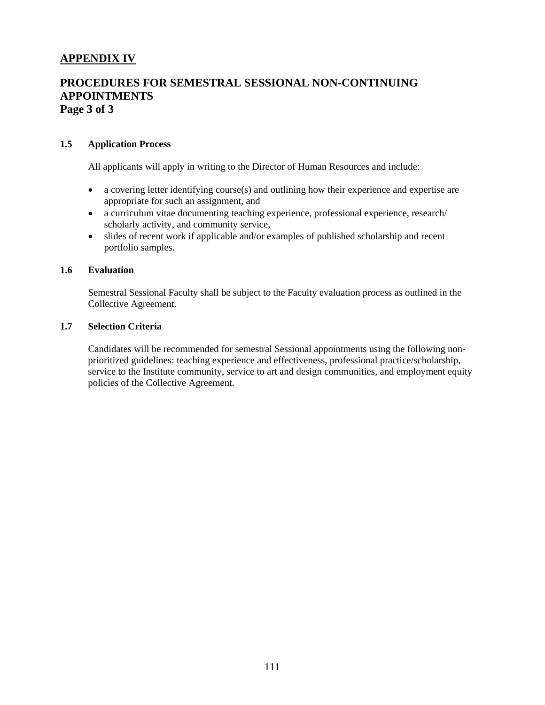# **APPENDIX IV**

#### **PROCEDURES FOR SEMESTRAL SESSIONAL NON-CONTINUING APPOINTMENTS Page 3 of 3**

#### **1.5 Application Process**

All applicants will apply in writing to the Director of Human Resources and include:

- a covering letter identifying course(s) and outlining how their experience and expertise are appropriate for such an assignment, and
- a curriculum vitae documenting teaching experience, professional experience, research/ scholarly activity, and community service,
- slides of recent work if applicable and/or examples of published scholarship and recent portfolio samples.

#### **1.6 Evaluation**

 Semestral Sessional Faculty shall be subject to the Faculty evaluation process as outlined in the Collective Agreement.

#### **1.7 Selection Criteria**

 Candidates will be recommended for semestral Sessional appointments using the following nonprioritized guidelines: teaching experience and effectiveness, professional practice/scholarship, service to the Institute community, service to art and design communities, and employment equity policies of the Collective Agreement.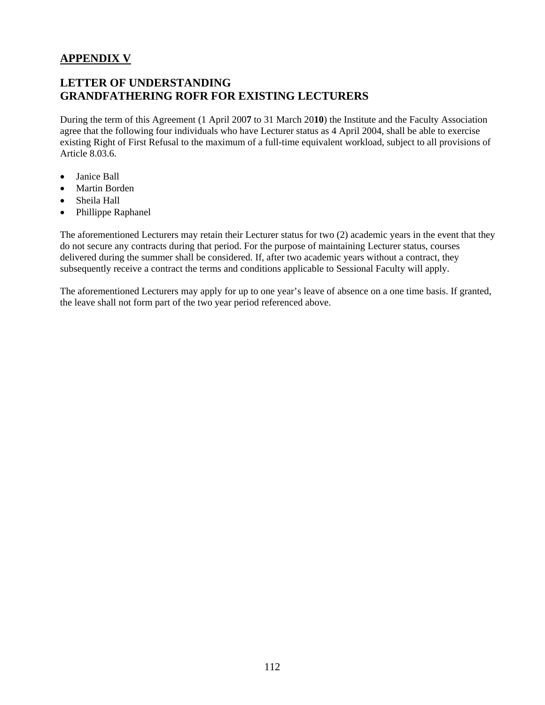# **APPENDIX V**

# **LETTER OF UNDERSTANDING GRANDFATHERING ROFR FOR EXISTING LECTURERS**

During the term of this Agreement (1 April 200**7** to 31 March 20**10**) the Institute and the Faculty Association agree that the following four individuals who have Lecturer status as 4 April 2004, shall be able to exercise existing Right of First Refusal to the maximum of a full-time equivalent workload, subject to all provisions of Article 8.03.6.

- Janice Ball
- Martin Borden
- Sheila Hall
- Phillippe Raphanel

The aforementioned Lecturers may retain their Lecturer status for two (2) academic years in the event that they do not secure any contracts during that period. For the purpose of maintaining Lecturer status, courses delivered during the summer shall be considered. If, after two academic years without a contract, they subsequently receive a contract the terms and conditions applicable to Sessional Faculty will apply.

The aforementioned Lecturers may apply for up to one year's leave of absence on a one time basis. If granted, the leave shall not form part of the two year period referenced above.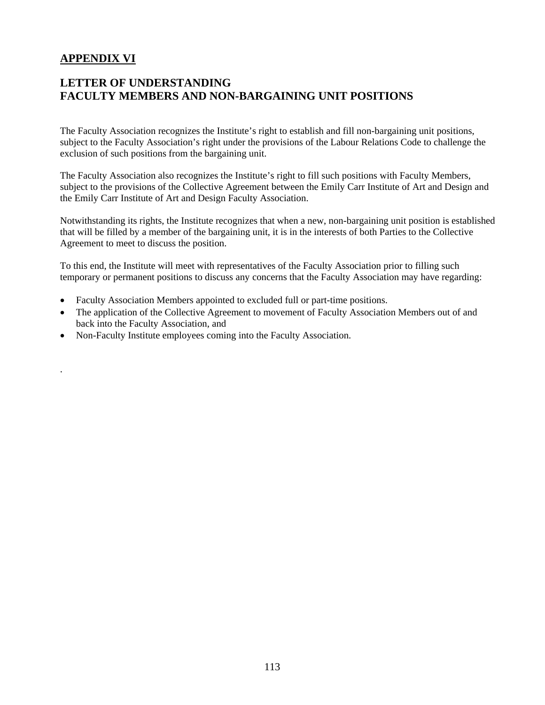# **APPENDIX VI**

.

# **LETTER OF UNDERSTANDING FACULTY MEMBERS AND NON-BARGAINING UNIT POSITIONS**

The Faculty Association recognizes the Institute's right to establish and fill non-bargaining unit positions, subject to the Faculty Association's right under the provisions of the Labour Relations Code to challenge the exclusion of such positions from the bargaining unit.

The Faculty Association also recognizes the Institute's right to fill such positions with Faculty Members, subject to the provisions of the Collective Agreement between the Emily Carr Institute of Art and Design and the Emily Carr Institute of Art and Design Faculty Association.

Notwithstanding its rights, the Institute recognizes that when a new, non-bargaining unit position is established that will be filled by a member of the bargaining unit, it is in the interests of both Parties to the Collective Agreement to meet to discuss the position.

To this end, the Institute will meet with representatives of the Faculty Association prior to filling such temporary or permanent positions to discuss any concerns that the Faculty Association may have regarding:

- Faculty Association Members appointed to excluded full or part-time positions.
- The application of the Collective Agreement to movement of Faculty Association Members out of and back into the Faculty Association, and
- Non-Faculty Institute employees coming into the Faculty Association.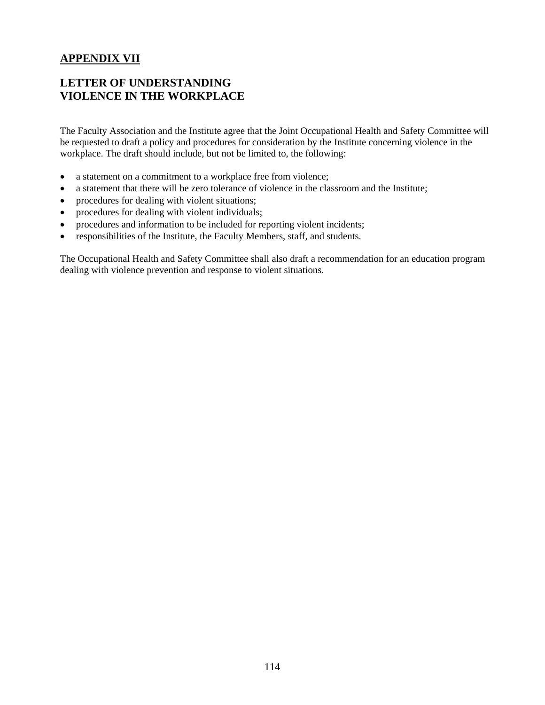# **APPENDIX VII**

# **LETTER OF UNDERSTANDING VIOLENCE IN THE WORKPLACE**

The Faculty Association and the Institute agree that the Joint Occupational Health and Safety Committee will be requested to draft a policy and procedures for consideration by the Institute concerning violence in the workplace. The draft should include, but not be limited to, the following:

- a statement on a commitment to a workplace free from violence;
- a statement that there will be zero tolerance of violence in the classroom and the Institute;
- procedures for dealing with violent situations;
- procedures for dealing with violent individuals;
- procedures and information to be included for reporting violent incidents;
- responsibilities of the Institute, the Faculty Members, staff, and students.

The Occupational Health and Safety Committee shall also draft a recommendation for an education program dealing with violence prevention and response to violent situations.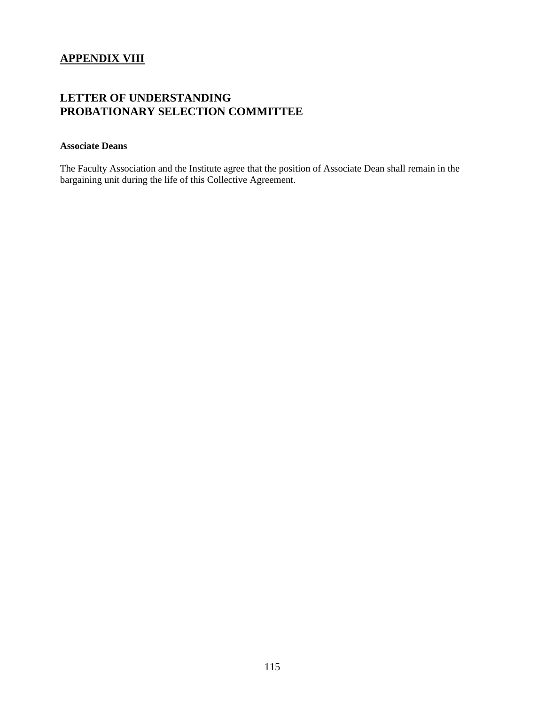#### **APPENDIX VIII**

# **LETTER OF UNDERSTANDING PROBATIONARY SELECTION COMMITTEE**

#### **Associate Deans**

The Faculty Association and the Institute agree that the position of Associate Dean shall remain in the bargaining unit during the life of this Collective Agreement.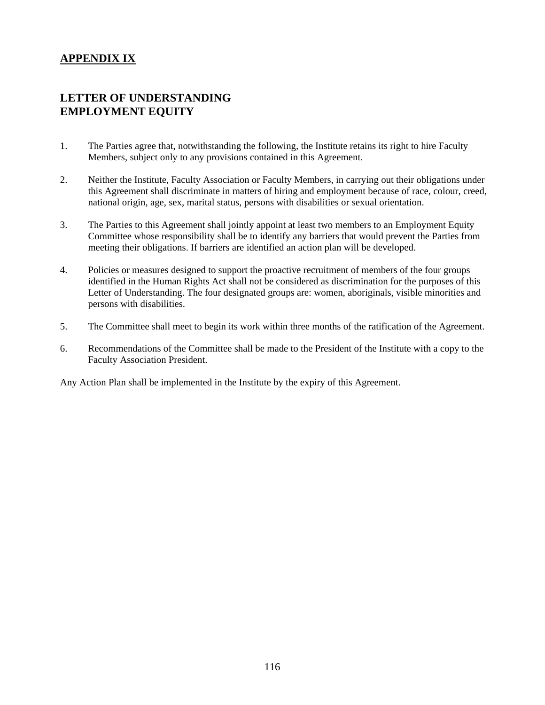# **APPENDIX IX**

# **LETTER OF UNDERSTANDING EMPLOYMENT EQUITY**

- 1. The Parties agree that, notwithstanding the following, the Institute retains its right to hire Faculty Members, subject only to any provisions contained in this Agreement.
- 2. Neither the Institute, Faculty Association or Faculty Members, in carrying out their obligations under this Agreement shall discriminate in matters of hiring and employment because of race, colour, creed, national origin, age, sex, marital status, persons with disabilities or sexual orientation.
- 3. The Parties to this Agreement shall jointly appoint at least two members to an Employment Equity Committee whose responsibility shall be to identify any barriers that would prevent the Parties from meeting their obligations. If barriers are identified an action plan will be developed.
- 4. Policies or measures designed to support the proactive recruitment of members of the four groups identified in the Human Rights Act shall not be considered as discrimination for the purposes of this Letter of Understanding. The four designated groups are: women, aboriginals, visible minorities and persons with disabilities.
- 5. The Committee shall meet to begin its work within three months of the ratification of the Agreement.
- 6. Recommendations of the Committee shall be made to the President of the Institute with a copy to the Faculty Association President.

Any Action Plan shall be implemented in the Institute by the expiry of this Agreement.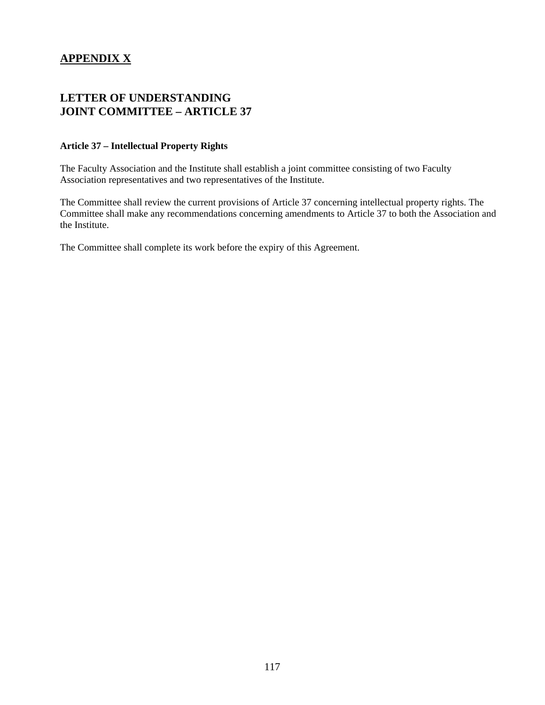# **APPENDIX X**

# **LETTER OF UNDERSTANDING JOINT COMMITTEE – ARTICLE 37**

#### **Article 37 – Intellectual Property Rights**

The Faculty Association and the Institute shall establish a joint committee consisting of two Faculty Association representatives and two representatives of the Institute.

The Committee shall review the current provisions of Article 37 concerning intellectual property rights. The Committee shall make any recommendations concerning amendments to Article 37 to both the Association and the Institute.

The Committee shall complete its work before the expiry of this Agreement.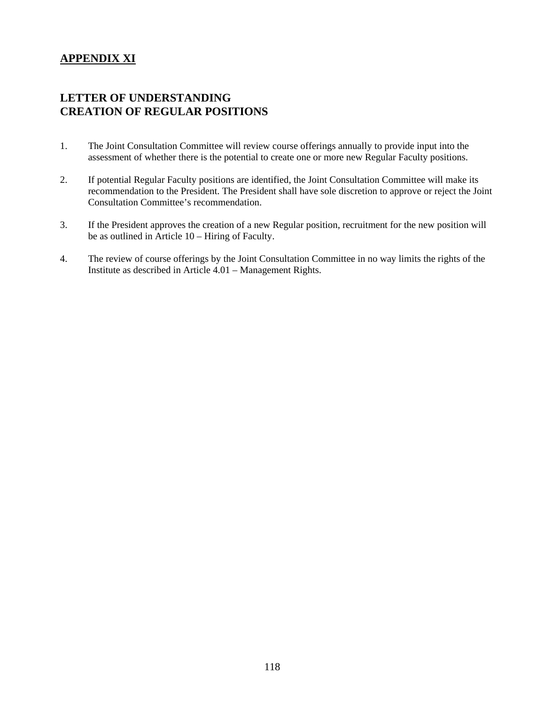# **APPENDIX XI**

#### **LETTER OF UNDERSTANDING CREATION OF REGULAR POSITIONS**

- 1. The Joint Consultation Committee will review course offerings annually to provide input into the assessment of whether there is the potential to create one or more new Regular Faculty positions.
- 2. If potential Regular Faculty positions are identified, the Joint Consultation Committee will make its recommendation to the President. The President shall have sole discretion to approve or reject the Joint Consultation Committee's recommendation.
- 3. If the President approves the creation of a new Regular position, recruitment for the new position will be as outlined in Article 10 – Hiring of Faculty.
- 4. The review of course offerings by the Joint Consultation Committee in no way limits the rights of the Institute as described in Article 4.01 – Management Rights.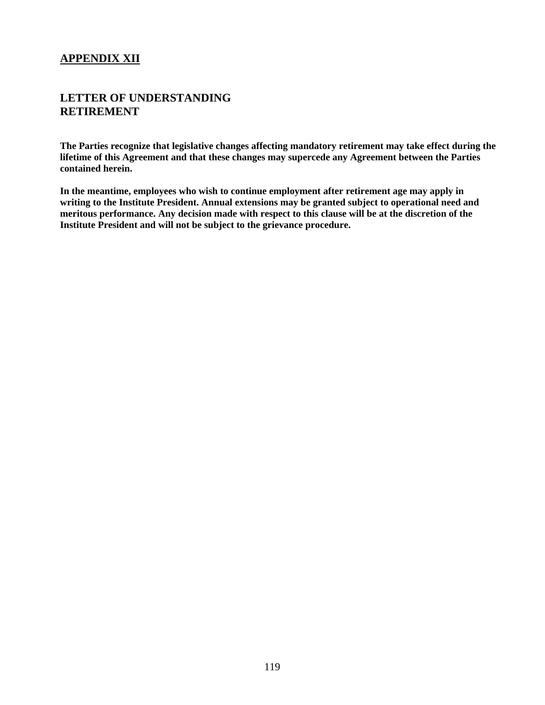# **APPENDIX XII**

#### **LETTER OF UNDERSTANDING RETIREMENT**

**The Parties recognize that legislative changes affecting mandatory retirement may take effect during the lifetime of this Agreement and that these changes may supercede any Agreement between the Parties contained herein.** 

**In the meantime, employees who wish to continue employment after retirement age may apply in writing to the Institute President. Annual extensions may be granted subject to operational need and meritous performance. Any decision made with respect to this clause will be at the discretion of the Institute President and will not be subject to the grievance procedure.**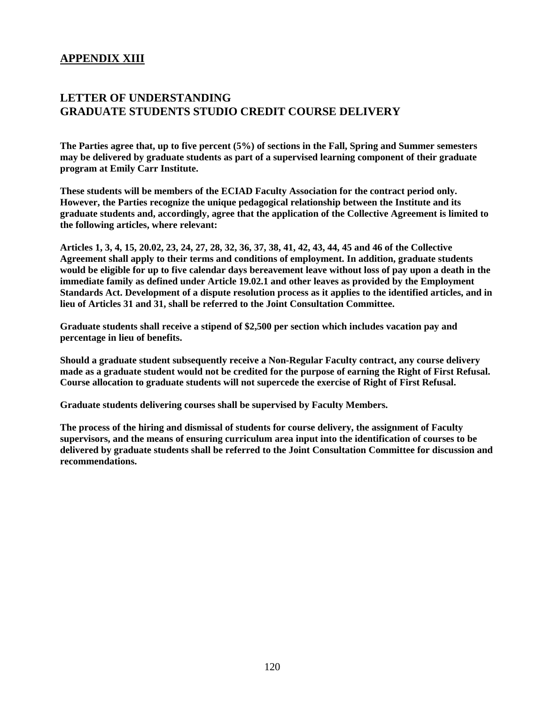#### **APPENDIX XIII**

#### **LETTER OF UNDERSTANDING GRADUATE STUDENTS STUDIO CREDIT COURSE DELIVERY**

**The Parties agree that, up to five percent (5%) of sections in the Fall, Spring and Summer semesters may be delivered by graduate students as part of a supervised learning component of their graduate program at Emily Carr Institute.** 

**These students will be members of the ECIAD Faculty Association for the contract period only. However, the Parties recognize the unique pedagogical relationship between the Institute and its graduate students and, accordingly, agree that the application of the Collective Agreement is limited to the following articles, where relevant:** 

**Articles 1, 3, 4, 15, 20.02, 23, 24, 27, 28, 32, 36, 37, 38, 41, 42, 43, 44, 45 and 46 of the Collective Agreement shall apply to their terms and conditions of employment. In addition, graduate students would be eligible for up to five calendar days bereavement leave without loss of pay upon a death in the immediate family as defined under Article 19.02.1 and other leaves as provided by the Employment Standards Act. Development of a dispute resolution process as it applies to the identified articles, and in lieu of Articles 31 and 31, shall be referred to the Joint Consultation Committee.** 

**Graduate students shall receive a stipend of \$2,500 per section which includes vacation pay and percentage in lieu of benefits.** 

**Should a graduate student subsequently receive a Non-Regular Faculty contract, any course delivery made as a graduate student would not be credited for the purpose of earning the Right of First Refusal. Course allocation to graduate students will not supercede the exercise of Right of First Refusal.** 

**Graduate students delivering courses shall be supervised by Faculty Members.** 

**The process of the hiring and dismissal of students for course delivery, the assignment of Faculty supervisors, and the means of ensuring curriculum area input into the identification of courses to be delivered by graduate students shall be referred to the Joint Consultation Committee for discussion and recommendations.**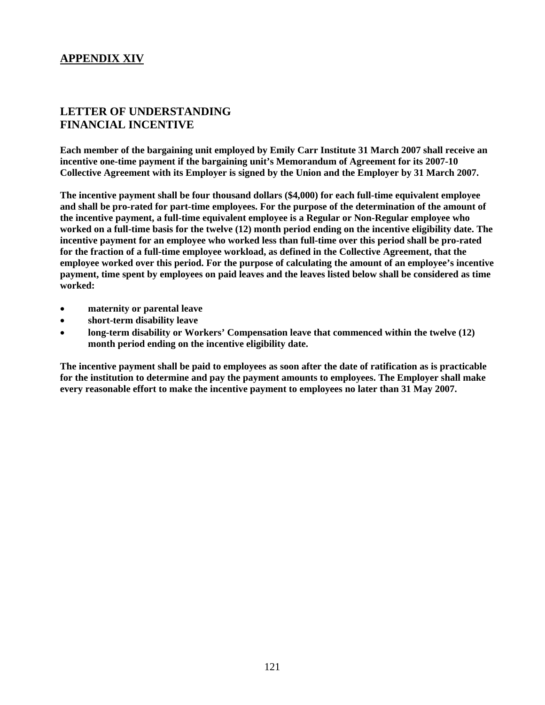#### **APPENDIX XIV**

#### **LETTER OF UNDERSTANDING FINANCIAL INCENTIVE**

**Each member of the bargaining unit employed by Emily Carr Institute 31 March 2007 shall receive an incentive one-time payment if the bargaining unit's Memorandum of Agreement for its 2007-10 Collective Agreement with its Employer is signed by the Union and the Employer by 31 March 2007.** 

**The incentive payment shall be four thousand dollars (\$4,000) for each full-time equivalent employee and shall be pro-rated for part-time employees. For the purpose of the determination of the amount of the incentive payment, a full-time equivalent employee is a Regular or Non-Regular employee who worked on a full-time basis for the twelve (12) month period ending on the incentive eligibility date. The incentive payment for an employee who worked less than full-time over this period shall be pro-rated for the fraction of a full-time employee workload, as defined in the Collective Agreement, that the employee worked over this period. For the purpose of calculating the amount of an employee's incentive payment, time spent by employees on paid leaves and the leaves listed below shall be considered as time worked:** 

- **maternity or parental leave**
- **short-term disability leave**
- **long-term disability or Workers' Compensation leave that commenced within the twelve (12) month period ending on the incentive eligibility date.**

**The incentive payment shall be paid to employees as soon after the date of ratification as is practicable for the institution to determine and pay the payment amounts to employees. The Employer shall make every reasonable effort to make the incentive payment to employees no later than 31 May 2007.**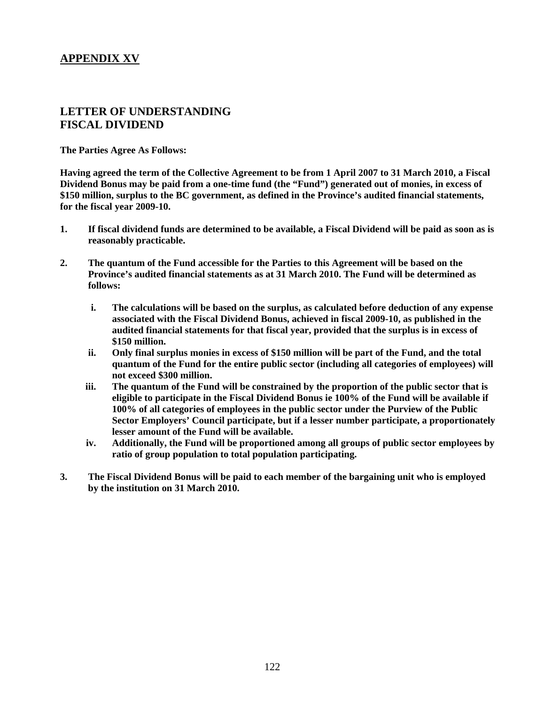# **APPENDIX XV**

#### **LETTER OF UNDERSTANDING FISCAL DIVIDEND**

**The Parties Agree As Follows:** 

**Having agreed the term of the Collective Agreement to be from 1 April 2007 to 31 March 2010, a Fiscal Dividend Bonus may be paid from a one-time fund (the "Fund") generated out of monies, in excess of \$150 million, surplus to the BC government, as defined in the Province's audited financial statements, for the fiscal year 2009-10.** 

- **1. If fiscal dividend funds are determined to be available, a Fiscal Dividend will be paid as soon as is reasonably practicable.**
- **2. The quantum of the Fund accessible for the Parties to this Agreement will be based on the Province's audited financial statements as at 31 March 2010. The Fund will be determined as follows:** 
	- **i. The calculations will be based on the surplus, as calculated before deduction of any expense associated with the Fiscal Dividend Bonus, achieved in fiscal 2009-10, as published in the audited financial statements for that fiscal year, provided that the surplus is in excess of \$150 million.**
	- **ii. Only final surplus monies in excess of \$150 million will be part of the Fund, and the total quantum of the Fund for the entire public sector (including all categories of employees) will not exceed \$300 million.**
	- **iii. The quantum of the Fund will be constrained by the proportion of the public sector that is eligible to participate in the Fiscal Dividend Bonus ie 100% of the Fund will be available if 100% of all categories of employees in the public sector under the Purview of the Public Sector Employers' Council participate, but if a lesser number participate, a proportionately lesser amount of the Fund will be available.**
	- **iv. Additionally, the Fund will be proportioned among all groups of public sector employees by ratio of group population to total population participating.**
- **3. The Fiscal Dividend Bonus will be paid to each member of the bargaining unit who is employed by the institution on 31 March 2010.**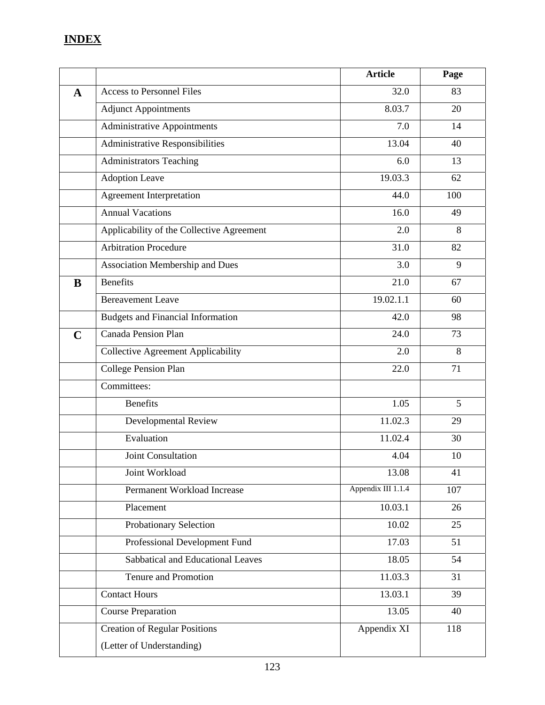# **INDEX**

|             |                                           | <b>Article</b>     | Page |
|-------------|-------------------------------------------|--------------------|------|
| $\mathbf A$ | <b>Access to Personnel Files</b>          | 32.0               | 83   |
|             | <b>Adjunct Appointments</b>               | 8.03.7             | 20   |
|             | <b>Administrative Appointments</b>        | 7.0                | 14   |
|             | Administrative Responsibilities           | 13.04              | 40   |
|             | <b>Administrators Teaching</b>            | 6.0                | 13   |
|             | <b>Adoption Leave</b>                     | 19.03.3            | 62   |
|             | <b>Agreement Interpretation</b>           | 44.0               | 100  |
|             | <b>Annual Vacations</b>                   | 16.0               | 49   |
|             | Applicability of the Collective Agreement | 2.0                | 8    |
|             | <b>Arbitration Procedure</b>              | 31.0               | 82   |
|             | Association Membership and Dues           | 3.0                | 9    |
| B           | <b>Benefits</b>                           | 21.0               | 67   |
|             | <b>Bereavement Leave</b>                  | 19.02.1.1          | 60   |
|             | <b>Budgets and Financial Information</b>  | 42.0               | 98   |
| $\mathbf C$ | Canada Pension Plan                       | 24.0               | 73   |
|             | <b>Collective Agreement Applicability</b> | 2.0                | 8    |
|             | College Pension Plan                      | 22.0               | 71   |
|             | Committees:                               |                    |      |
|             | <b>Benefits</b>                           | 1.05               | 5    |
|             | Developmental Review                      | 11.02.3            | 29   |
|             | Evaluation                                | 11.02.4            | 30   |
|             | Joint Consultation                        | 4.04               | 10   |
|             | Joint Workload                            | 13.08              | 41   |
|             | Permanent Workload Increase               | Appendix III 1.1.4 | 107  |
|             | Placement                                 | 10.03.1            | 26   |
|             | Probationary Selection                    | 10.02              | 25   |
|             | Professional Development Fund             | 17.03              | 51   |
|             | Sabbatical and Educational Leaves         | 18.05              | 54   |
|             | Tenure and Promotion                      | 11.03.3            | 31   |
|             | <b>Contact Hours</b>                      | 13.03.1            | 39   |
|             | <b>Course Preparation</b>                 | 13.05              | 40   |
|             | <b>Creation of Regular Positions</b>      | Appendix XI        | 118  |
|             | (Letter of Understanding)                 |                    |      |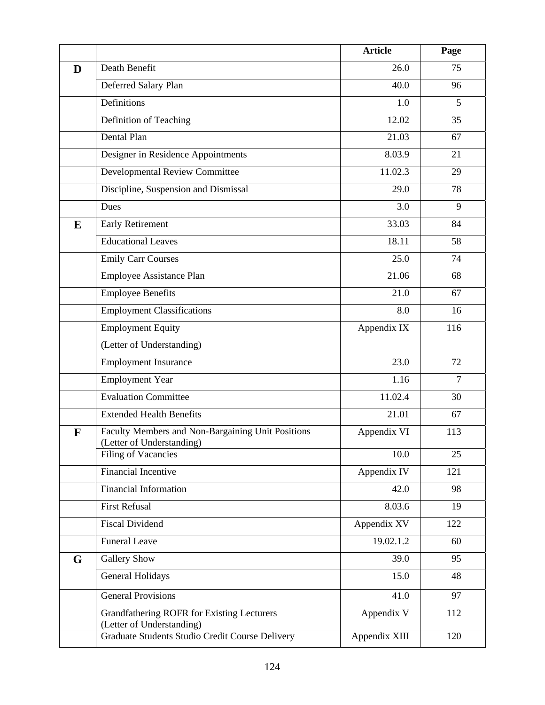|   |                                                                                | <b>Article</b> | Page           |
|---|--------------------------------------------------------------------------------|----------------|----------------|
| D | Death Benefit                                                                  | 26.0           | 75             |
|   | Deferred Salary Plan                                                           | 40.0           | 96             |
|   | Definitions                                                                    | 1.0            | 5              |
|   | Definition of Teaching                                                         | 12.02          | 35             |
|   | Dental Plan                                                                    | 21.03          | 67             |
|   | Designer in Residence Appointments                                             | 8.03.9         | 21             |
|   | <b>Developmental Review Committee</b>                                          | 11.02.3        | 29             |
|   | Discipline, Suspension and Dismissal                                           | 29.0           | 78             |
|   | Dues                                                                           | 3.0            | 9              |
| E | <b>Early Retirement</b>                                                        | 33.03          | 84             |
|   | <b>Educational Leaves</b>                                                      | 18.11          | 58             |
|   | <b>Emily Carr Courses</b>                                                      | 25.0           | 74             |
|   | Employee Assistance Plan                                                       | 21.06          | 68             |
|   | <b>Employee Benefits</b>                                                       | 21.0           | 67             |
|   | <b>Employment Classifications</b>                                              | 8.0            | 16             |
|   | <b>Employment Equity</b>                                                       | Appendix IX    | 116            |
|   | (Letter of Understanding)                                                      |                |                |
|   | <b>Employment Insurance</b>                                                    | 23.0           | 72             |
|   | <b>Employment Year</b>                                                         | 1.16           | $\overline{7}$ |
|   | <b>Evaluation Committee</b>                                                    | 11.02.4        | 30             |
|   | <b>Extended Health Benefits</b>                                                | 21.01          | 67             |
| F | Faculty Members and Non-Bargaining Unit Positions<br>(Letter of Understanding) | Appendix VI    | 113            |
|   | Filing of Vacancies                                                            | 10.0           | 25             |
|   | <b>Financial Incentive</b>                                                     | Appendix IV    | 121            |
|   | <b>Financial Information</b>                                                   | 42.0           | 98             |
|   | <b>First Refusal</b>                                                           | 8.03.6         | 19             |
|   | <b>Fiscal Dividend</b>                                                         | Appendix XV    | 122            |
|   | <b>Funeral Leave</b>                                                           | 19.02.1.2      | 60             |
| G | <b>Gallery Show</b>                                                            | 39.0           | 95             |
|   | General Holidays                                                               | 15.0           | 48             |
|   | <b>General Provisions</b>                                                      | 41.0           | 97             |
|   | Grandfathering ROFR for Existing Lecturers<br>(Letter of Understanding)        | Appendix V     | 112            |
|   | Graduate Students Studio Credit Course Delivery                                | Appendix XIII  | 120            |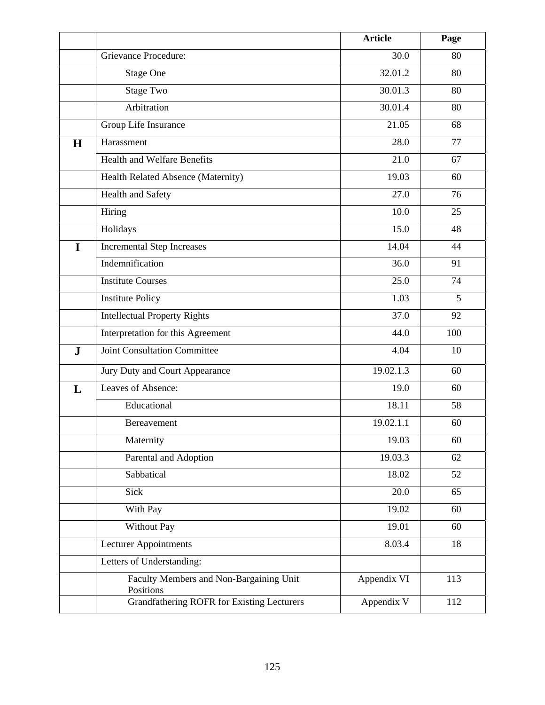|           |                                                      | <b>Article</b> | Page           |
|-----------|------------------------------------------------------|----------------|----------------|
|           | <b>Grievance Procedure:</b>                          | 30.0           | 80             |
|           | <b>Stage One</b>                                     | 32.01.2        | 80             |
|           | <b>Stage Two</b>                                     | 30.01.3        | 80             |
|           | Arbitration                                          | 30.01.4        | 80             |
|           | Group Life Insurance                                 | 21.05          | 68             |
| H         | Harassment                                           | 28.0           | 77             |
|           | <b>Health and Welfare Benefits</b>                   | 21.0           | 67             |
|           | Health Related Absence (Maternity)                   | 19.03          | 60             |
|           | Health and Safety                                    | 27.0           | 76             |
|           | Hiring                                               | 10.0           | 25             |
|           | Holidays                                             | 15.0           | 48             |
| I         | <b>Incremental Step Increases</b>                    | 14.04          | 44             |
|           | Indemnification                                      | 36.0           | 91             |
|           | <b>Institute Courses</b>                             | 25.0           | 74             |
|           | <b>Institute Policy</b>                              | 1.03           | $\overline{5}$ |
|           | <b>Intellectual Property Rights</b>                  | 37.0           | 92             |
|           | Interpretation for this Agreement                    | 44.0           | 100            |
| ${\bf J}$ | <b>Joint Consultation Committee</b>                  | 4.04           | 10             |
|           | Jury Duty and Court Appearance                       | 19.02.1.3      | 60             |
| L         | Leaves of Absence:                                   | 19.0           | 60             |
|           | Educational                                          | 18.11          | 58             |
|           | Bereavement                                          | 19.02.1.1      | 60             |
|           | Maternity                                            | 19.03          | 60             |
|           | Parental and Adoption                                | 19.03.3        | 62             |
|           | Sabbatical                                           | 18.02          | 52             |
|           | Sick                                                 | 20.0           | 65             |
|           | With Pay                                             | 19.02          | 60             |
|           | Without Pay                                          | 19.01          | 60             |
|           | Lecturer Appointments                                | 8.03.4         | 18             |
|           | Letters of Understanding:                            |                |                |
|           | Faculty Members and Non-Bargaining Unit<br>Positions | Appendix VI    | 113            |
|           | <b>Grandfathering ROFR for Existing Lecturers</b>    | Appendix V     | 112            |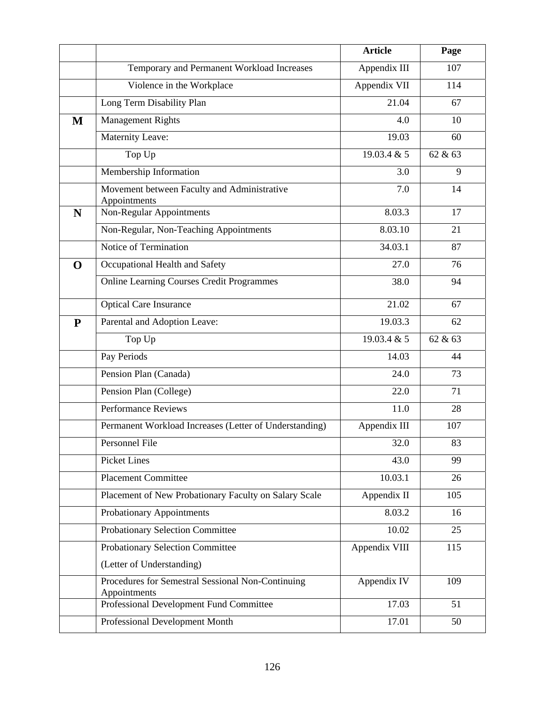|             |                                                                   | <b>Article</b> | Page    |
|-------------|-------------------------------------------------------------------|----------------|---------|
|             | Temporary and Permanent Workload Increases                        | Appendix III   | 107     |
|             | Violence in the Workplace                                         | Appendix VII   | 114     |
|             | Long Term Disability Plan                                         | 21.04          | 67      |
| $\mathbf M$ | <b>Management Rights</b>                                          | 4.0            | 10      |
|             | Maternity Leave:                                                  | 19.03          | 60      |
|             | Top Up                                                            | 19.03.4 & 5    | 62 & 63 |
|             | Membership Information                                            | 3.0            | 9       |
|             | Movement between Faculty and Administrative<br>Appointments       | 7.0            | 14      |
| N           | Non-Regular Appointments                                          | 8.03.3         | 17      |
|             | Non-Regular, Non-Teaching Appointments                            | 8.03.10        | 21      |
|             | Notice of Termination                                             | 34.03.1        | 87      |
| $\mathbf 0$ | Occupational Health and Safety                                    | 27.0           | 76      |
|             | <b>Online Learning Courses Credit Programmes</b>                  | 38.0           | 94      |
|             | <b>Optical Care Insurance</b>                                     | 21.02          | 67      |
| ${\bf P}$   | Parental and Adoption Leave:                                      | 19.03.3        | 62      |
|             | Top Up                                                            | 19.03.4 & 5    | 62 & 63 |
|             | Pay Periods                                                       | 14.03          | 44      |
|             | Pension Plan (Canada)                                             | 24.0           | 73      |
|             | Pension Plan (College)                                            | 22.0           | 71      |
|             | <b>Performance Reviews</b>                                        | 11.0           | 28      |
|             | Permanent Workload Increases (Letter of Understanding)            | Appendix III   | 107     |
|             | Personnel File                                                    | 32.0           | 83      |
|             | <b>Picket Lines</b>                                               | 43.0           | 99      |
|             | <b>Placement Committee</b>                                        | 10.03.1        | 26      |
|             | Placement of New Probationary Faculty on Salary Scale             | Appendix II    | 105     |
|             | Probationary Appointments                                         | 8.03.2         | 16      |
|             | Probationary Selection Committee                                  | 10.02          | 25      |
|             | Probationary Selection Committee                                  | Appendix VIII  | 115     |
|             | (Letter of Understanding)                                         |                |         |
|             | Procedures for Semestral Sessional Non-Continuing<br>Appointments | Appendix IV    | 109     |
|             | Professional Development Fund Committee                           | 17.03          | 51      |
|             | Professional Development Month                                    | 17.01          | 50      |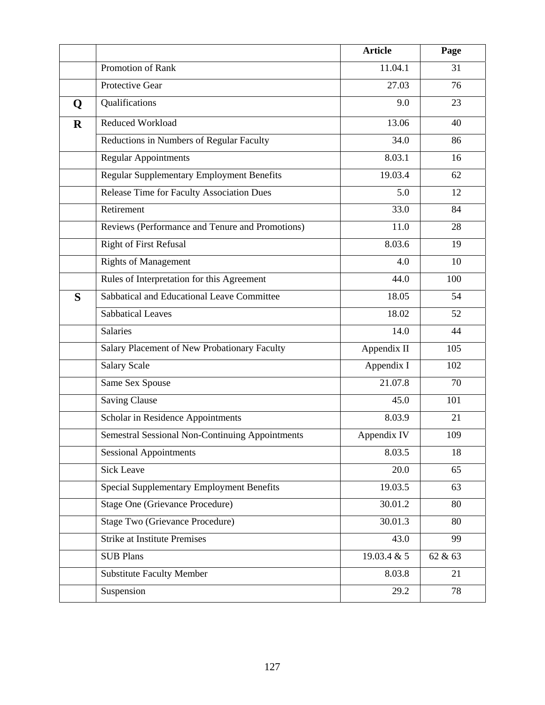|             |                                                  | <b>Article</b>     | Page    |
|-------------|--------------------------------------------------|--------------------|---------|
|             | Promotion of Rank                                | 11.04.1            | 31      |
|             | Protective Gear                                  | 27.03              | 76      |
| Q           | Qualifications                                   | 9.0                | 23      |
| $\mathbf R$ | <b>Reduced Workload</b>                          | 13.06              | 40      |
|             | Reductions in Numbers of Regular Faculty         | 34.0               | 86      |
|             | <b>Regular Appointments</b>                      | 8.03.1             | 16      |
|             | Regular Supplementary Employment Benefits        | 19.03.4            | 62      |
|             | Release Time for Faculty Association Dues        | 5.0                | 12      |
|             | Retirement                                       | 33.0               | 84      |
|             | Reviews (Performance and Tenure and Promotions)  | 11.0               | 28      |
|             | <b>Right of First Refusal</b>                    | 8.03.6             | 19      |
|             | <b>Rights of Management</b>                      | 4.0                | 10      |
|             | Rules of Interpretation for this Agreement       | 44.0               | 100     |
| S           | Sabbatical and Educational Leave Committee       | 18.05              | 54      |
|             | <b>Sabbatical Leaves</b>                         | 18.02              | 52      |
|             | Salaries                                         | 14.0               | 44      |
|             | Salary Placement of New Probationary Faculty     | Appendix II        | 105     |
|             | <b>Salary Scale</b>                              | Appendix I         | 102     |
|             | Same Sex Spouse                                  | 21.07.8            | 70      |
|             | <b>Saving Clause</b>                             | 45.0               | 101     |
|             | Scholar in Residence Appointments                | 8.03.9             | 21      |
|             | Semestral Sessional Non-Continuing Appointments  | Appendix IV        | 109     |
|             | <b>Sessional Appointments</b>                    | 8.03.5             | 18      |
|             | <b>Sick Leave</b>                                | 20.0               | 65      |
|             | <b>Special Supplementary Employment Benefits</b> | 19.03.5            | 63      |
|             | <b>Stage One (Grievance Procedure)</b>           | 30.01.2            | 80      |
|             | Stage Two (Grievance Procedure)                  | 30.01.3            | 80      |
|             | <b>Strike at Institute Premises</b>              | 43.0               | 99      |
|             | <b>SUB Plans</b>                                 | $19.03.4 \times 5$ | 62 & 63 |
|             | <b>Substitute Faculty Member</b>                 | 8.03.8             | 21      |
|             | Suspension                                       | 29.2               | 78      |